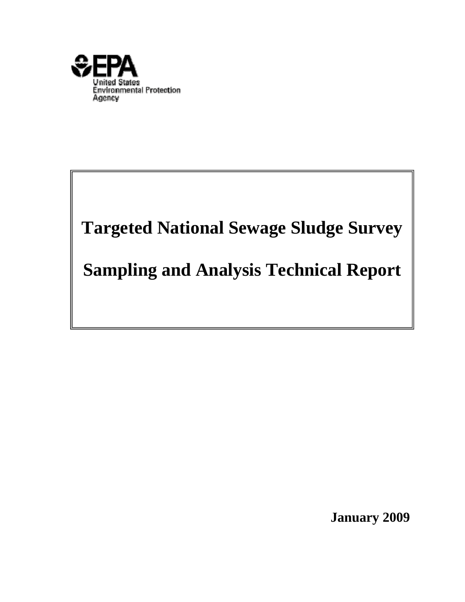

# **Targeted National Sewage Sludge Survey**

## **Sampling and Analysis Technical Report**

**January 2009**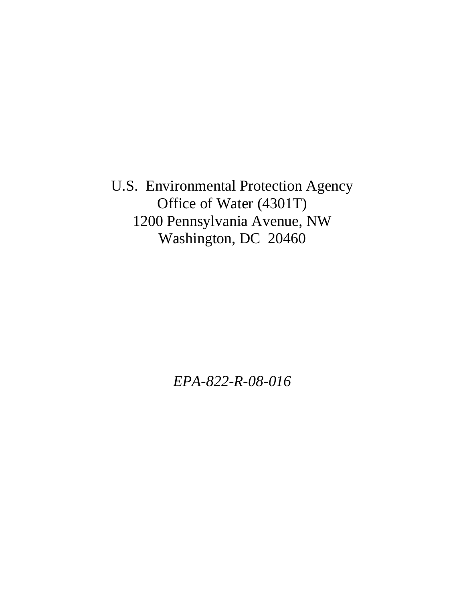U.S. Environmental Protection Agency Office of Water (4301T) 1200 Pennsylvania Avenue, NW Washington, DC 20460

*EPA-822-R-08-016*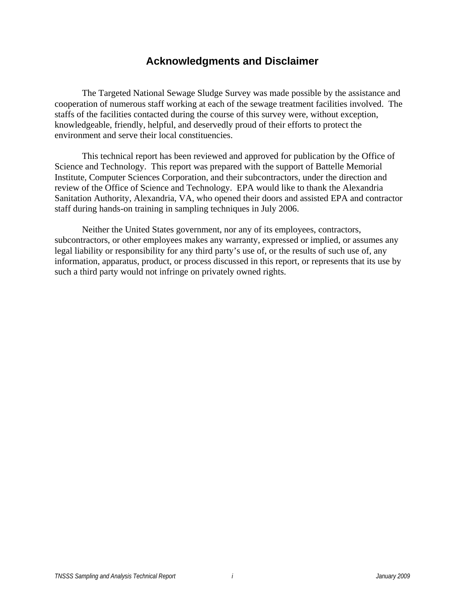### **Acknowledgments and Disclaimer**

The Targeted National Sewage Sludge Survey was made possible by the assistance and cooperation of numerous staff working at each of the sewage treatment facilities involved. The staffs of the facilities contacted during the course of this survey were, without exception, knowledgeable, friendly, helpful, and deservedly proud of their efforts to protect the environment and serve their local constituencies.

 This technical report has been reviewed and approved for publication by the Office of Science and Technology. This report was prepared with the support of Battelle Memorial Institute, Computer Sciences Corporation, and their subcontractors, under the direction and review of the Office of Science and Technology. EPA would like to thank the Alexandria Sanitation Authority, Alexandria, VA, who opened their doors and assisted EPA and contractor staff during hands-on training in sampling techniques in July 2006.

Neither the United States government, nor any of its employees, contractors, subcontractors, or other employees makes any warranty, expressed or implied, or assumes any legal liability or responsibility for any third party's use of, or the results of such use of, any information, apparatus, product, or process discussed in this report, or represents that its use by such a third party would not infringe on privately owned rights.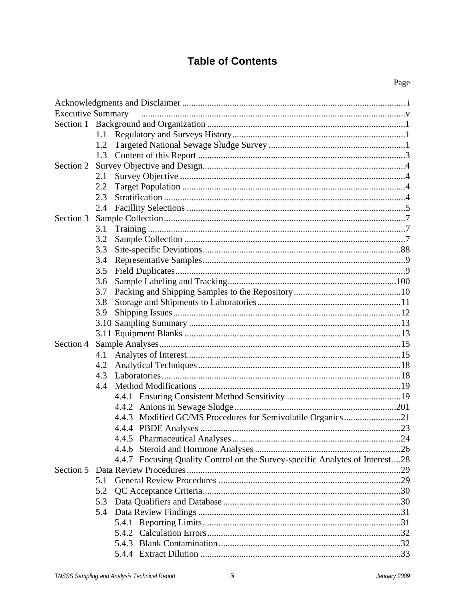## **Table of Contents**

| <b>Executive Summary</b> |                                                                              |  |
|--------------------------|------------------------------------------------------------------------------|--|
|                          |                                                                              |  |
|                          |                                                                              |  |
|                          |                                                                              |  |
|                          |                                                                              |  |
| Section 2                |                                                                              |  |
|                          | 2.1                                                                          |  |
|                          | 2.2                                                                          |  |
|                          | 2.3                                                                          |  |
|                          |                                                                              |  |
| Section 3                |                                                                              |  |
|                          | 3.1                                                                          |  |
|                          | 3.2                                                                          |  |
|                          | 3.3                                                                          |  |
|                          | 3.4                                                                          |  |
|                          | 3.5                                                                          |  |
|                          | 3.6                                                                          |  |
|                          | 3.7                                                                          |  |
|                          | 3.8                                                                          |  |
|                          | 3.9                                                                          |  |
|                          |                                                                              |  |
|                          |                                                                              |  |
| Section 4                |                                                                              |  |
|                          |                                                                              |  |
|                          | 4.2                                                                          |  |
|                          |                                                                              |  |
|                          |                                                                              |  |
|                          |                                                                              |  |
|                          |                                                                              |  |
|                          | 4.4.3 Modified GC/MS Procedures for Semivolatile Organics21                  |  |
|                          |                                                                              |  |
|                          |                                                                              |  |
|                          |                                                                              |  |
|                          |                                                                              |  |
|                          | 4.4.7 Focusing Quality Control on the Survey-specific Analytes of Interest28 |  |
|                          |                                                                              |  |
|                          | 5.1                                                                          |  |
|                          | 5.2                                                                          |  |
|                          | 5.3                                                                          |  |
|                          |                                                                              |  |
|                          |                                                                              |  |
|                          |                                                                              |  |
|                          |                                                                              |  |
|                          |                                                                              |  |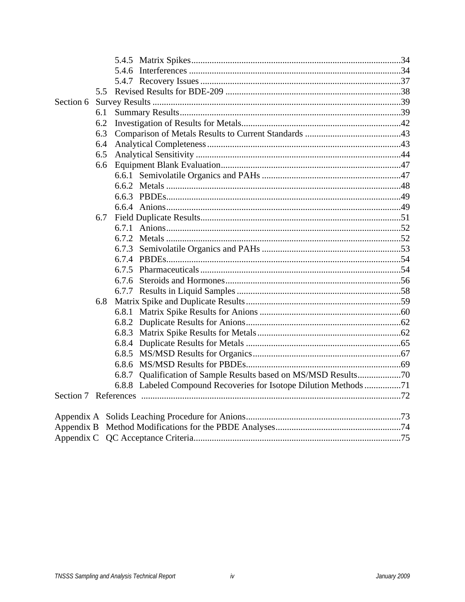|           | 5.5 |                                                                   |  |
|-----------|-----|-------------------------------------------------------------------|--|
| Section 6 |     |                                                                   |  |
|           | 6.1 |                                                                   |  |
|           | 6.2 |                                                                   |  |
|           | 6.3 |                                                                   |  |
|           | 6.4 |                                                                   |  |
|           | 6.5 |                                                                   |  |
|           | 6.6 |                                                                   |  |
|           |     |                                                                   |  |
|           |     |                                                                   |  |
|           |     |                                                                   |  |
|           |     |                                                                   |  |
|           | 6.7 |                                                                   |  |
|           |     | 6.7.1                                                             |  |
|           |     |                                                                   |  |
|           |     |                                                                   |  |
|           |     |                                                                   |  |
|           |     |                                                                   |  |
|           |     |                                                                   |  |
|           |     |                                                                   |  |
|           | 6.8 |                                                                   |  |
|           |     |                                                                   |  |
|           |     |                                                                   |  |
|           |     |                                                                   |  |
|           |     |                                                                   |  |
|           |     |                                                                   |  |
|           |     |                                                                   |  |
|           |     | 6.8.7 Qualification of Sample Results based on MS/MSD Results70   |  |
|           |     | 6.8.8 Labeled Compound Recoveries for Isotope Dilution Methods 71 |  |
|           |     |                                                                   |  |
|           |     |                                                                   |  |
|           |     |                                                                   |  |
|           |     |                                                                   |  |
|           |     |                                                                   |  |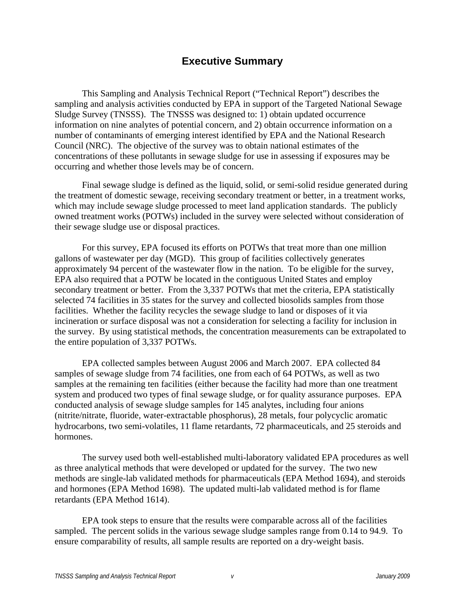### **Executive Summary**

 This Sampling and Analysis Technical Report ("Technical Report") describes the sampling and analysis activities conducted by EPA in support of the Targeted National Sewage Sludge Survey (TNSSS). The TNSSS was designed to: 1) obtain updated occurrence information on nine analytes of potential concern, and 2) obtain occurrence information on a number of contaminants of emerging interest identified by EPA and the National Research Council (NRC). The objective of the survey was to obtain national estimates of the concentrations of these pollutants in sewage sludge for use in assessing if exposures may be occurring and whether those levels may be of concern.

 Final sewage sludge is defined as the liquid, solid, or semi-solid residue generated during the treatment of domestic sewage, receiving secondary treatment or better, in a treatment works, which may include sewage sludge processed to meet land application standards. The publicly owned treatment works (POTWs) included in the survey were selected without consideration of their sewage sludge use or disposal practices.

 For this survey, EPA focused its efforts on POTWs that treat more than one million gallons of wastewater per day (MGD). This group of facilities collectively generates approximately 94 percent of the wastewater flow in the nation. To be eligible for the survey, EPA also required that a POTW be located in the contiguous United States and employ secondary treatment or better. From the 3,337 POTWs that met the criteria, EPA statistically selected 74 facilities in 35 states for the survey and collected biosolids samples from those facilities. Whether the facility recycles the sewage sludge to land or disposes of it via incineration or surface disposal was not a consideration for selecting a facility for inclusion in the survey. By using statistical methods, the concentration measurements can be extrapolated to the entire population of 3,337 POTWs.

 EPA collected samples between August 2006 and March 2007. EPA collected 84 samples of sewage sludge from 74 facilities, one from each of 64 POTWs, as well as two samples at the remaining ten facilities (either because the facility had more than one treatment system and produced two types of final sewage sludge, or for quality assurance purposes. EPA conducted analysis of sewage sludge samples for 145 analytes, including four anions (nitrite/nitrate, fluoride, water-extractable phosphorus), 28 metals, four polycyclic aromatic hydrocarbons, two semi-volatiles, 11 flame retardants, 72 pharmaceuticals, and 25 steroids and hormones.

 The survey used both well-established multi-laboratory validated EPA procedures as well as three analytical methods that were developed or updated for the survey. The two new methods are single-lab validated methods for pharmaceuticals (EPA Method 1694), and steroids and hormones (EPA Method 1698). The updated multi-lab validated method is for flame retardants (EPA Method 1614).

 EPA took steps to ensure that the results were comparable across all of the facilities sampled. The percent solids in the various sewage sludge samples range from 0.14 to 94.9. To ensure comparability of results, all sample results are reported on a dry-weight basis.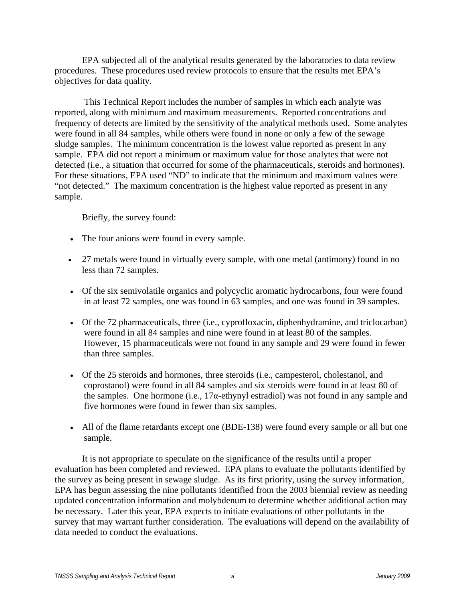EPA subjected all of the analytical results generated by the laboratories to data review procedures. These procedures used review protocols to ensure that the results met EPA's objectives for data quality.

 This Technical Report includes the number of samples in which each analyte was reported, along with minimum and maximum measurements. Reported concentrations and frequency of detects are limited by the sensitivity of the analytical methods used. Some analytes were found in all 84 samples, while others were found in none or only a few of the sewage sludge samples. The minimum concentration is the lowest value reported as present in any sample. EPA did not report a minimum or maximum value for those analytes that were not detected (i.e., a situation that occurred for some of the pharmaceuticals, steroids and hormones). For these situations, EPA used "ND" to indicate that the minimum and maximum values were "not detected." The maximum concentration is the highest value reported as present in any sample.

Briefly, the survey found:

- The four anions were found in every sample.
- 27 metals were found in virtually every sample, with one metal (antimony) found in no less than 72 samples.
- Of the six semivolatile organics and polycyclic aromatic hydrocarbons, four were found in at least 72 samples, one was found in 63 samples, and one was found in 39 samples.
- Of the 72 pharmaceuticals, three (i.e., cyprofloxacin, diphenhydramine, and triclocarban) were found in all 84 samples and nine were found in at least 80 of the samples. However, 15 pharmaceuticals were not found in any sample and 29 were found in fewer than three samples.
- Of the 25 steroids and hormones, three steroids (i.e., campesterol, cholestanol, and coprostanol) were found in all 84 samples and six steroids were found in at least 80 of the samples. One hormone (i.e.,  $17\alpha$ -ethynyl estradiol) was not found in any sample and five hormones were found in fewer than six samples.
- All of the flame retardants except one (BDE-138) were found every sample or all but one sample.

 It is not appropriate to speculate on the significance of the results until a proper evaluation has been completed and reviewed. EPA plans to evaluate the pollutants identified by the survey as being present in sewage sludge. As its first priority, using the survey information, EPA has begun assessing the nine pollutants identified from the 2003 biennial review as needing updated concentration information and molybdenum to determine whether additional action may be necessary. Later this year, EPA expects to initiate evaluations of other pollutants in the survey that may warrant further consideration. The evaluations will depend on the availability of data needed to conduct the evaluations.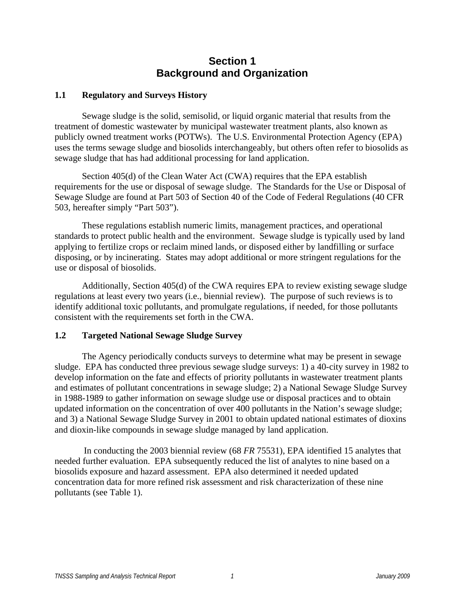## **Section 1 Background and Organization**

#### **1.1 Regulatory and Surveys History**

 Sewage sludge is the solid, semisolid, or liquid organic material that results from the treatment of domestic wastewater by municipal wastewater treatment plants, also known as publicly owned treatment works (POTWs). The U.S. Environmental Protection Agency (EPA) uses the terms sewage sludge and biosolids interchangeably, but others often refer to biosolids as sewage sludge that has had additional processing for land application.

 Section 405(d) of the Clean Water Act (CWA) requires that the EPA establish requirements for the use or disposal of sewage sludge. The Standards for the Use or Disposal of Sewage Sludge are found at Part 503 of Section 40 of the Code of Federal Regulations (40 CFR 503, hereafter simply "Part 503").

These regulations establish numeric limits, management practices, and operational standards to protect public health and the environment. Sewage sludge is typically used by land applying to fertilize crops or reclaim mined lands, or disposed either by landfilling or surface disposing, or by incinerating. States may adopt additional or more stringent regulations for the use or disposal of biosolids.

Additionally, Section 405(d) of the CWA requires EPA to review existing sewage sludge regulations at least every two years (i.e., biennial review). The purpose of such reviews is to identify additional toxic pollutants, and promulgate regulations, if needed, for those pollutants consistent with the requirements set forth in the CWA.

#### **1.2 Targeted National Sewage Sludge Survey**

 The Agency periodically conducts surveys to determine what may be present in sewage sludge. EPA has conducted three previous sewage sludge surveys: 1) a 40-city survey in 1982 to develop information on the fate and effects of priority pollutants in wastewater treatment plants and estimates of pollutant concentrations in sewage sludge; 2) a National Sewage Sludge Survey in 1988-1989 to gather information on sewage sludge use or disposal practices and to obtain updated information on the concentration of over 400 pollutants in the Nation's sewage sludge; and 3) a National Sewage Sludge Survey in 2001 to obtain updated national estimates of dioxins and dioxin-like compounds in sewage sludge managed by land application.

In conducting the 2003 biennial review (68 *FR* 75531), EPA identified 15 analytes that needed further evaluation. EPA subsequently reduced the list of analytes to nine based on a biosolids exposure and hazard assessment. EPA also determined it needed updated concentration data for more refined risk assessment and risk characterization of these nine pollutants (see Table 1).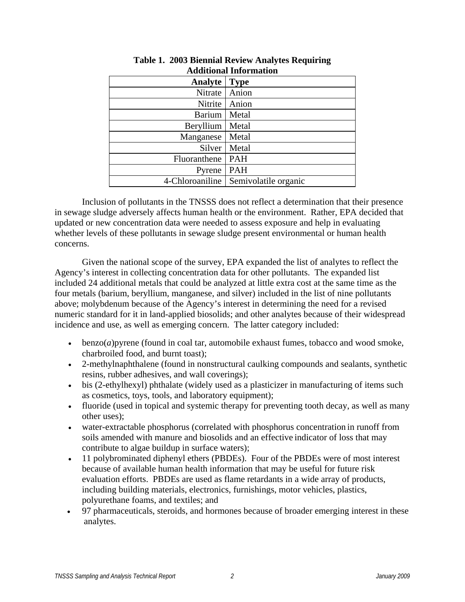| Auunonai miormanon |                      |  |  |
|--------------------|----------------------|--|--|
| <b>Analyte</b>     | <b>Type</b>          |  |  |
| Nitrate            | Anion                |  |  |
| Nitrite            | Anion                |  |  |
| <b>Barium</b>      | Metal                |  |  |
| Beryllium          | Metal                |  |  |
| Manganese          | Metal                |  |  |
| Silver             | Metal                |  |  |
| Fluoranthene       | <b>PAH</b>           |  |  |
| Pyrene             | <b>PAH</b>           |  |  |
| 4-Chloroaniline    | Semivolatile organic |  |  |

#### **Table 1. 2003 Biennial Review Analytes Requiring Additional Information**

Inclusion of pollutants in the TNSSS does not reflect a determination that their presence in sewage sludge adversely affects human health or the environment. Rather, EPA decided that updated or new concentration data were needed to assess exposure and help in evaluating whether levels of these pollutants in sewage sludge present environmental or human health concerns.

 Given the national scope of the survey, EPA expanded the list of analytes to reflect the Agency's interest in collecting concentration data for other pollutants. The expanded list included 24 additional metals that could be analyzed at little extra cost at the same time as the four metals (barium, beryllium, manganese, and silver) included in the list of nine pollutants above; molybdenum because of the Agency's interest in determining the need for a revised numeric standard for it in land-applied biosolids; and other analytes because of their widespread incidence and use, as well as emerging concern. The latter category included:

- benzo(*a*)pyrene (found in coal tar, automobile exhaust fumes, tobacco and wood smoke, charbroiled food, and burnt toast);
- 2-methylnaphthalene (found in nonstructural caulking compounds and sealants, synthetic resins, rubber adhesives, and wall coverings);
- bis (2-ethylhexyl) phthalate (widely used as a plasticizer in manufacturing of items such as cosmetics, toys, tools, and laboratory equipment);
- fluoride (used in topical and systemic therapy for preventing tooth decay, as well as many other uses);
- water-extractable phosphorus (correlated with phosphorus concentration in runoff from soils amended with manure and biosolids and an effective indicator of loss that may contribute to algae buildup in surface waters);
- 11 polybrominated diphenyl ethers (PBDEs). Four of the PBDEs were of most interest because of available human health information that may be useful for future risk evaluation efforts. PBDEs are used as flame retardants in a wide array of products, including building materials, electronics, furnishings, motor vehicles, plastics, polyurethane foams, and textiles; and
- 97 pharmaceuticals, steroids, and hormones because of broader emerging interest in these analytes.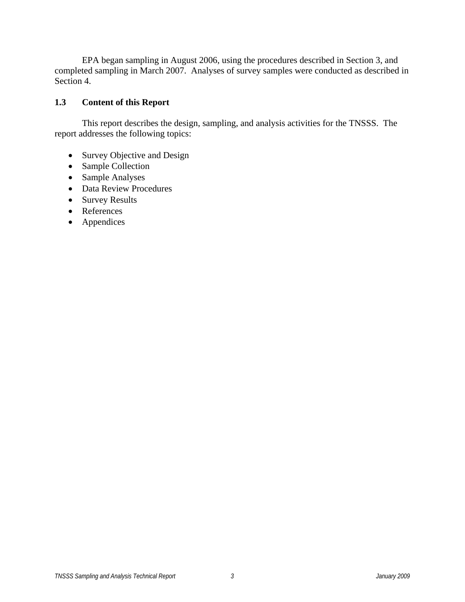EPA began sampling in August 2006, using the procedures described in Section 3, and completed sampling in March 2007. Analyses of survey samples were conducted as described in Section 4.

#### **1.3 Content of this Report**

 This report describes the design, sampling, and analysis activities for the TNSSS. The report addresses the following topics:

- Survey Objective and Design
- Sample Collection
- Sample Analyses
- Data Review Procedures
- Survey Results
- References
- Appendices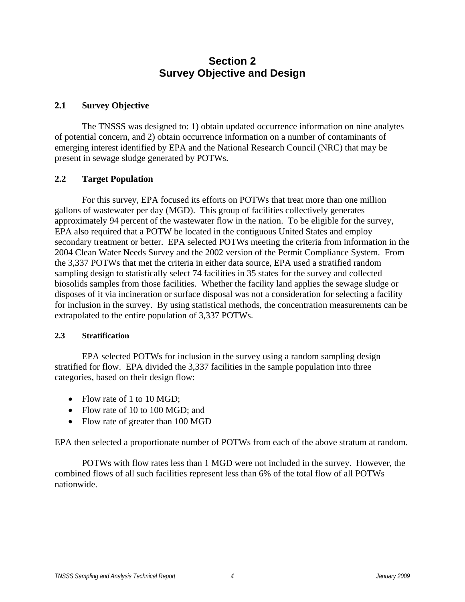## **Section 2 Survey Objective and Design**

#### **2.1 Survey Objective**

 The TNSSS was designed to: 1) obtain updated occurrence information on nine analytes of potential concern, and 2) obtain occurrence information on a number of contaminants of emerging interest identified by EPA and the National Research Council (NRC) that may be present in sewage sludge generated by POTWs.

#### **2.2 Target Population**

 For this survey, EPA focused its efforts on POTWs that treat more than one million gallons of wastewater per day (MGD). This group of facilities collectively generates approximately 94 percent of the wastewater flow in the nation. To be eligible for the survey, EPA also required that a POTW be located in the contiguous United States and employ secondary treatment or better. EPA selected POTWs meeting the criteria from information in the 2004 Clean Water Needs Survey and the 2002 version of the Permit Compliance System. From the 3,337 POTWs that met the criteria in either data source, EPA used a stratified random sampling design to statistically select 74 facilities in 35 states for the survey and collected biosolids samples from those facilities. Whether the facility land applies the sewage sludge or disposes of it via incineration or surface disposal was not a consideration for selecting a facility for inclusion in the survey. By using statistical methods, the concentration measurements can be extrapolated to the entire population of 3,337 POTWs.

#### **2.3 Stratification**

 EPA selected POTWs for inclusion in the survey using a random sampling design stratified for flow. EPA divided the 3,337 facilities in the sample population into three categories, based on their design flow:

- Flow rate of 1 to 10 MGD:
- Flow rate of 10 to 100 MGD; and
- Flow rate of greater than 100 MGD

EPA then selected a proportionate number of POTWs from each of the above stratum at random.

 POTWs with flow rates less than 1 MGD were not included in the survey. However, the combined flows of all such facilities represent less than 6% of the total flow of all POTWs nationwide.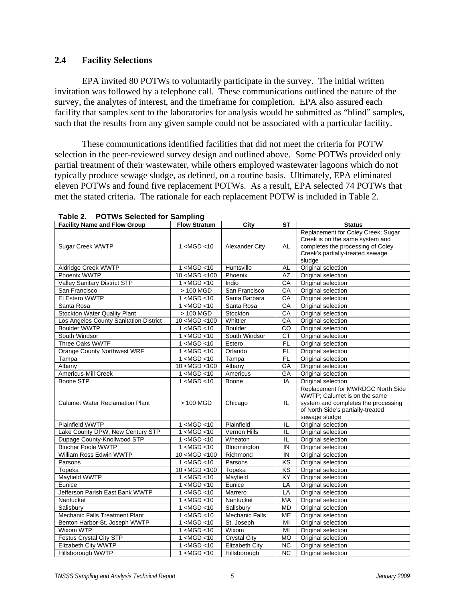#### **2.4 Facility Selections**

 EPA invited 80 POTWs to voluntarily participate in the survey. The initial written invitation was followed by a telephone call. These communications outlined the nature of the survey, the analytes of interest, and the timeframe for completion. EPA also assured each facility that samples sent to the laboratories for analysis would be submitted as "blind" samples, such that the results from any given sample could not be associated with a particular facility.

 These communications identified facilities that did not meet the criteria for POTW selection in the peer-reviewed survey design and outlined above. Some POTWs provided only partial treatment of their wastewater, while others employed wastewater lagoons which do not typically produce sewage sludge, as defined, on a routine basis. Ultimately, EPA eliminated eleven POTWs and found five replacement POTWs. As a result, EPA selected 74 POTWs that met the stated criteria. The rationale for each replacement POTW is included in Table 2.

| <b>Facility Name and Flow Group</b>    | <b>Flow Stratum</b>                                                                        | City                  | $\overline{\mathsf{ST}}$ | <b>Status</b>                                                                                                                                                  |
|----------------------------------------|--------------------------------------------------------------------------------------------|-----------------------|--------------------------|----------------------------------------------------------------------------------------------------------------------------------------------------------------|
| Sugar Creek WWTP                       | 1 < MGD < 10                                                                               | Alexander City        | AL                       | Replacement for Coley Creek; Sugar<br>Creek is on the same system and<br>completes the processing of Coley<br>Creek's partially-treated sewage<br>sludge       |
| Aldridge Creek WWTP                    | 1 < MGD < 10                                                                               | Huntsville            | <b>AL</b>                | Original selection                                                                                                                                             |
| Phoenix WWTP                           | $10$ <mgd <100<="" td=""><td>Phoenix</td><td>AZ</td><td>Original selection</td></mgd>      | Phoenix               | AZ                       | Original selection                                                                                                                                             |
| <b>Valley Sanitary District STP</b>    | 1 < MGD < 10                                                                               | Indio                 | CA                       | Original selection                                                                                                                                             |
| San Francisco                          | > 100 MGD                                                                                  | San Francisco         | CА                       | Original selection                                                                                                                                             |
| El Estero WWTP                         | 1 < MGD < 10                                                                               | Santa Barbara         | CA                       | Original selection                                                                                                                                             |
| Santa Rosa                             | 1 < MGD < 10                                                                               | Santa Rosa            | CA                       | Original selection                                                                                                                                             |
| Stockton Water Quality Plant           | > 100 MGD                                                                                  | Stockton              | СA                       | Original selection                                                                                                                                             |
| Los Angeles County Sanitation District | 10 <mgd <100<="" td=""><td>Whittier</td><td>CA</td><td>Original selection</td></mgd>       | Whittier              | CA                       | Original selection                                                                                                                                             |
| <b>Boulder WWTP</b>                    | 1 < MGD < 10                                                                               | <b>Boulder</b>        | CO                       | Original selection                                                                                                                                             |
| South Windsor                          | 1 < MGD < 10                                                                               | South Windsor         | СT                       | Original selection                                                                                                                                             |
| Three Oaks WWTF                        | 1 < MGD < 10                                                                               | Estero                | <b>FL</b>                | Original selection                                                                                                                                             |
| Orange County Northwest WRF            | 1 < MGD < 10                                                                               | Orlando               | <b>FL</b>                | Original selection                                                                                                                                             |
| Tampa                                  | 1 < MGD < 10                                                                               | Tampa                 | <b>FL</b>                | Original selection                                                                                                                                             |
| Albany                                 | 10 <mgd <100<="" td=""><td>Albany</td><td>GA</td><td>Original selection</td></mgd>         | Albany                | GA                       | Original selection                                                                                                                                             |
| <b>Americus-Mill Creek</b>             | 1 < MGD < 10                                                                               | Americus              | <b>GA</b>                | Original selection                                                                                                                                             |
| Boone STP                              | 1 < MGD < 10                                                                               | Boone                 | IA                       | Original selection                                                                                                                                             |
| <b>Calumet Water Reclamation Plant</b> | > 100 MGD                                                                                  | Chicago               | IL                       | Replacement for MWRDGC North Side<br>WWTP; Calumet is on the same<br>system and completes the processing<br>of North Side's partially-treated<br>sewage sludge |
| Plainfield WWTP                        | 1 < MGD < 10                                                                               | Plainfield            | IL                       | Original selection                                                                                                                                             |
| Lake County DPW, New Century STP       | 1 < MGD < 10                                                                               | Vernon Hills          | IL                       | Original selection                                                                                                                                             |
| Dupage County-Knollwood STP            | 1 < MGD < 10                                                                               | Wheaton               | IL                       | Original selection                                                                                                                                             |
| <b>Blucher Poole WWTP</b>              | 1 < MGD < 10                                                                               | Bloomington           | IN                       | Original selection                                                                                                                                             |
| William Ross Edwin WWTP                | 10 <mgd<100< td=""><td>Richmond</td><td>IN</td><td>Original selection</td></mgd<100<>      | Richmond              | IN                       | Original selection                                                                                                                                             |
| Parsons                                | 1 < MGD < 10                                                                               | Parsons               | KS                       | Original selection                                                                                                                                             |
| Topeka                                 | 10 <mgd<100< td=""><td>Topeka</td><td><b>KS</b></td><td>Original selection</td></mgd<100<> | Topeka                | <b>KS</b>                | Original selection                                                                                                                                             |
| Mayfield WWTP                          | 1 < MGD < 10                                                                               | Mayfield              | KY                       | Original selection                                                                                                                                             |
| Eunice                                 | 1 < MGD < 10                                                                               | Eunice                | LA                       | Original selection                                                                                                                                             |
| Jefferson Parish East Bank WWTP        | 1 < MGD < 10                                                                               | Marrero               | LA                       | Original selection                                                                                                                                             |
| Nantucket                              | 1 < MGD < 10                                                                               | Nantucket             | МA                       | Original selection                                                                                                                                             |
| Salisbury                              | 1 < MGD < 10                                                                               | Salisbury             | <b>MD</b>                | Original selection                                                                                                                                             |
| <b>Mechanic Falls Treatment Plant</b>  | 1 < MGD < 10                                                                               | <b>Mechanic Falls</b> | <b>ME</b>                | Original selection                                                                                                                                             |
| Benton Harbor-St. Joseph WWTP          | 1 <mgd <10<="" td=""><td>St. Joseph</td><td>MI</td><td>Original selection</td></mgd>       | St. Joseph            | MI                       | Original selection                                                                                                                                             |
| Wixom WTP                              | 1 < MGD < 10                                                                               | Wixom                 | MI                       | Original selection                                                                                                                                             |
| Festus Crystal City STP                | 1 < MGD < 10                                                                               | <b>Crystal City</b>   | <b>MO</b>                | Original selection                                                                                                                                             |
| Elizabeth City WWTP                    | 1 < MGD < 10                                                                               | Elizabeth City        | <b>NC</b>                | Original selection                                                                                                                                             |
| Hillsborough WWTP                      | 1 < MGD < 10                                                                               | Hillsborough          | <b>NC</b>                | Original selection                                                                                                                                             |

**Table 2. POTWs Selected for Sampling**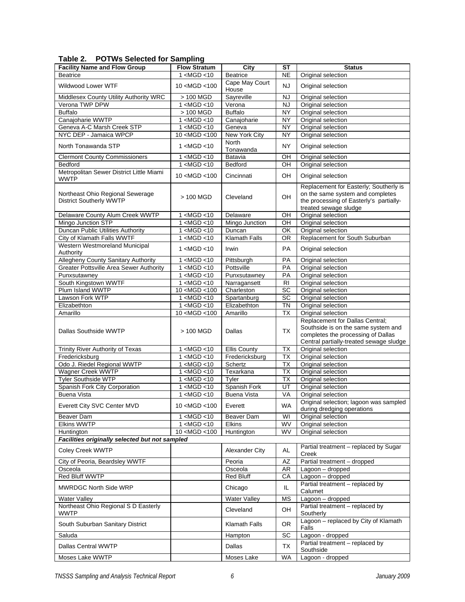| <b>Facility Name and Flow Group</b>                                | <b>Flow Stratum</b>                                                                                                                           | City                      | SТ                     | <b>Status</b>                                                                                                                                           |
|--------------------------------------------------------------------|-----------------------------------------------------------------------------------------------------------------------------------------------|---------------------------|------------------------|---------------------------------------------------------------------------------------------------------------------------------------------------------|
| <b>Beatrice</b>                                                    | 1 < MGD < 10                                                                                                                                  | <b>Beatrice</b>           | <b>NE</b>              | Original selection                                                                                                                                      |
| Wildwood Lower WTF                                                 | 10 <mgd <100<="" td=""><td>Cape May Court</td><td>NJ</td><td>Original selection</td></mgd>                                                    | Cape May Court            | NJ                     | Original selection                                                                                                                                      |
|                                                                    |                                                                                                                                               | House                     |                        |                                                                                                                                                         |
| Middlesex County Utility Authority WRC                             | > 100 MGD                                                                                                                                     | Sayreville                | <b>NJ</b>              | Original selection                                                                                                                                      |
| Verona TWP DPW                                                     | 1 < MGD < 10                                                                                                                                  | Verona                    | <b>NJ</b>              | Original selection                                                                                                                                      |
| <b>Buffalo</b>                                                     | > 100 MGD                                                                                                                                     | <b>Buffalo</b>            | <b>NY</b>              | Original selection                                                                                                                                      |
| Canajoharie WWTP                                                   | 1 < MGD < 10                                                                                                                                  | Canajoharie               | <b>NY</b>              | Original selection                                                                                                                                      |
| Geneva A-C Marsh Creek STP                                         | 1 < MGD < 10                                                                                                                                  | Geneva                    | <b>NY</b>              | Original selection                                                                                                                                      |
| NYC DEP - Jamaica WPCP                                             | $10$ <mgd <100<="" td=""><td>New York City</td><td><b>NY</b></td><td>Original selection</td></mgd>                                            | New York City             | <b>NY</b>              | Original selection                                                                                                                                      |
| North Tonawanda STP                                                | 1 <mgd <10<="" td=""><td><b>North</b><br/>Tonawanda</td><td>NΥ</td><td>Original selection</td></mgd>                                          | <b>North</b><br>Tonawanda | NΥ                     | Original selection                                                                                                                                      |
| <b>Clermont County Commissioners</b>                               | 1 <mgd <10<="" td=""><td>Batavia</td><td>OH</td><td>Original selection</td></mgd>                                                             | Batavia                   | OH                     | Original selection                                                                                                                                      |
| Bedford                                                            | 1 < MGD < 10                                                                                                                                  | Bedford                   | OН                     | Original selection                                                                                                                                      |
| Metropolitan Sewer District Little Miami<br><b>WWTP</b>            | 10 <mgd <100<="" td=""><td>Cincinnati</td><td>OH</td><td>Original selection</td></mgd>                                                        | Cincinnati                | OH                     | Original selection                                                                                                                                      |
| Northeast Ohio Regional Sewerage<br><b>District Southerly WWTP</b> | > 100 MGD                                                                                                                                     | Cleveland                 | OH                     | Replacement for Easterly; Southerly is<br>on the same system and completes<br>the processing of Easterly's partially-<br>treated sewage sludge          |
| Delaware County Alum Creek WWTP                                    | $\overline{1}$ <mgd <10<="" td=""><td>Delaware</td><td>OH</td><td>Original selection</td></mgd>                                               | Delaware                  | OH                     | Original selection                                                                                                                                      |
| Mingo Junction STP                                                 | 1 < MGD < 10                                                                                                                                  | Mingo Junction            | OH                     | Original selection                                                                                                                                      |
| Duncan Public Utilities Authority                                  | 1 < MGD < 10                                                                                                                                  | Duncan                    | OK                     | Original selection                                                                                                                                      |
| City of Klamath Falls WWTF                                         | 1 < MGD < 10                                                                                                                                  | <b>Klamath Falls</b>      | <b>OR</b>              | Replacement for South Suburban                                                                                                                          |
| Western Westmoreland Municipal<br>Authority                        | 1 <mgd <10<="" td=""><td>Irwin</td><td><b>PA</b></td><td>Original selection</td></mgd>                                                        | Irwin                     | <b>PA</b>              | Original selection                                                                                                                                      |
| Allegheny County Sanitary Authority                                | 1 < MGD < 10                                                                                                                                  | Pittsburgh                | PA                     | Original selection                                                                                                                                      |
| <b>Greater Pottsville Area Sewer Authority</b>                     | 1 < MGD < 10                                                                                                                                  | Pottsville                | PA                     | Original selection                                                                                                                                      |
| Punxsutawnev                                                       | 1 <mgd <10<="" td=""><td>Punxsutawney</td><td>PA</td><td>Original selection</td></mgd>                                                        | Punxsutawney              | PA                     | Original selection                                                                                                                                      |
| South Kingstown WWTF                                               | 1 < MGD < 10                                                                                                                                  | Narragansett              | <b>RI</b>              | Original selection                                                                                                                                      |
| Plum Island WWTP                                                   | 10 < MGD < 100                                                                                                                                | Charleston                | SC                     | Original selection                                                                                                                                      |
| Lawson Fork WTP                                                    | 1 < MGD < 10                                                                                                                                  | Spartanburg               | SC                     | Original selection                                                                                                                                      |
| Elizabethton                                                       | 1 < MGD < 10                                                                                                                                  | Elizabethton              | ΤN                     | Original selection                                                                                                                                      |
| Amarillo                                                           | 10 <mgd <100<="" td=""><td>Amarillo</td><td><b>TX</b></td><td>Original selection</td></mgd>                                                   | Amarillo                  | <b>TX</b>              | Original selection                                                                                                                                      |
| Dallas Southside WWTP                                              | > 100 MGD                                                                                                                                     | Dallas                    | <b>TX</b>              | Replacement for Dallas Central;<br>Southside is on the same system and<br>completes the processing of Dallas<br>Central partially-treated sewage sludge |
| Trinity River Authority of Texas                                   | 1 < MGD < 10                                                                                                                                  | <b>Ellis County</b>       | <b>TX</b>              | Original selection                                                                                                                                      |
| Fredericksburg                                                     | 1 < MGD < 10                                                                                                                                  | Fredericksburg            | <b>TX</b>              | Original selection                                                                                                                                      |
| Odo J. Riedel Regional WWTP                                        | 1 < MGD < 10                                                                                                                                  | Schertz                   | <b>TX</b>              | Original selection                                                                                                                                      |
| Wagner Creek WWTP                                                  | 1 < MGD < 10                                                                                                                                  | Texarkana                 | TX                     | Original selection                                                                                                                                      |
| <b>Tyler Southside WTP</b>                                         | 1 < MGD < 10                                                                                                                                  | Tyler                     | <b>TX</b>              | Original selection                                                                                                                                      |
| Spanish Fork City Corporation                                      | 1 <mgd<10< td=""><td>Spanish Fork</td><td>UT</td><td>Original selection</td></mgd<10<>                                                        | Spanish Fork              | UT                     | Original selection                                                                                                                                      |
| <b>Buena Vista</b>                                                 | 1 < MGD < 10                                                                                                                                  | <b>Buena Vista</b>        | VA                     | Original selection                                                                                                                                      |
| Everett City SVC Center MVD                                        | 10 <mgd <100<="" td=""><td>Everett</td><td><b>WA</b></td><td>Original selection; lagoon was sampled<br/>during dredging operations</td></mgd> | Everett                   | <b>WA</b>              | Original selection; lagoon was sampled<br>during dredging operations                                                                                    |
| Beaver Dam                                                         | 1 < MGD < 10                                                                                                                                  | Beaver Dam                | WI                     | Original selection                                                                                                                                      |
| <b>Elkins WWTP</b>                                                 | 1 < MGD < 10                                                                                                                                  | <b>Elkins</b>             | WV                     | Original selection                                                                                                                                      |
| Huntington                                                         | 10 < MGD < 100                                                                                                                                | Huntington                | WV                     | Original selection                                                                                                                                      |
| Facilities originally selected but not sampled                     |                                                                                                                                               |                           |                        |                                                                                                                                                         |
| Coley Creek WWTP                                                   |                                                                                                                                               | Alexander City            | <b>AL</b>              | Partial treatment - replaced by Sugar<br>Creek                                                                                                          |
| City of Peoria, Beardsley WWTF                                     |                                                                                                                                               | Peoria                    | AZ                     | Partial treatment - dropped                                                                                                                             |
| Osceola                                                            |                                                                                                                                               | Osceola                   | AR                     | Lagoon - dropped                                                                                                                                        |
| Red Bluff WWTP                                                     |                                                                                                                                               | <b>Red Bluff</b>          | СA                     | Lagoon - dropped                                                                                                                                        |
| <b>MWRDGC North Side WRP</b>                                       |                                                                                                                                               | Chicago                   | IL                     | Partial treatment - replaced by<br>Calumet                                                                                                              |
| <b>Water Valley</b>                                                |                                                                                                                                               | <b>Water Valley</b>       | <b>MS</b>              | Lagoon - dropped                                                                                                                                        |
| Northeast Ohio Regional S D Easterly<br><b>WWTP</b>                |                                                                                                                                               | Cleveland                 | OH                     | Partial treatment - replaced by<br>Southerly                                                                                                            |
| South Suburban Sanitary District                                   |                                                                                                                                               | Klamath Falls             | OR.                    | Lagoon - replaced by City of Klamath<br>Falls                                                                                                           |
| Saluda                                                             |                                                                                                                                               | Hampton                   | SC                     | Lagoon - dropped                                                                                                                                        |
|                                                                    |                                                                                                                                               |                           |                        | Partial treatment - replaced by                                                                                                                         |
| Dallas Central WWTP<br>Moses Lake WWTP                             |                                                                                                                                               | Dallas<br>Moses Lake      | <b>TX</b><br><b>WA</b> | Southside<br>Lagoon - dropped                                                                                                                           |
|                                                                    |                                                                                                                                               |                           |                        |                                                                                                                                                         |

**Table 2. POTWs Selected for Sampling**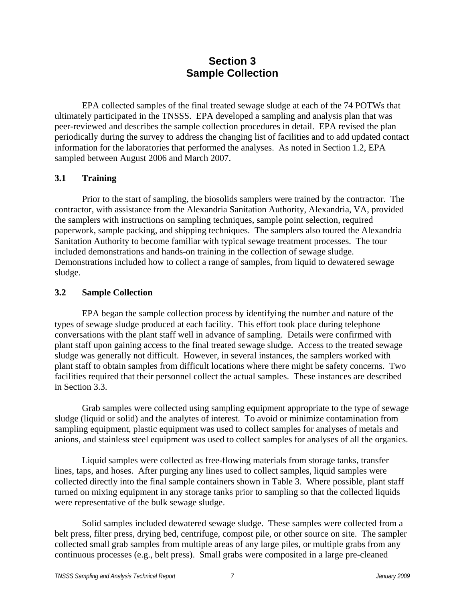## **Section 3 Sample Collection**

EPA collected samples of the final treated sewage sludge at each of the 74 POTWs that ultimately participated in the TNSSS. EPA developed a sampling and analysis plan that was peer-reviewed and describes the sample collection procedures in detail. EPA revised the plan periodically during the survey to address the changing list of facilities and to add updated contact information for the laboratories that performed the analyses. As noted in Section 1.2, EPA sampled between August 2006 and March 2007.

#### **3.1 Training**

 Prior to the start of sampling, the biosolids samplers were trained by the contractor. The contractor, with assistance from the Alexandria Sanitation Authority, Alexandria, VA, provided the samplers with instructions on sampling techniques, sample point selection, required paperwork, sample packing, and shipping techniques. The samplers also toured the Alexandria Sanitation Authority to become familiar with typical sewage treatment processes. The tour included demonstrations and hands-on training in the collection of sewage sludge. Demonstrations included how to collect a range of samples, from liquid to dewatered sewage sludge.

#### **3.2 Sample Collection**

 EPA began the sample collection process by identifying the number and nature of the types of sewage sludge produced at each facility. This effort took place during telephone conversations with the plant staff well in advance of sampling. Details were confirmed with plant staff upon gaining access to the final treated sewage sludge. Access to the treated sewage sludge was generally not difficult. However, in several instances, the samplers worked with plant staff to obtain samples from difficult locations where there might be safety concerns. Two facilities required that their personnel collect the actual samples. These instances are described in Section 3.3.

 Grab samples were collected using sampling equipment appropriate to the type of sewage sludge (liquid or solid) and the analytes of interest. To avoid or minimize contamination from sampling equipment, plastic equipment was used to collect samples for analyses of metals and anions, and stainless steel equipment was used to collect samples for analyses of all the organics.

 Liquid samples were collected as free-flowing materials from storage tanks, transfer lines, taps, and hoses. After purging any lines used to collect samples, liquid samples were collected directly into the final sample containers shown in Table 3. Where possible, plant staff turned on mixing equipment in any storage tanks prior to sampling so that the collected liquids were representative of the bulk sewage sludge.

Solid samples included dewatered sewage sludge. These samples were collected from a belt press, filter press, drying bed, centrifuge, compost pile, or other source on site. The sampler collected small grab samples from multiple areas of any large piles, or multiple grabs from any continuous processes (e.g., belt press). Small grabs were composited in a large pre-cleaned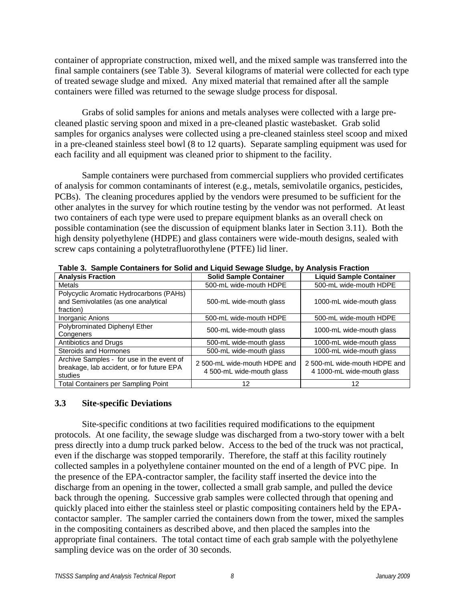container of appropriate construction, mixed well, and the mixed sample was transferred into the final sample containers (see Table 3). Several kilograms of material were collected for each type of treated sewage sludge and mixed. Any mixed material that remained after all the sample containers were filled was returned to the sewage sludge process for disposal.

 Grabs of solid samples for anions and metals analyses were collected with a large precleaned plastic serving spoon and mixed in a pre-cleaned plastic wastebasket. Grab solid samples for organics analyses were collected using a pre-cleaned stainless steel scoop and mixed in a pre-cleaned stainless steel bowl (8 to 12 quarts). Separate sampling equipment was used for each facility and all equipment was cleaned prior to shipment to the facility.

 Sample containers were purchased from commercial suppliers who provided certificates of analysis for common contaminants of interest (e.g., metals, semivolatile organics, pesticides, PCBs). The cleaning procedures applied by the vendors were presumed to be sufficient for the other analytes in the survey for which routine testing by the vendor was not performed. At least two containers of each type were used to prepare equipment blanks as an overall check on possible contamination (see the discussion of equipment blanks later in Section 3.11). Both the high density polyethylene (HDPE) and glass containers were wide-mouth designs, sealed with screw caps containing a polytetrafluorothylene (PTFE) lid liner.

| <b>Analysis Fraction</b>                                                                          | <b>Solid Sample Container</b>                             | <b>Liquid Sample Container</b>                             |
|---------------------------------------------------------------------------------------------------|-----------------------------------------------------------|------------------------------------------------------------|
| Metals                                                                                            | 500-mL wide-mouth HDPE                                    | 500-mL wide-mouth HDPE                                     |
| Polycyclic Aromatic Hydrocarbons (PAHs)<br>and Semivolatiles (as one analytical<br>fraction)      | 500-mL wide-mouth glass                                   | 1000-mL wide-mouth glass                                   |
| <b>Inorganic Anions</b>                                                                           | 500-mL wide-mouth HDPE                                    | 500-mL wide-mouth HDPE                                     |
| Polybrominated Diphenyl Ether<br>Congeners                                                        | 500-mL wide-mouth glass                                   | 1000-mL wide-mouth glass                                   |
| Antibiotics and Drugs                                                                             | 500-mL wide-mouth glass                                   | 1000-mL wide-mouth glass                                   |
| <b>Steroids and Hormones</b>                                                                      | 500-mL wide-mouth glass                                   | 1000-mL wide-mouth glass                                   |
| Archive Samples - for use in the event of<br>breakage, lab accident, or for future EPA<br>studies | 2 500-mL wide-mouth HDPE and<br>4 500-mL wide-mouth glass | 2 500-mL wide-mouth HDPE and<br>4 1000-mL wide-mouth glass |
| <b>Total Containers per Sampling Point</b>                                                        | 12                                                        | 12                                                         |

**Table 3. Sample Containers for Solid and Liquid Sewage Sludge, by Analysis Fraction** 

#### **3.3 Site-specific Deviations**

 Site-specific conditions at two facilities required modifications to the equipment protocols. At one facility, the sewage sludge was discharged from a two-story tower with a belt press directly into a dump truck parked below. Access to the bed of the truck was not practical, even if the discharge was stopped temporarily. Therefore, the staff at this facility routinely collected samples in a polyethylene container mounted on the end of a length of PVC pipe. In the presence of the EPA-contractor sampler, the facility staff inserted the device into the discharge from an opening in the tower, collected a small grab sample, and pulled the device back through the opening. Successive grab samples were collected through that opening and quickly placed into either the stainless steel or plastic compositing containers held by the EPAcontactor sampler. The sampler carried the containers down from the tower, mixed the samples in the compositing containers as described above, and then placed the samples into the appropriate final containers. The total contact time of each grab sample with the polyethylene sampling device was on the order of 30 seconds.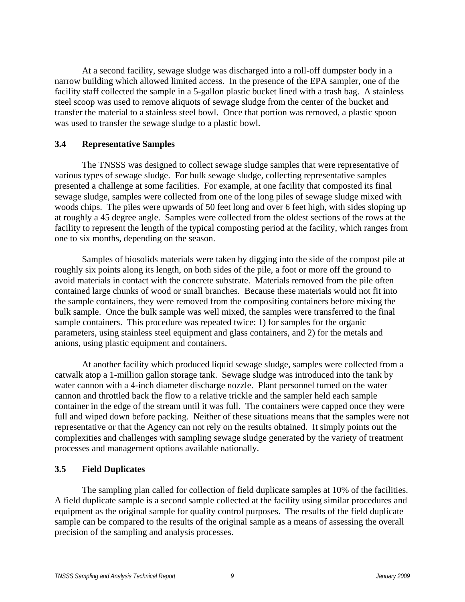At a second facility, sewage sludge was discharged into a roll-off dumpster body in a narrow building which allowed limited access. In the presence of the EPA sampler, one of the facility staff collected the sample in a 5-gallon plastic bucket lined with a trash bag. A stainless steel scoop was used to remove aliquots of sewage sludge from the center of the bucket and transfer the material to a stainless steel bowl. Once that portion was removed, a plastic spoon was used to transfer the sewage sludge to a plastic bowl.

#### **3.4 Representative Samples**

 The TNSSS was designed to collect sewage sludge samples that were representative of various types of sewage sludge. For bulk sewage sludge, collecting representative samples presented a challenge at some facilities. For example, at one facility that composted its final sewage sludge, samples were collected from one of the long piles of sewage sludge mixed with woods chips. The piles were upwards of 50 feet long and over 6 feet high, with sides sloping up at roughly a 45 degree angle. Samples were collected from the oldest sections of the rows at the facility to represent the length of the typical composting period at the facility, which ranges from one to six months, depending on the season.

 Samples of biosolids materials were taken by digging into the side of the compost pile at roughly six points along its length, on both sides of the pile, a foot or more off the ground to avoid materials in contact with the concrete substrate. Materials removed from the pile often contained large chunks of wood or small branches. Because these materials would not fit into the sample containers, they were removed from the compositing containers before mixing the bulk sample. Once the bulk sample was well mixed, the samples were transferred to the final sample containers. This procedure was repeated twice: 1) for samples for the organic parameters, using stainless steel equipment and glass containers, and 2) for the metals and anions, using plastic equipment and containers.

 At another facility which produced liquid sewage sludge, samples were collected from a catwalk atop a 1-million gallon storage tank. Sewage sludge was introduced into the tank by water cannon with a 4-inch diameter discharge nozzle. Plant personnel turned on the water cannon and throttled back the flow to a relative trickle and the sampler held each sample container in the edge of the stream until it was full. The containers were capped once they were full and wiped down before packing. Neither of these situations means that the samples were not representative or that the Agency can not rely on the results obtained. It simply points out the complexities and challenges with sampling sewage sludge generated by the variety of treatment processes and management options available nationally.

#### **3.5 Field Duplicates**

 The sampling plan called for collection of field duplicate samples at 10% of the facilities. A field duplicate sample is a second sample collected at the facility using similar procedures and equipment as the original sample for quality control purposes. The results of the field duplicate sample can be compared to the results of the original sample as a means of assessing the overall precision of the sampling and analysis processes.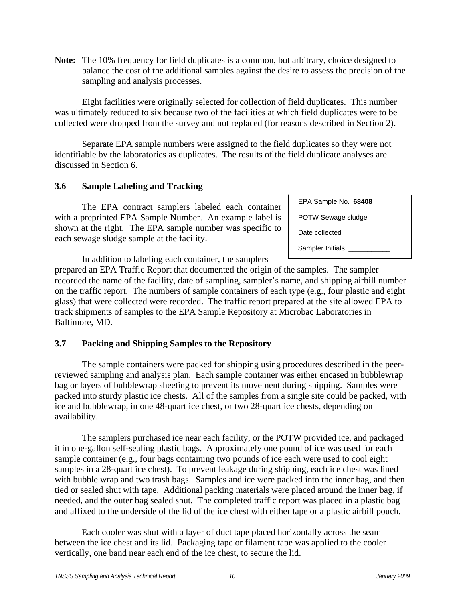**Note:** The 10% frequency for field duplicates is a common, but arbitrary, choice designed to balance the cost of the additional samples against the desire to assess the precision of the sampling and analysis processes.

 Eight facilities were originally selected for collection of field duplicates. This number was ultimately reduced to six because two of the facilities at which field duplicates were to be collected were dropped from the survey and not replaced (for reasons described in Section 2).

 Separate EPA sample numbers were assigned to the field duplicates so they were not identifiable by the laboratories as duplicates. The results of the field duplicate analyses are discussed in Section 6.

#### **3.6 Sample Labeling and Tracking**

The EPA contract samplers labeled each container with a preprinted EPA Sample Number. An example label is shown at the right. The EPA sample number was specific to each sewage sludge sample at the facility.

| EPA Sample No. 68408 |  |
|----------------------|--|
| POTW Sewage sludge   |  |
| Date collected       |  |
| Sampler Initials     |  |

In addition to labeling each container, the samplers

prepared an EPA Traffic Report that documented the origin of the samples. The sampler recorded the name of the facility, date of sampling, sampler's name, and shipping airbill number on the traffic report. The numbers of sample containers of each type (e.g., four plastic and eight glass) that were collected were recorded. The traffic report prepared at the site allowed EPA to track shipments of samples to the EPA Sample Repository at Microbac Laboratories in Baltimore, MD.

#### **3.7 Packing and Shipping Samples to the Repository**

 The sample containers were packed for shipping using procedures described in the peerreviewed sampling and analysis plan. Each sample container was either encased in bubblewrap bag or layers of bubblewrap sheeting to prevent its movement during shipping. Samples were packed into sturdy plastic ice chests. All of the samples from a single site could be packed, with ice and bubblewrap, in one 48-quart ice chest, or two 28-quart ice chests, depending on availability.

 The samplers purchased ice near each facility, or the POTW provided ice, and packaged it in one-gallon self-sealing plastic bags. Approximately one pound of ice was used for each sample container (e.g., four bags containing two pounds of ice each were used to cool eight samples in a 28-quart ice chest). To prevent leakage during shipping, each ice chest was lined with bubble wrap and two trash bags. Samples and ice were packed into the inner bag, and then tied or sealed shut with tape. Additional packing materials were placed around the inner bag, if needed, and the outer bag sealed shut. The completed traffic report was placed in a plastic bag and affixed to the underside of the lid of the ice chest with either tape or a plastic airbill pouch.

 Each cooler was shut with a layer of duct tape placed horizontally across the seam between the ice chest and its lid. Packaging tape or filament tape was applied to the cooler vertically, one band near each end of the ice chest, to secure the lid.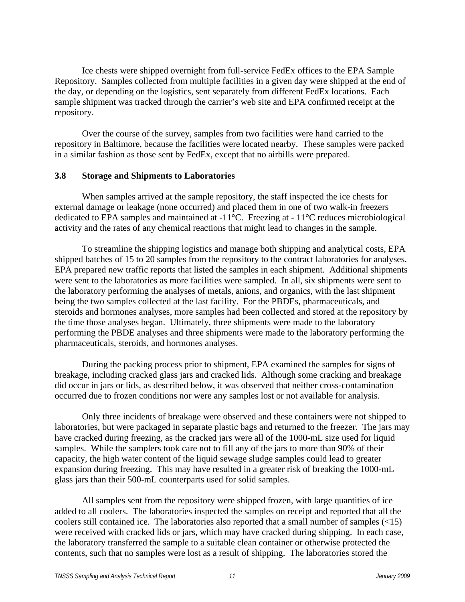Ice chests were shipped overnight from full-service FedEx offices to the EPA Sample Repository. Samples collected from multiple facilities in a given day were shipped at the end of the day, or depending on the logistics, sent separately from different FedEx locations. Each sample shipment was tracked through the carrier's web site and EPA confirmed receipt at the repository.

 Over the course of the survey, samples from two facilities were hand carried to the repository in Baltimore, because the facilities were located nearby. These samples were packed in a similar fashion as those sent by FedEx, except that no airbills were prepared.

#### **3.8 Storage and Shipments to Laboratories**

 When samples arrived at the sample repository, the staff inspected the ice chests for external damage or leakage (none occurred) and placed them in one of two walk-in freezers dedicated to EPA samples and maintained at -11°C. Freezing at - 11°C reduces microbiological activity and the rates of any chemical reactions that might lead to changes in the sample.

 To streamline the shipping logistics and manage both shipping and analytical costs, EPA shipped batches of 15 to 20 samples from the repository to the contract laboratories for analyses. EPA prepared new traffic reports that listed the samples in each shipment. Additional shipments were sent to the laboratories as more facilities were sampled. In all, six shipments were sent to the laboratory performing the analyses of metals, anions, and organics, with the last shipment being the two samples collected at the last facility. For the PBDEs, pharmaceuticals, and steroids and hormones analyses, more samples had been collected and stored at the repository by the time those analyses began. Ultimately, three shipments were made to the laboratory performing the PBDE analyses and three shipments were made to the laboratory performing the pharmaceuticals, steroids, and hormones analyses.

 During the packing process prior to shipment, EPA examined the samples for signs of breakage, including cracked glass jars and cracked lids. Although some cracking and breakage did occur in jars or lids, as described below, it was observed that neither cross-contamination occurred due to frozen conditions nor were any samples lost or not available for analysis.

 Only three incidents of breakage were observed and these containers were not shipped to laboratories, but were packaged in separate plastic bags and returned to the freezer. The jars may have cracked during freezing, as the cracked jars were all of the 1000-mL size used for liquid samples. While the samplers took care not to fill any of the jars to more than 90% of their capacity, the high water content of the liquid sewage sludge samples could lead to greater expansion during freezing. This may have resulted in a greater risk of breaking the 1000-mL glass jars than their 500-mL counterparts used for solid samples.

 All samples sent from the repository were shipped frozen, with large quantities of ice added to all coolers. The laboratories inspected the samples on receipt and reported that all the coolers still contained ice. The laboratories also reported that a small number of samples  $(\leq 15)$ were received with cracked lids or jars, which may have cracked during shipping. In each case, the laboratory transferred the sample to a suitable clean container or otherwise protected the contents, such that no samples were lost as a result of shipping. The laboratories stored the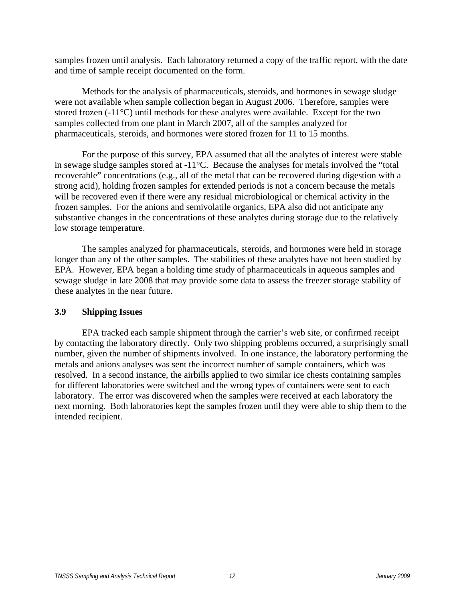samples frozen until analysis. Each laboratory returned a copy of the traffic report, with the date and time of sample receipt documented on the form.

 Methods for the analysis of pharmaceuticals, steroids, and hormones in sewage sludge were not available when sample collection began in August 2006. Therefore, samples were stored frozen (-11°C) until methods for these analytes were available. Except for the two samples collected from one plant in March 2007, all of the samples analyzed for pharmaceuticals, steroids, and hormones were stored frozen for 11 to 15 months.

 For the purpose of this survey, EPA assumed that all the analytes of interest were stable in sewage sludge samples stored at -11°C. Because the analyses for metals involved the "total recoverable" concentrations (e.g., all of the metal that can be recovered during digestion with a strong acid), holding frozen samples for extended periods is not a concern because the metals will be recovered even if there were any residual microbiological or chemical activity in the frozen samples. For the anions and semivolatile organics, EPA also did not anticipate any substantive changes in the concentrations of these analytes during storage due to the relatively low storage temperature.

 The samples analyzed for pharmaceuticals, steroids, and hormones were held in storage longer than any of the other samples. The stabilities of these analytes have not been studied by EPA. However, EPA began a holding time study of pharmaceuticals in aqueous samples and sewage sludge in late 2008 that may provide some data to assess the freezer storage stability of these analytes in the near future.

#### **3.9 Shipping Issues**

 EPA tracked each sample shipment through the carrier's web site, or confirmed receipt by contacting the laboratory directly. Only two shipping problems occurred, a surprisingly small number, given the number of shipments involved. In one instance, the laboratory performing the metals and anions analyses was sent the incorrect number of sample containers, which was resolved. In a second instance, the airbills applied to two similar ice chests containing samples for different laboratories were switched and the wrong types of containers were sent to each laboratory. The error was discovered when the samples were received at each laboratory the next morning. Both laboratories kept the samples frozen until they were able to ship them to the intended recipient.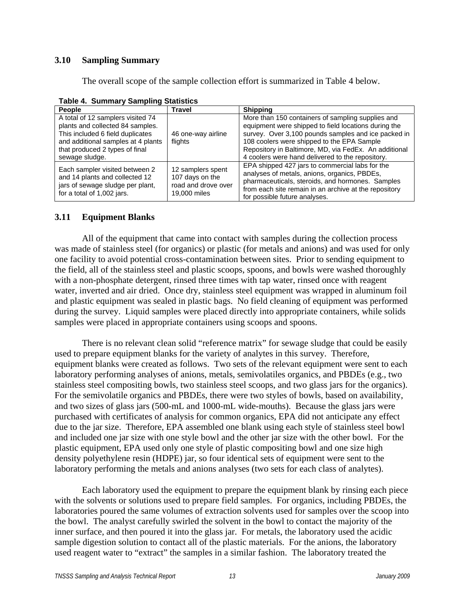#### **3.10 Sampling Summary**

The overall scope of the sample collection effort is summarized in Table 4 below.

| $1400 - 11$ canning y camping classicies<br>People                                                                                                                                                  | Travel                                                                      | <b>Shipping</b>                                                                                                                                                                                                                                                                                                             |
|-----------------------------------------------------------------------------------------------------------------------------------------------------------------------------------------------------|-----------------------------------------------------------------------------|-----------------------------------------------------------------------------------------------------------------------------------------------------------------------------------------------------------------------------------------------------------------------------------------------------------------------------|
| A total of 12 samplers visited 74<br>plants and collected 84 samples.<br>This included 6 field duplicates<br>and additional samples at 4 plants<br>that produced 2 types of final<br>sewage sludge. | 46 one-way airline<br>flights                                               | More than 150 containers of sampling supplies and<br>equipment were shipped to field locations during the<br>survey. Over 3,100 pounds samples and ice packed in<br>108 coolers were shipped to the EPA Sample<br>Repository in Baltimore, MD, via FedEx. An additional<br>4 coolers were hand delivered to the repository. |
| Each sampler visited between 2<br>and 14 plants and collected 12<br>jars of sewage sludge per plant,<br>for a total of 1,002 jars.                                                                  | 12 samplers spent<br>107 days on the<br>road and drove over<br>19,000 miles | EPA shipped 427 jars to commercial labs for the<br>analyses of metals, anions, organics, PBDEs,<br>pharmaceuticals, steroids, and hormones. Samples<br>from each site remain in an archive at the repository<br>for possible future analyses.                                                                               |

**Table 4. Summary Sampling Statistics** 

#### **3.11 Equipment Blanks**

 All of the equipment that came into contact with samples during the collection process was made of stainless steel (for organics) or plastic (for metals and anions) and was used for only one facility to avoid potential cross-contamination between sites. Prior to sending equipment to the field, all of the stainless steel and plastic scoops, spoons, and bowls were washed thoroughly with a non-phosphate detergent, rinsed three times with tap water, rinsed once with reagent water, inverted and air dried. Once dry, stainless steel equipment was wrapped in aluminum foil and plastic equipment was sealed in plastic bags. No field cleaning of equipment was performed during the survey. Liquid samples were placed directly into appropriate containers, while solids samples were placed in appropriate containers using scoops and spoons.

 There is no relevant clean solid "reference matrix" for sewage sludge that could be easily used to prepare equipment blanks for the variety of analytes in this survey. Therefore, equipment blanks were created as follows. Two sets of the relevant equipment were sent to each laboratory performing analyses of anions, metals, semivolatiles organics, and PBDEs (e.g., two stainless steel compositing bowls, two stainless steel scoops, and two glass jars for the organics). For the semivolatile organics and PBDEs, there were two styles of bowls, based on availability, and two sizes of glass jars (500-mL and 1000-mL wide-mouths). Because the glass jars were purchased with certificates of analysis for common organics, EPA did not anticipate any effect due to the jar size. Therefore, EPA assembled one blank using each style of stainless steel bowl and included one jar size with one style bowl and the other jar size with the other bowl. For the plastic equipment, EPA used only one style of plastic compositing bowl and one size high density polyethylene resin (HDPE) jar, so four identical sets of equipment were sent to the laboratory performing the metals and anions analyses (two sets for each class of analytes).

Each laboratory used the equipment to prepare the equipment blank by rinsing each piece with the solvents or solutions used to prepare field samples. For organics, including PBDEs, the laboratories poured the same volumes of extraction solvents used for samples over the scoop into the bowl. The analyst carefully swirled the solvent in the bowl to contact the majority of the inner surface, and then poured it into the glass jar. For metals, the laboratory used the acidic sample digestion solution to contact all of the plastic materials. For the anions, the laboratory used reagent water to "extract" the samples in a similar fashion. The laboratory treated the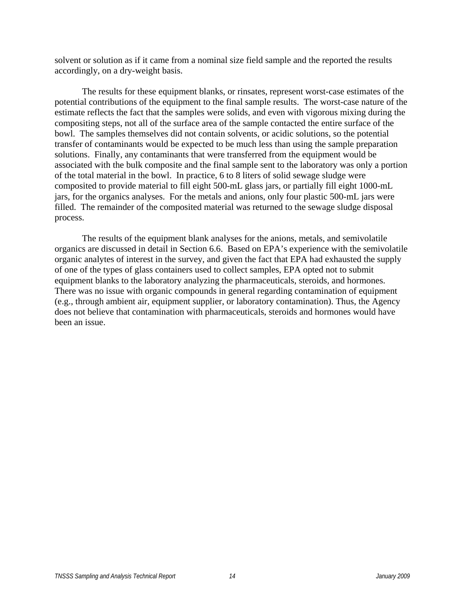solvent or solution as if it came from a nominal size field sample and the reported the results accordingly, on a dry-weight basis.

 The results for these equipment blanks, or rinsates, represent worst-case estimates of the potential contributions of the equipment to the final sample results. The worst-case nature of the estimate reflects the fact that the samples were solids, and even with vigorous mixing during the compositing steps, not all of the surface area of the sample contacted the entire surface of the bowl. The samples themselves did not contain solvents, or acidic solutions, so the potential transfer of contaminants would be expected to be much less than using the sample preparation solutions. Finally, any contaminants that were transferred from the equipment would be associated with the bulk composite and the final sample sent to the laboratory was only a portion of the total material in the bowl. In practice, 6 to 8 liters of solid sewage sludge were composited to provide material to fill eight 500-mL glass jars, or partially fill eight 1000-mL jars, for the organics analyses. For the metals and anions, only four plastic 500-mL jars were filled. The remainder of the composited material was returned to the sewage sludge disposal process.

 The results of the equipment blank analyses for the anions, metals, and semivolatile organics are discussed in detail in Section 6.6. Based on EPA's experience with the semivolatile organic analytes of interest in the survey, and given the fact that EPA had exhausted the supply of one of the types of glass containers used to collect samples, EPA opted not to submit equipment blanks to the laboratory analyzing the pharmaceuticals, steroids, and hormones. There was no issue with organic compounds in general regarding contamination of equipment (e.g., through ambient air, equipment supplier, or laboratory contamination). Thus, the Agency does not believe that contamination with pharmaceuticals, steroids and hormones would have been an issue.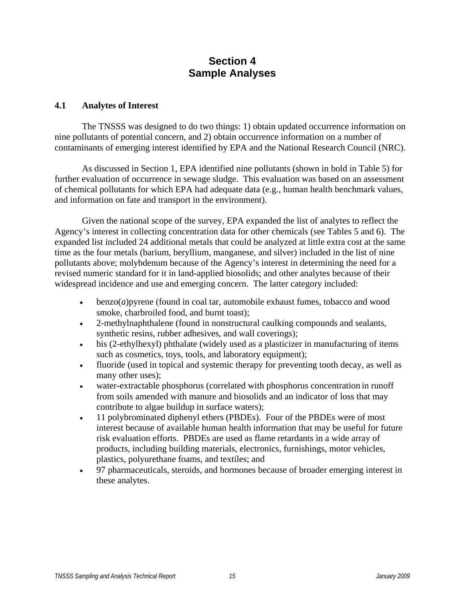## **Section 4 Sample Analyses**

#### **4.1 Analytes of Interest**

 The TNSSS was designed to do two things: 1) obtain updated occurrence information on nine pollutants of potential concern, and 2) obtain occurrence information on a number of contaminants of emerging interest identified by EPA and the National Research Council (NRC).

 As discussed in Section 1, EPA identified nine pollutants (shown in bold in Table 5) for further evaluation of occurrence in sewage sludge. This evaluation was based on an assessment of chemical pollutants for which EPA had adequate data (e.g., human health benchmark values, and information on fate and transport in the environment).

 Given the national scope of the survey, EPA expanded the list of analytes to reflect the Agency's interest in collecting concentration data for other chemicals (see Tables 5 and 6). The expanded list included 24 additional metals that could be analyzed at little extra cost at the same time as the four metals (barium, beryllium, manganese, and silver) included in the list of nine pollutants above; molybdenum because of the Agency's interest in determining the need for a revised numeric standard for it in land-applied biosolids; and other analytes because of their widespread incidence and use and emerging concern. The latter category included:

- benzo(*a*)pyrene (found in coal tar, automobile exhaust fumes, tobacco and wood smoke, charbroiled food, and burnt toast);
- 2-methylnaphthalene (found in nonstructural caulking compounds and sealants, synthetic resins, rubber adhesives, and wall coverings);
- bis (2-ethylhexyl) phthalate (widely used as a plasticizer in manufacturing of items such as cosmetics, toys, tools, and laboratory equipment);
- fluoride (used in topical and systemic therapy for preventing tooth decay, as well as many other uses);
- water-extractable phosphorus (correlated with phosphorus concentration in runoff from soils amended with manure and biosolids and an indicator of loss that may contribute to algae buildup in surface waters);
- 11 polybrominated diphenyl ethers (PBDEs). Four of the PBDEs were of most interest because of available human health information that may be useful for future risk evaluation efforts. PBDEs are used as flame retardants in a wide array of products, including building materials, electronics, furnishings, motor vehicles, plastics, polyurethane foams, and textiles; and
- 97 pharmaceuticals, steroids, and hormones because of broader emerging interest in these analytes.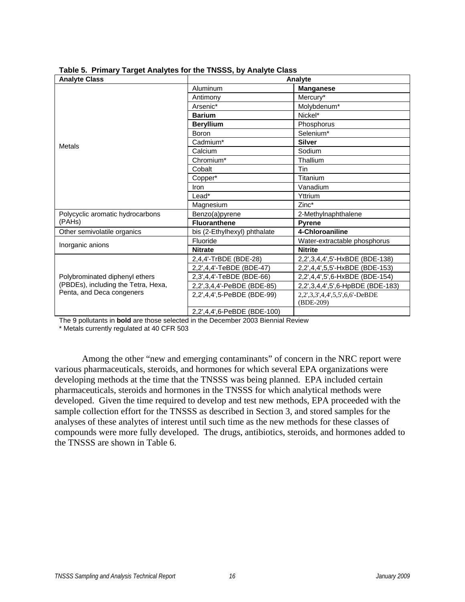| rabic 9. Thinary Target Analytes for the TNOOO, by Analyte Oldss<br><b>Analyte Class</b> | Analyte                      |                                  |  |
|------------------------------------------------------------------------------------------|------------------------------|----------------------------------|--|
|                                                                                          | Aluminum                     | <b>Manganese</b>                 |  |
|                                                                                          | Antimony                     | Mercury*                         |  |
|                                                                                          | Arsenic*                     | Molybdenum*                      |  |
|                                                                                          | <b>Barium</b>                | Nickel*                          |  |
|                                                                                          | <b>Beryllium</b>             | Phosphorus                       |  |
|                                                                                          | Boron                        | Selenium*                        |  |
| Metals                                                                                   | Cadmium*                     | <b>Silver</b>                    |  |
|                                                                                          | Calcium                      | Sodium                           |  |
|                                                                                          | Chromium*                    | Thallium                         |  |
|                                                                                          | Cobalt                       | Tin                              |  |
|                                                                                          | Copper*                      | Titanium                         |  |
|                                                                                          | Iron                         | Vanadium                         |  |
|                                                                                          | Lead*                        | Yttrium                          |  |
|                                                                                          | Magnesium                    | Zinc*                            |  |
| Polycyclic aromatic hydrocarbons                                                         | Benzo(a)pyrene               | 2-Methylnaphthalene              |  |
| (PAHs)                                                                                   | <b>Fluoranthene</b>          | <b>Pyrene</b>                    |  |
| Other semivolatile organics                                                              | bis (2-Ethylhexyl) phthalate | 4-Chloroaniline                  |  |
| Inorganic anions                                                                         | Fluoride                     | Water-extractable phosphorus     |  |
|                                                                                          | <b>Nitrate</b>               | <b>Nitrite</b>                   |  |
|                                                                                          | 2,4,4'-TrBDE (BDE-28)        | 2,2',3,4,4',5'-HxBDE (BDE-138)   |  |
|                                                                                          | 2,2',4,4'-TeBDE (BDE-47)     | 2,2',4,4',5,5'-HxBDE (BDE-153)   |  |
| Polybrominated diphenyl ethers                                                           | 2,3',4,4'-TeBDE (BDE-66)     | 2,2',4,4',5',6-HxBDE (BDE-154)   |  |
| (PBDEs), including the Tetra, Hexa,                                                      | 2,2',3,4,4'-PeBDE (BDE-85)   | 2,2',3,4,4',5',6-HpBDE (BDE-183) |  |
| Penta, and Deca congeners                                                                | 2,2',4,4',5-PeBDE (BDE-99)   | 2,2',3,3',4,4',5,5',6,6'-DeBDE   |  |
|                                                                                          |                              | (BDE-209)                        |  |
|                                                                                          | 2,2',4,4',6-PeBDE (BDE-100)  |                                  |  |

**Table 5. Primary Target Analytes for the TNSSS, by Analyte Class** 

The 9 pollutants in **bold** are those selected in the December 2003 Biennial Review

\* Metals currently regulated at 40 CFR 503

Among the other "new and emerging contaminants" of concern in the NRC report were various pharmaceuticals, steroids, and hormones for which several EPA organizations were developing methods at the time that the TNSSS was being planned. EPA included certain pharmaceuticals, steroids and hormones in the TNSSS for which analytical methods were developed. Given the time required to develop and test new methods, EPA proceeded with the sample collection effort for the TNSSS as described in Section 3, and stored samples for the analyses of these analytes of interest until such time as the new methods for these classes of compounds were more fully developed. The drugs, antibiotics, steroids, and hormones added to the TNSSS are shown in Table 6.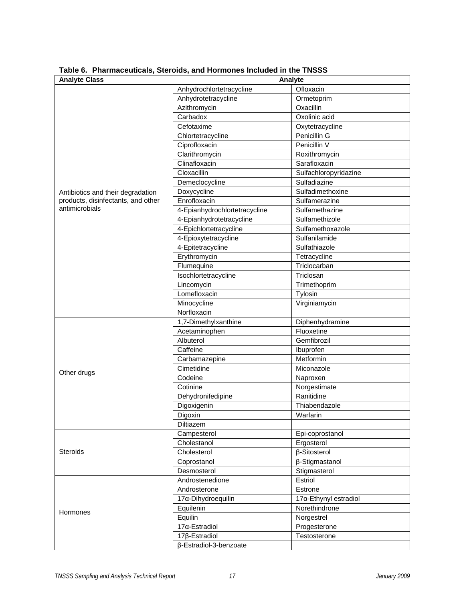| <b>Analyte Class</b>               | Analyte                       |                       |  |
|------------------------------------|-------------------------------|-----------------------|--|
|                                    | Anhydrochlortetracycline      | Ofloxacin             |  |
|                                    | Anhydrotetracycline           | Ormetoprim            |  |
|                                    | Azithromycin                  | Oxacillin             |  |
|                                    | Carbadox                      | Oxolinic acid         |  |
|                                    | Cefotaxime                    | Oxytetracycline       |  |
|                                    | Chlortetracycline             | Penicillin G          |  |
|                                    | Ciprofloxacin                 | Penicillin V          |  |
|                                    | Clarithromycin                | Roxithromycin         |  |
|                                    | Clinafloxacin                 | Sarafloxacin          |  |
|                                    | Cloxacillin                   | Sulfachloropyridazine |  |
|                                    | Demeclocycline                | Sulfadiazine          |  |
| Antibiotics and their degradation  | Doxycycline                   | Sulfadimethoxine      |  |
| products, disinfectants, and other | Enrofloxacin                  | Sulfamerazine         |  |
| antimicrobials                     | 4-Epianhydrochlortetracycline | Sulfamethazine        |  |
|                                    | 4-Epianhydrotetracycline      | Sulfamethizole        |  |
|                                    | 4-Epichlortetracycline        | Sulfamethoxazole      |  |
|                                    | 4-Epioxytetracycline          | Sulfanilamide         |  |
|                                    | 4-Epitetracycline             | Sulfathiazole         |  |
|                                    | Erythromycin                  | Tetracycline          |  |
|                                    | Flumequine                    | Triclocarban          |  |
|                                    | Isochlortetracycline          | Triclosan             |  |
|                                    | Lincomycin                    | Trimethoprim          |  |
|                                    | Lomefloxacin                  | Tylosin               |  |
|                                    | Minocycline                   | Virginiamycin         |  |
|                                    | Norfloxacin                   |                       |  |
|                                    | 1,7-Dimethylxanthine          | Diphenhydramine       |  |
|                                    | Acetaminophen                 | Fluoxetine            |  |
|                                    | Albuterol                     | Gemfibrozil           |  |
|                                    | Caffeine                      | Ibuprofen             |  |
|                                    | Carbamazepine                 | Metformin             |  |
|                                    | Cimetidine                    | Miconazole            |  |
| Other drugs                        | Codeine                       | Naproxen              |  |
|                                    | Cotinine                      | Norgestimate          |  |
|                                    | Dehydronifedipine             | Ranitidine            |  |
|                                    | Digoxigenin                   | Thiabendazole         |  |
|                                    | Digoxin                       | Warfarin              |  |
|                                    | Diltiazem                     |                       |  |
|                                    | Campesterol                   | Epi-coprostanol       |  |
|                                    | Cholestanol                   | Ergosterol            |  |
| <b>Steroids</b>                    | Cholesterol                   | β-Sitosterol          |  |
|                                    | Coprostanol                   | β-Stigmastanol        |  |
|                                    | Desmosterol                   | Stigmasterol          |  |
|                                    | Androstenedione               | Estriol               |  |
|                                    | Androsterone                  | Estrone               |  |
|                                    | 17a-Dihydroequilin            | 17a-Ethynyl estradiol |  |
| Hormones                           | Equilenin                     | Norethindrone         |  |
|                                    | Equilin                       | Norgestrel            |  |
|                                    | 17α-Estradiol                 | Progesterone          |  |
|                                    | 17ß-Estradiol                 | Testosterone          |  |
|                                    | β-Estradiol-3-benzoate        |                       |  |

**Table 6. Pharmaceuticals, Steroids, and Hormones Included in the TNSSS**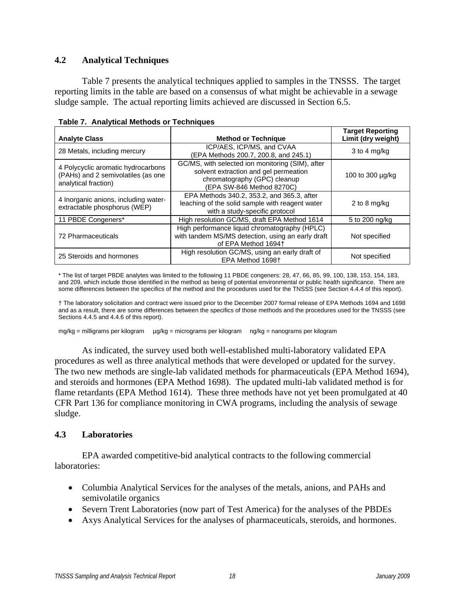#### **4.2 Analytical Techniques**

 Table 7 presents the analytical techniques applied to samples in the TNSSS. The target reporting limits in the table are based on a consensus of what might be achievable in a sewage sludge sample. The actual reporting limits achieved are discussed in Section 6.5.

| <b>Analyte Class</b>                                                                             | <b>Method or Technique</b>                                                                                                                             | <b>Target Reporting</b><br>Limit (dry weight) |
|--------------------------------------------------------------------------------------------------|--------------------------------------------------------------------------------------------------------------------------------------------------------|-----------------------------------------------|
| 28 Metals, including mercury                                                                     | ICP/AES, ICP/MS, and CVAA<br>(EPA Methods 200.7, 200.8, and 245.1)                                                                                     | 3 to 4 mg/kg                                  |
| 4 Polycyclic aromatic hydrocarbons<br>(PAHs) and 2 semivolatiles (as one<br>analytical fraction) | GC/MS, with selected ion monitoring (SIM), after<br>solvent extraction and gel permeation<br>chromatography (GPC) cleanup<br>(EPA SW-846 Method 8270C) | 100 to 300 µg/kg                              |
| 4 Inorganic anions, including water-<br>extractable phosphorus (WEP)                             | EPA Methods 340.2, 353.2, and 365.3, after<br>leaching of the solid sample with reagent water<br>with a study-specific protocol                        | 2 to 8 mg/kg                                  |
| 11 PBDE Congeners*                                                                               | High resolution GC/MS, draft EPA Method 1614                                                                                                           | 5 to 200 ng/kg                                |
| 72 Pharmaceuticals                                                                               | High performance liquid chromatography (HPLC)<br>with tandem MS/MS detection, using an early draft<br>of EPA Method 1694+                              | Not specified                                 |
| 25 Steroids and hormones                                                                         | High resolution GC/MS, using an early draft of<br>EPA Method 1698+                                                                                     | Not specified                                 |

**Table 7. Analytical Methods or Techniques** 

\* The list of target PBDE analytes was limited to the following 11 PBDE congeners: 28, 47, 66, 85, 99, 100, 138, 153, 154, 183, and 209, which include those identified in the method as being of potential environmental or public health significance. There are some differences between the specifics of the method and the procedures used for the TNSSS (see Section 4.4.4 of this report).

† The laboratory solicitation and contract were issued prior to the December 2007 formal release of EPA Methods 1694 and 1698 and as a result, there are some differences between the specifics of those methods and the procedures used for the TNSSS (see Sections 4.4.5 and 4.4.6 of this report).

mg/kg = milligrams per kilogram  $\mu$ g/kg = micrograms per kilogram ng/kg = nanograms per kilogram

 As indicated, the survey used both well-established multi-laboratory validated EPA procedures as well as three analytical methods that were developed or updated for the survey. The two new methods are single-lab validated methods for pharmaceuticals (EPA Method 1694), and steroids and hormones (EPA Method 1698). The updated multi-lab validated method is for flame retardants (EPA Method 1614). These three methods have not yet been promulgated at 40 CFR Part 136 for compliance monitoring in CWA programs, including the analysis of sewage sludge.

#### **4.3 Laboratories**

 EPA awarded competitive-bid analytical contracts to the following commercial laboratories:

- Columbia Analytical Services for the analyses of the metals, anions, and PAHs and semivolatile organics
- Severn Trent Laboratories (now part of Test America) for the analyses of the PBDEs
- Axys Analytical Services for the analyses of pharmaceuticals, steroids, and hormones.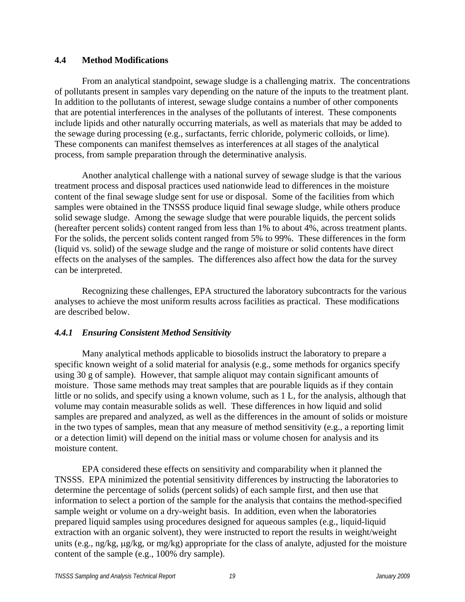#### **4.4 Method Modifications**

 From an analytical standpoint, sewage sludge is a challenging matrix. The concentrations of pollutants present in samples vary depending on the nature of the inputs to the treatment plant. In addition to the pollutants of interest, sewage sludge contains a number of other components that are potential interferences in the analyses of the pollutants of interest. These components include lipids and other naturally occurring materials, as well as materials that may be added to the sewage during processing (e.g., surfactants, ferric chloride, polymeric colloids, or lime). These components can manifest themselves as interferences at all stages of the analytical process, from sample preparation through the determinative analysis.

 Another analytical challenge with a national survey of sewage sludge is that the various treatment process and disposal practices used nationwide lead to differences in the moisture content of the final sewage sludge sent for use or disposal. Some of the facilities from which samples were obtained in the TNSSS produce liquid final sewage sludge, while others produce solid sewage sludge. Among the sewage sludge that were pourable liquids, the percent solids (hereafter percent solids) content ranged from less than 1% to about 4%, across treatment plants. For the solids, the percent solids content ranged from 5% to 99%. These differences in the form (liquid vs. solid) of the sewage sludge and the range of moisture or solid contents have direct effects on the analyses of the samples. The differences also affect how the data for the survey can be interpreted.

 Recognizing these challenges, EPA structured the laboratory subcontracts for the various analyses to achieve the most uniform results across facilities as practical. These modifications are described below.

#### *4.4.1 Ensuring Consistent Method Sensitivity*

 Many analytical methods applicable to biosolids instruct the laboratory to prepare a specific known weight of a solid material for analysis (e.g., some methods for organics specify using 30 g of sample). However, that sample aliquot may contain significant amounts of moisture. Those same methods may treat samples that are pourable liquids as if they contain little or no solids, and specify using a known volume, such as 1 L, for the analysis, although that volume may contain measurable solids as well. These differences in how liquid and solid samples are prepared and analyzed, as well as the differences in the amount of solids or moisture in the two types of samples, mean that any measure of method sensitivity (e.g., a reporting limit or a detection limit) will depend on the initial mass or volume chosen for analysis and its moisture content.

 EPA considered these effects on sensitivity and comparability when it planned the TNSSS. EPA minimized the potential sensitivity differences by instructing the laboratories to determine the percentage of solids (percent solids) of each sample first, and then use that information to select a portion of the sample for the analysis that contains the method-specified sample weight or volume on a dry-weight basis. In addition, even when the laboratories prepared liquid samples using procedures designed for aqueous samples (e.g., liquid-liquid extraction with an organic solvent), they were instructed to report the results in weight/weight units (e.g., ng/kg,  $\mu$ g/kg, or mg/kg) appropriate for the class of analyte, adjusted for the moisture content of the sample (e.g., 100% dry sample).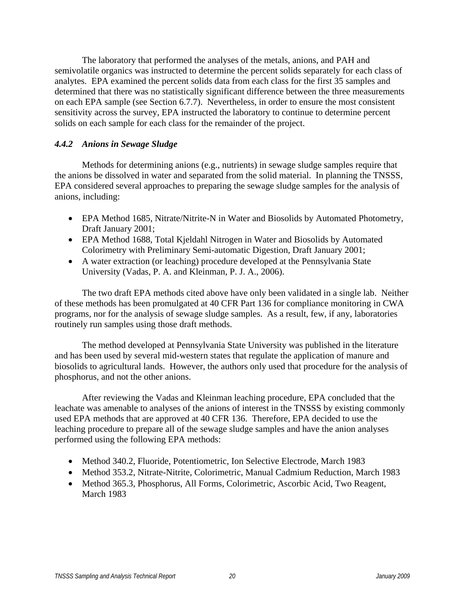The laboratory that performed the analyses of the metals, anions, and PAH and semivolatile organics was instructed to determine the percent solids separately for each class of analytes. EPA examined the percent solids data from each class for the first 35 samples and determined that there was no statistically significant difference between the three measurements on each EPA sample (see Section 6.7.7). Nevertheless, in order to ensure the most consistent sensitivity across the survey, EPA instructed the laboratory to continue to determine percent solids on each sample for each class for the remainder of the project.

#### *4.4.2 Anions in Sewage Sludge*

 Methods for determining anions (e.g., nutrients) in sewage sludge samples require that the anions be dissolved in water and separated from the solid material. In planning the TNSSS, EPA considered several approaches to preparing the sewage sludge samples for the analysis of anions, including:

- EPA Method 1685, Nitrate/Nitrite-N in Water and Biosolids by Automated Photometry, Draft January 2001;
- EPA Method 1688, Total Kjeldahl Nitrogen in Water and Biosolids by Automated Colorimetry with Preliminary Semi-automatic Digestion, Draft January 2001;
- A water extraction (or leaching) procedure developed at the Pennsylvania State University (Vadas, P. A. and Kleinman, P. J. A., 2006).

 The two draft EPA methods cited above have only been validated in a single lab. Neither of these methods has been promulgated at 40 CFR Part 136 for compliance monitoring in CWA programs, nor for the analysis of sewage sludge samples. As a result, few, if any, laboratories routinely run samples using those draft methods.

 The method developed at Pennsylvania State University was published in the literature and has been used by several mid-western states that regulate the application of manure and biosolids to agricultural lands. However, the authors only used that procedure for the analysis of phosphorus, and not the other anions.

 After reviewing the Vadas and Kleinman leaching procedure, EPA concluded that the leachate was amenable to analyses of the anions of interest in the TNSSS by existing commonly used EPA methods that are approved at 40 CFR 136. Therefore, EPA decided to use the leaching procedure to prepare all of the sewage sludge samples and have the anion analyses performed using the following EPA methods:

- Method 340.2, Fluoride, Potentiometric, Ion Selective Electrode, March 1983
- Method 353.2, Nitrate-Nitrite, Colorimetric, Manual Cadmium Reduction, March 1983
- Method 365.3, Phosphorus, All Forms, Colorimetric, Ascorbic Acid, Two Reagent, March 1983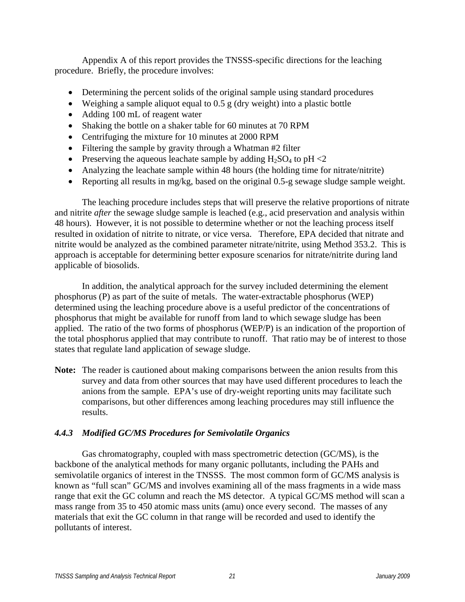Appendix A of this report provides the TNSSS-specific directions for the leaching procedure. Briefly, the procedure involves:

- Determining the percent solids of the original sample using standard procedures
- $\bullet$  Weighing a sample aliquot equal to 0.5 g (dry weight) into a plastic bottle
- Adding 100 mL of reagent water
- Shaking the bottle on a shaker table for 60 minutes at 70 RPM
- Centrifuging the mixture for 10 minutes at 2000 RPM
- Filtering the sample by gravity through a Whatman #2 filter
- Preserving the aqueous leachate sample by adding  $H_2SO_4$  to pH <2
- Analyzing the leachate sample within 48 hours (the holding time for nitrate/nitrite)
- Reporting all results in mg/kg, based on the original 0.5-g sewage sludge sample weight.

 The leaching procedure includes steps that will preserve the relative proportions of nitrate and nitrite *after* the sewage sludge sample is leached (e.g., acid preservation and analysis within 48 hours). However, it is not possible to determine whether or not the leaching process itself resulted in oxidation of nitrite to nitrate, or vice versa. Therefore, EPA decided that nitrate and nitrite would be analyzed as the combined parameter nitrate/nitrite, using Method 353.2. This is approach is acceptable for determining better exposure scenarios for nitrate/nitrite during land applicable of biosolids.

 In addition, the analytical approach for the survey included determining the element phosphorus (P) as part of the suite of metals. The water-extractable phosphorus (WEP) determined using the leaching procedure above is a useful predictor of the concentrations of phosphorus that might be available for runoff from land to which sewage sludge has been applied. The ratio of the two forms of phosphorus (WEP/P) is an indication of the proportion of the total phosphorus applied that may contribute to runoff. That ratio may be of interest to those states that regulate land application of sewage sludge.

**Note:** The reader is cautioned about making comparisons between the anion results from this survey and data from other sources that may have used different procedures to leach the anions from the sample. EPA's use of dry-weight reporting units may facilitate such comparisons, but other differences among leaching procedures may still influence the results.

#### *4.4.3 Modified GC/MS Procedures for Semivolatile Organics*

 Gas chromatography, coupled with mass spectrometric detection (GC/MS), is the backbone of the analytical methods for many organic pollutants, including the PAHs and semivolatile organics of interest in the TNSSS. The most common form of GC/MS analysis is known as "full scan" GC/MS and involves examining all of the mass fragments in a wide mass range that exit the GC column and reach the MS detector. A typical GC/MS method will scan a mass range from 35 to 450 atomic mass units (amu) once every second. The masses of any materials that exit the GC column in that range will be recorded and used to identify the pollutants of interest.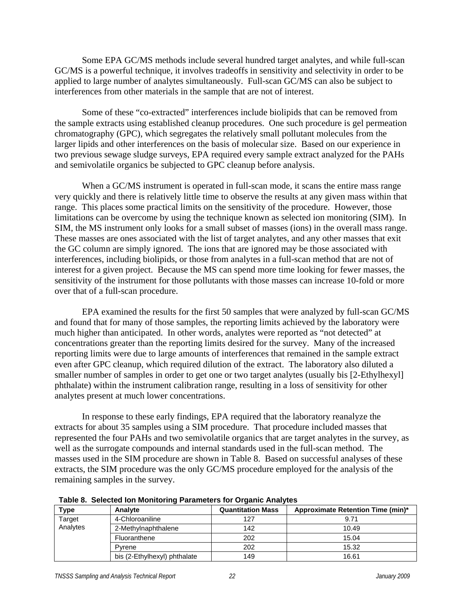Some EPA GC/MS methods include several hundred target analytes, and while full-scan GC/MS is a powerful technique, it involves tradeoffs in sensitivity and selectivity in order to be applied to large number of analytes simultaneously. Full-scan GC/MS can also be subject to interferences from other materials in the sample that are not of interest.

 Some of these "co-extracted" interferences include biolipids that can be removed from the sample extracts using established cleanup procedures. One such procedure is gel permeation chromatography (GPC), which segregates the relatively small pollutant molecules from the larger lipids and other interferences on the basis of molecular size. Based on our experience in two previous sewage sludge surveys, EPA required every sample extract analyzed for the PAHs and semivolatile organics be subjected to GPC cleanup before analysis.

 When a GC/MS instrument is operated in full-scan mode, it scans the entire mass range very quickly and there is relatively little time to observe the results at any given mass within that range. This places some practical limits on the sensitivity of the procedure. However, those limitations can be overcome by using the technique known as selected ion monitoring (SIM). In SIM, the MS instrument only looks for a small subset of masses (ions) in the overall mass range. These masses are ones associated with the list of target analytes, and any other masses that exit the GC column are simply ignored. The ions that are ignored may be those associated with interferences, including biolipids, or those from analytes in a full-scan method that are not of interest for a given project. Because the MS can spend more time looking for fewer masses, the sensitivity of the instrument for those pollutants with those masses can increase 10-fold or more over that of a full-scan procedure.

 EPA examined the results for the first 50 samples that were analyzed by full-scan GC/MS and found that for many of those samples, the reporting limits achieved by the laboratory were much higher than anticipated. In other words, analytes were reported as "not detected" at concentrations greater than the reporting limits desired for the survey. Many of the increased reporting limits were due to large amounts of interferences that remained in the sample extract even after GPC cleanup, which required dilution of the extract. The laboratory also diluted a smaller number of samples in order to get one or two target analytes (usually bis [2-Ethylhexyl] phthalate) within the instrument calibration range, resulting in a loss of sensitivity for other analytes present at much lower concentrations.

 In response to these early findings, EPA required that the laboratory reanalyze the extracts for about 35 samples using a SIM procedure. That procedure included masses that represented the four PAHs and two semivolatile organics that are target analytes in the survey, as well as the surrogate compounds and internal standards used in the full-scan method. The masses used in the SIM procedure are shown in Table 8. Based on successful analyses of these extracts, the SIM procedure was the only GC/MS procedure employed for the analysis of the remaining samples in the survey.

| Type               | Analyte                      | <b>Quantitation Mass</b> | Approximate Retention Time (min)* |  |  |
|--------------------|------------------------------|--------------------------|-----------------------------------|--|--|
| Target<br>Analytes | 4-Chloroaniline              | 127                      | 9.71                              |  |  |
|                    | 2-Methylnaphthalene          | 142                      | 10.49                             |  |  |
|                    | Fluoranthene                 | 202                      | 15.04                             |  |  |
|                    | Pyrene                       | 202                      | 15.32                             |  |  |
|                    | bis (2-Ethylhexyl) phthalate | 149                      | 16.61                             |  |  |

**Table 8. Selected Ion Monitoring Parameters for Organic Analytes**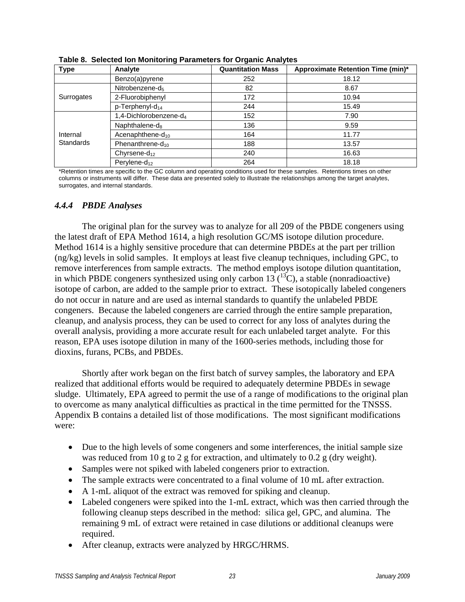| Type                         | Analyte                            | <b>Quantitation Mass</b> | Approximate Retention Time (min)* |
|------------------------------|------------------------------------|--------------------------|-----------------------------------|
|                              | Benzo(a)pyrene                     | 252                      | 18.12                             |
| Surrogates                   | Nitrobenzene-d <sub>5</sub>        | 82                       | 8.67                              |
|                              | 2-Fluorobiphenyl                   | 172                      | 10.94                             |
|                              | p-Terphenyl-d <sub>14</sub>        | 244                      | 15.49                             |
| Internal<br><b>Standards</b> | 1,4-Dichlorobenzene-d <sub>4</sub> | 152                      | 7.90                              |
|                              | Naphthalene- $d_8$                 | 136                      | 9.59                              |
|                              | Acenaphthene- $d_{10}$             | 164                      | 11.77                             |
|                              | Phenanthrene- $d_{10}$             | 188                      | 13.57                             |
|                              | Chyrsene- $d_{12}$                 | 240                      | 16.63                             |
|                              | Perylene- $d_{12}$                 | 264                      | 18.18                             |

**Table 8. Selected Ion Monitoring Parameters for Organic Analytes** 

\*Retention times are specific to the GC column and operating conditions used for these samples. Retentions times on other columns or instruments will differ. These data are presented solely to illustrate the relationships among the target analytes, surrogates, and internal standards.

#### *4.4.4 PBDE Analyses*

 The original plan for the survey was to analyze for all 209 of the PBDE congeners using the latest draft of EPA Method 1614, a high resolution GC/MS isotope dilution procedure. Method 1614 is a highly sensitive procedure that can determine PBDEs at the part per trillion (ng/kg) levels in solid samples. It employs at least five cleanup techniques, including GPC, to remove interferences from sample extracts. The method employs isotope dilution quantitation, in which PBDE congeners synthesized using only carbon 13  $(^{13}C)$ , a stable (nonradioactive) isotope of carbon, are added to the sample prior to extract. These isotopically labeled congeners do not occur in nature and are used as internal standards to quantify the unlabeled PBDE congeners. Because the labeled congeners are carried through the entire sample preparation, cleanup, and analysis process, they can be used to correct for any loss of analytes during the overall analysis, providing a more accurate result for each unlabeled target analyte. For this reason, EPA uses isotope dilution in many of the 1600-series methods, including those for dioxins, furans, PCBs, and PBDEs.

 Shortly after work began on the first batch of survey samples, the laboratory and EPA realized that additional efforts would be required to adequately determine PBDEs in sewage sludge. Ultimately, EPA agreed to permit the use of a range of modifications to the original plan to overcome as many analytical difficulties as practical in the time permitted for the TNSSS. Appendix B contains a detailed list of those modifications. The most significant modifications were:

- Due to the high levels of some congeners and some interferences, the initial sample size was reduced from 10 g to 2 g for extraction, and ultimately to 0.2 g (dry weight).
- Samples were not spiked with labeled congeners prior to extraction.
- The sample extracts were concentrated to a final volume of 10 mL after extraction.
- A 1-mL aliquot of the extract was removed for spiking and cleanup.
- Labeled congeners were spiked into the 1-mL extract, which was then carried through the following cleanup steps described in the method: silica gel, GPC, and alumina. The remaining 9 mL of extract were retained in case dilutions or additional cleanups were required.
- After cleanup, extracts were analyzed by HRGC/HRMS.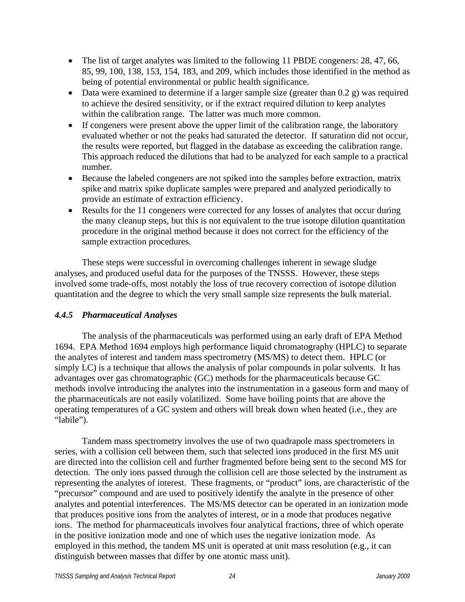- The list of target analytes was limited to the following 11 PBDE congeners: 28, 47, 66, 85, 99, 100, 138, 153, 154, 183, and 209, which includes those identified in the method as being of potential environmental or public health significance.
- Data were examined to determine if a larger sample size (greater than  $0.2$  g) was required to achieve the desired sensitivity, or if the extract required dilution to keep analytes within the calibration range. The latter was much more common.
- If congeners were present above the upper limit of the calibration range, the laboratory evaluated whether or not the peaks had saturated the detector. If saturation did not occur, the results were reported, but flagged in the database as exceeding the calibration range. This approach reduced the dilutions that had to be analyzed for each sample to a practical number.
- Because the labeled congeners are not spiked into the samples before extraction, matrix spike and matrix spike duplicate samples were prepared and analyzed periodically to provide an estimate of extraction efficiency.
- Results for the 11 congeners were corrected for any losses of analytes that occur during the many cleanup steps, but this is not equivalent to the true isotope dilution quantitation procedure in the original method because it does not correct for the efficiency of the sample extraction procedures.

 These steps were successful in overcoming challenges inherent in sewage sludge analyses, and produced useful data for the purposes of the TNSSS. However, these steps involved some trade-offs, most notably the loss of true recovery correction of isotope dilution quantitation and the degree to which the very small sample size represents the bulk material.

#### *4.4.5 Pharmaceutical Analyses*

 The analysis of the pharmaceuticals was performed using an early draft of EPA Method 1694. EPA Method 1694 employs high performance liquid chromatography (HPLC) to separate the analytes of interest and tandem mass spectrometry (MS/MS) to detect them. HPLC (or simply LC) is a technique that allows the analysis of polar compounds in polar solvents. It has advantages over gas chromatographic (GC) methods for the pharmaceuticals because GC methods involve introducing the analytes into the instrumentation in a gaseous form and many of the pharmaceuticals are not easily volatilized. Some have boiling points that are above the operating temperatures of a GC system and others will break down when heated (i.e., they are "labile").

 Tandem mass spectrometry involves the use of two quadrapole mass spectrometers in series, with a collision cell between them, such that selected ions produced in the first MS unit are directed into the collision cell and further fragmented before being sent to the second MS for detection. The only ions passed through the collision cell are those selected by the instrument as representing the analytes of interest. These fragments, or "product" ions, are characteristic of the "precursor" compound and are used to positively identify the analyte in the presence of other analytes and potential interferences. The MS/MS detector can be operated in an ionization mode that produces positive ions from the analytes of interest, or in a mode that produces negative ions. The method for pharmaceuticals involves four analytical fractions, three of which operate in the positive ionization mode and one of which uses the negative ionization mode. As employed in this method, the tandem MS unit is operated at unit mass resolution (e.g., it can distinguish between masses that differ by one atomic mass unit).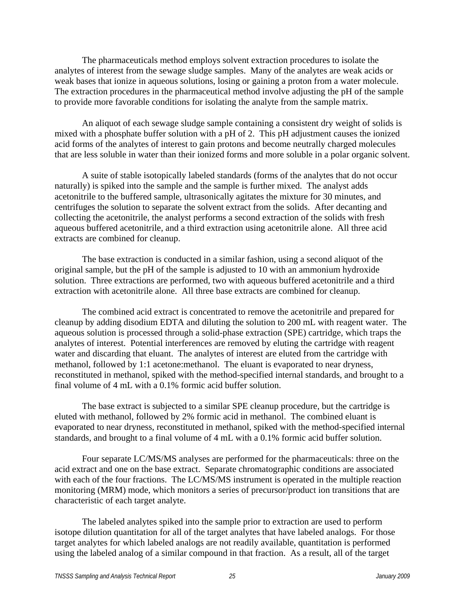The pharmaceuticals method employs solvent extraction procedures to isolate the analytes of interest from the sewage sludge samples. Many of the analytes are weak acids or weak bases that ionize in aqueous solutions, losing or gaining a proton from a water molecule. The extraction procedures in the pharmaceutical method involve adjusting the pH of the sample to provide more favorable conditions for isolating the analyte from the sample matrix.

 An aliquot of each sewage sludge sample containing a consistent dry weight of solids is mixed with a phosphate buffer solution with a pH of 2. This pH adjustment causes the ionized acid forms of the analytes of interest to gain protons and become neutrally charged molecules that are less soluble in water than their ionized forms and more soluble in a polar organic solvent.

 A suite of stable isotopically labeled standards (forms of the analytes that do not occur naturally) is spiked into the sample and the sample is further mixed. The analyst adds acetonitrile to the buffered sample, ultrasonically agitates the mixture for 30 minutes, and centrifuges the solution to separate the solvent extract from the solids. After decanting and collecting the acetonitrile, the analyst performs a second extraction of the solids with fresh aqueous buffered acetonitrile, and a third extraction using acetonitrile alone. All three acid extracts are combined for cleanup.

 The base extraction is conducted in a similar fashion, using a second aliquot of the original sample, but the pH of the sample is adjusted to 10 with an ammonium hydroxide solution. Three extractions are performed, two with aqueous buffered acetonitrile and a third extraction with acetonitrile alone. All three base extracts are combined for cleanup.

 The combined acid extract is concentrated to remove the acetonitrile and prepared for cleanup by adding disodium EDTA and diluting the solution to 200 mL with reagent water. The aqueous solution is processed through a solid-phase extraction (SPE) cartridge, which traps the analytes of interest. Potential interferences are removed by eluting the cartridge with reagent water and discarding that eluant. The analytes of interest are eluted from the cartridge with methanol, followed by 1:1 acetone:methanol. The eluant is evaporated to near dryness, reconstituted in methanol, spiked with the method-specified internal standards, and brought to a final volume of 4 mL with a 0.1% formic acid buffer solution.

 The base extract is subjected to a similar SPE cleanup procedure, but the cartridge is eluted with methanol, followed by 2% formic acid in methanol. The combined eluant is evaporated to near dryness, reconstituted in methanol, spiked with the method-specified internal standards, and brought to a final volume of 4 mL with a 0.1% formic acid buffer solution.

 Four separate LC/MS/MS analyses are performed for the pharmaceuticals: three on the acid extract and one on the base extract. Separate chromatographic conditions are associated with each of the four fractions. The LC/MS/MS instrument is operated in the multiple reaction monitoring (MRM) mode, which monitors a series of precursor/product ion transitions that are characteristic of each target analyte.

 The labeled analytes spiked into the sample prior to extraction are used to perform isotope dilution quantitation for all of the target analytes that have labeled analogs. For those target analytes for which labeled analogs are not readily available, quantitation is performed using the labeled analog of a similar compound in that fraction. As a result, all of the target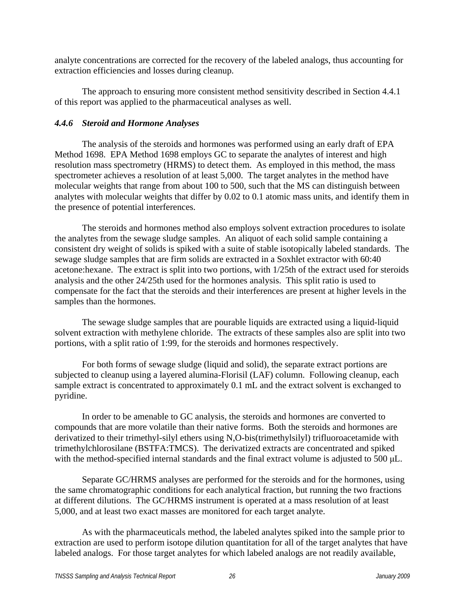analyte concentrations are corrected for the recovery of the labeled analogs, thus accounting for extraction efficiencies and losses during cleanup.

 The approach to ensuring more consistent method sensitivity described in Section 4.4.1 of this report was applied to the pharmaceutical analyses as well.

#### *4.4.6 Steroid and Hormone Analyses*

 The analysis of the steroids and hormones was performed using an early draft of EPA Method 1698. EPA Method 1698 employs GC to separate the analytes of interest and high resolution mass spectrometry (HRMS) to detect them. As employed in this method, the mass spectrometer achieves a resolution of at least 5,000. The target analytes in the method have molecular weights that range from about 100 to 500, such that the MS can distinguish between analytes with molecular weights that differ by 0.02 to 0.1 atomic mass units, and identify them in the presence of potential interferences.

 The steroids and hormones method also employs solvent extraction procedures to isolate the analytes from the sewage sludge samples. An aliquot of each solid sample containing a consistent dry weight of solids is spiked with a suite of stable isotopically labeled standards. The sewage sludge samples that are firm solids are extracted in a Soxhlet extractor with 60:40 acetone:hexane. The extract is split into two portions, with 1/25th of the extract used for steroids analysis and the other 24/25th used for the hormones analysis. This split ratio is used to compensate for the fact that the steroids and their interferences are present at higher levels in the samples than the hormones.

 The sewage sludge samples that are pourable liquids are extracted using a liquid-liquid solvent extraction with methylene chloride. The extracts of these samples also are split into two portions, with a split ratio of 1:99, for the steroids and hormones respectively.

 For both forms of sewage sludge (liquid and solid), the separate extract portions are subjected to cleanup using a layered alumina-Florisil (LAF) column. Following cleanup, each sample extract is concentrated to approximately 0.1 mL and the extract solvent is exchanged to pyridine.

 In order to be amenable to GC analysis, the steroids and hormones are converted to compounds that are more volatile than their native forms. Both the steroids and hormones are derivatized to their trimethyl-silyl ethers using N,O-bis(trimethylsilyl) trifluoroacetamide with trimethylchlorosilane (BSTFA:TMCS). The derivatized extracts are concentrated and spiked with the method-specified internal standards and the final extract volume is adjusted to 500 μL.

 Separate GC/HRMS analyses are performed for the steroids and for the hormones, using the same chromatographic conditions for each analytical fraction, but running the two fractions at different dilutions. The GC/HRMS instrument is operated at a mass resolution of at least 5,000, and at least two exact masses are monitored for each target analyte.

 As with the pharmaceuticals method, the labeled analytes spiked into the sample prior to extraction are used to perform isotope dilution quantitation for all of the target analytes that have labeled analogs. For those target analytes for which labeled analogs are not readily available,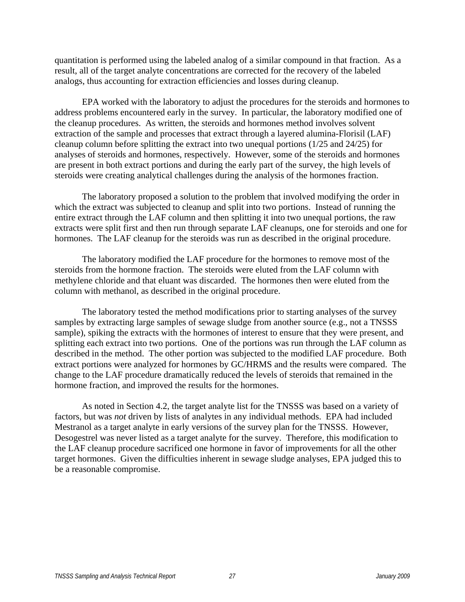quantitation is performed using the labeled analog of a similar compound in that fraction. As a result, all of the target analyte concentrations are corrected for the recovery of the labeled analogs, thus accounting for extraction efficiencies and losses during cleanup.

 EPA worked with the laboratory to adjust the procedures for the steroids and hormones to address problems encountered early in the survey. In particular, the laboratory modified one of the cleanup procedures. As written, the steroids and hormones method involves solvent extraction of the sample and processes that extract through a layered alumina-Florisil (LAF) cleanup column before splitting the extract into two unequal portions (1/25 and 24/25) for analyses of steroids and hormones, respectively. However, some of the steroids and hormones are present in both extract portions and during the early part of the survey, the high levels of steroids were creating analytical challenges during the analysis of the hormones fraction.

 The laboratory proposed a solution to the problem that involved modifying the order in which the extract was subjected to cleanup and split into two portions. Instead of running the entire extract through the LAF column and then splitting it into two unequal portions, the raw extracts were split first and then run through separate LAF cleanups, one for steroids and one for hormones. The LAF cleanup for the steroids was run as described in the original procedure.

 The laboratory modified the LAF procedure for the hormones to remove most of the steroids from the hormone fraction. The steroids were eluted from the LAF column with methylene chloride and that eluant was discarded. The hormones then were eluted from the column with methanol, as described in the original procedure.

 The laboratory tested the method modifications prior to starting analyses of the survey samples by extracting large samples of sewage sludge from another source (e.g., not a TNSSS sample), spiking the extracts with the hormones of interest to ensure that they were present, and splitting each extract into two portions. One of the portions was run through the LAF column as described in the method. The other portion was subjected to the modified LAF procedure. Both extract portions were analyzed for hormones by GC/HRMS and the results were compared. The change to the LAF procedure dramatically reduced the levels of steroids that remained in the hormone fraction, and improved the results for the hormones.

 As noted in Section 4.2, the target analyte list for the TNSSS was based on a variety of factors, but was *not* driven by lists of analytes in any individual methods. EPA had included Mestranol as a target analyte in early versions of the survey plan for the TNSSS. However, Desogestrel was never listed as a target analyte for the survey. Therefore, this modification to the LAF cleanup procedure sacrificed one hormone in favor of improvements for all the other target hormones. Given the difficulties inherent in sewage sludge analyses, EPA judged this to be a reasonable compromise.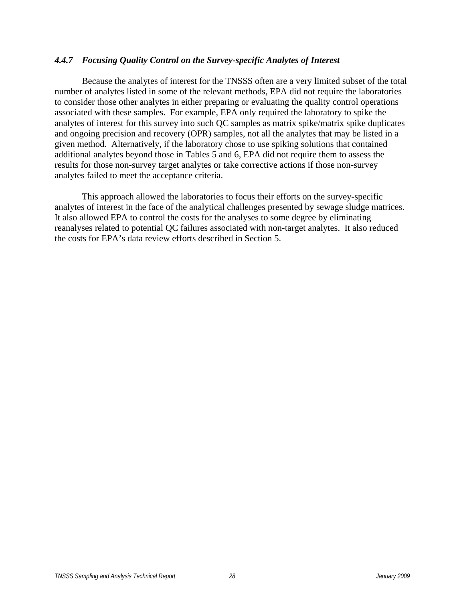# *4.4.7 Focusing Quality Control on the Survey-specific Analytes of Interest*

 Because the analytes of interest for the TNSSS often are a very limited subset of the total number of analytes listed in some of the relevant methods, EPA did not require the laboratories to consider those other analytes in either preparing or evaluating the quality control operations associated with these samples. For example, EPA only required the laboratory to spike the analytes of interest for this survey into such QC samples as matrix spike/matrix spike duplicates and ongoing precision and recovery (OPR) samples, not all the analytes that may be listed in a given method. Alternatively, if the laboratory chose to use spiking solutions that contained additional analytes beyond those in Tables 5 and 6, EPA did not require them to assess the results for those non-survey target analytes or take corrective actions if those non-survey analytes failed to meet the acceptance criteria.

 This approach allowed the laboratories to focus their efforts on the survey-specific analytes of interest in the face of the analytical challenges presented by sewage sludge matrices. It also allowed EPA to control the costs for the analyses to some degree by eliminating reanalyses related to potential QC failures associated with non-target analytes. It also reduced the costs for EPA's data review efforts described in Section 5.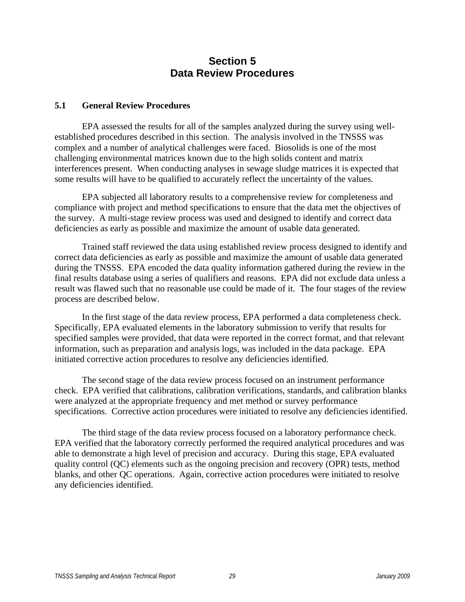# **Section 5 Data Review Procedures**

# **5.1 General Review Procedures**

 EPA assessed the results for all of the samples analyzed during the survey using wellestablished procedures described in this section. The analysis involved in the TNSSS was complex and a number of analytical challenges were faced. Biosolids is one of the most challenging environmental matrices known due to the high solids content and matrix interferences present. When conducting analyses in sewage sludge matrices it is expected that some results will have to be qualified to accurately reflect the uncertainty of the values.

 EPA subjected all laboratory results to a comprehensive review for completeness and compliance with project and method specifications to ensure that the data met the objectives of the survey. A multi-stage review process was used and designed to identify and correct data deficiencies as early as possible and maximize the amount of usable data generated.

 Trained staff reviewed the data using established review process designed to identify and correct data deficiencies as early as possible and maximize the amount of usable data generated during the TNSSS. EPA encoded the data quality information gathered during the review in the final results database using a series of qualifiers and reasons. EPA did not exclude data unless a result was flawed such that no reasonable use could be made of it. The four stages of the review process are described below.

 In the first stage of the data review process, EPA performed a data completeness check. Specifically, EPA evaluated elements in the laboratory submission to verify that results for specified samples were provided, that data were reported in the correct format, and that relevant information, such as preparation and analysis logs, was included in the data package. EPA initiated corrective action procedures to resolve any deficiencies identified.

 The second stage of the data review process focused on an instrument performance check. EPA verified that calibrations, calibration verifications, standards, and calibration blanks were analyzed at the appropriate frequency and met method or survey performance specifications. Corrective action procedures were initiated to resolve any deficiencies identified.

 The third stage of the data review process focused on a laboratory performance check. EPA verified that the laboratory correctly performed the required analytical procedures and was able to demonstrate a high level of precision and accuracy. During this stage, EPA evaluated quality control (QC) elements such as the ongoing precision and recovery (OPR) tests, method blanks, and other QC operations. Again, corrective action procedures were initiated to resolve any deficiencies identified.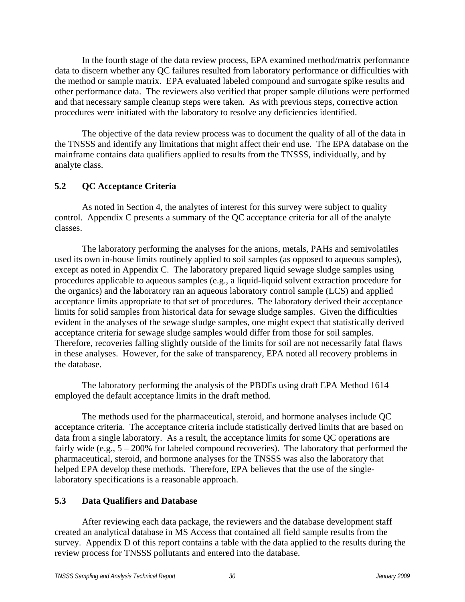In the fourth stage of the data review process, EPA examined method/matrix performance data to discern whether any QC failures resulted from laboratory performance or difficulties with the method or sample matrix. EPA evaluated labeled compound and surrogate spike results and other performance data. The reviewers also verified that proper sample dilutions were performed and that necessary sample cleanup steps were taken. As with previous steps, corrective action procedures were initiated with the laboratory to resolve any deficiencies identified.

 The objective of the data review process was to document the quality of all of the data in the TNSSS and identify any limitations that might affect their end use. The EPA database on the mainframe contains data qualifiers applied to results from the TNSSS, individually, and by analyte class.

# **5.2 QC Acceptance Criteria**

 As noted in Section 4, the analytes of interest for this survey were subject to quality control. Appendix C presents a summary of the QC acceptance criteria for all of the analyte classes.

 The laboratory performing the analyses for the anions, metals, PAHs and semivolatiles used its own in-house limits routinely applied to soil samples (as opposed to aqueous samples), except as noted in Appendix C. The laboratory prepared liquid sewage sludge samples using procedures applicable to aqueous samples (e.g., a liquid-liquid solvent extraction procedure for the organics) and the laboratory ran an aqueous laboratory control sample (LCS) and applied acceptance limits appropriate to that set of procedures. The laboratory derived their acceptance limits for solid samples from historical data for sewage sludge samples. Given the difficulties evident in the analyses of the sewage sludge samples, one might expect that statistically derived acceptance criteria for sewage sludge samples would differ from those for soil samples. Therefore, recoveries falling slightly outside of the limits for soil are not necessarily fatal flaws in these analyses. However, for the sake of transparency, EPA noted all recovery problems in the database.

 The laboratory performing the analysis of the PBDEs using draft EPA Method 1614 employed the default acceptance limits in the draft method.

 The methods used for the pharmaceutical, steroid, and hormone analyses include QC acceptance criteria. The acceptance criteria include statistically derived limits that are based on data from a single laboratory. As a result, the acceptance limits for some QC operations are fairly wide (e.g.,  $5 - 200\%$  for labeled compound recoveries). The laboratory that performed the pharmaceutical, steroid, and hormone analyses for the TNSSS was also the laboratory that helped EPA develop these methods. Therefore, EPA believes that the use of the singlelaboratory specifications is a reasonable approach.

# **5.3 Data Qualifiers and Database**

 After reviewing each data package, the reviewers and the database development staff created an analytical database in MS Access that contained all field sample results from the survey. Appendix D of this report contains a table with the data applied to the results during the review process for TNSSS pollutants and entered into the database.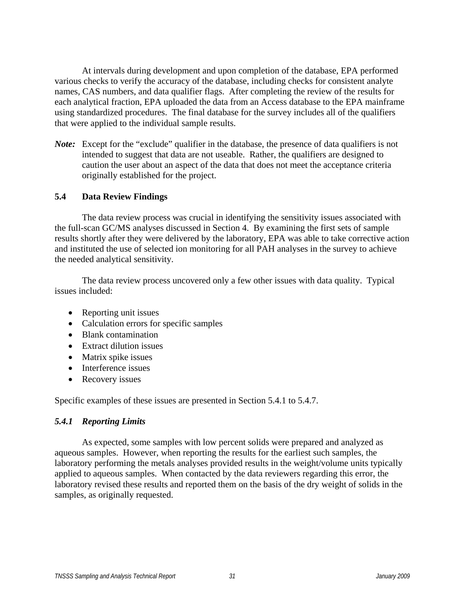At intervals during development and upon completion of the database, EPA performed various checks to verify the accuracy of the database, including checks for consistent analyte names, CAS numbers, and data qualifier flags. After completing the review of the results for each analytical fraction, EPA uploaded the data from an Access database to the EPA mainframe using standardized procedures. The final database for the survey includes all of the qualifiers that were applied to the individual sample results.

*Note*: Except for the "exclude" qualifier in the database, the presence of data qualifiers is not intended to suggest that data are not useable. Rather, the qualifiers are designed to caution the user about an aspect of the data that does not meet the acceptance criteria originally established for the project.

# **5.4 Data Review Findings**

 The data review process was crucial in identifying the sensitivity issues associated with the full-scan GC/MS analyses discussed in Section 4. By examining the first sets of sample results shortly after they were delivered by the laboratory, EPA was able to take corrective action and instituted the use of selected ion monitoring for all PAH analyses in the survey to achieve the needed analytical sensitivity.

 The data review process uncovered only a few other issues with data quality. Typical issues included:

- Reporting unit issues
- Calculation errors for specific samples
- Blank contamination
- Extract dilution issues
- Matrix spike issues
- Interference issues
- Recovery issues

Specific examples of these issues are presented in Section 5.4.1 to 5.4.7.

# *5.4.1 Reporting Limits*

 As expected, some samples with low percent solids were prepared and analyzed as aqueous samples. However, when reporting the results for the earliest such samples, the laboratory performing the metals analyses provided results in the weight/volume units typically applied to aqueous samples. When contacted by the data reviewers regarding this error, the laboratory revised these results and reported them on the basis of the dry weight of solids in the samples, as originally requested.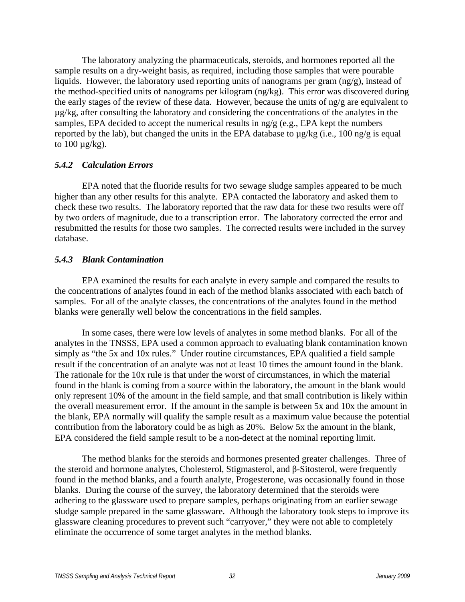The laboratory analyzing the pharmaceuticals, steroids, and hormones reported all the sample results on a dry-weight basis, as required, including those samples that were pourable liquids. However, the laboratory used reporting units of nanograms per gram (ng/g), instead of the method-specified units of nanograms per kilogram (ng/kg). This error was discovered during the early stages of the review of these data. However, because the units of ng/g are equivalent to µg/kg, after consulting the laboratory and considering the concentrations of the analytes in the samples, EPA decided to accept the numerical results in ng/g (e.g., EPA kept the numbers reported by the lab), but changed the units in the EPA database to  $\mu$ g/kg (i.e., 100 ng/g is equal to  $100 \mu g/kg$ ).

# *5.4.2 Calculation Errors*

 EPA noted that the fluoride results for two sewage sludge samples appeared to be much higher than any other results for this analyte. EPA contacted the laboratory and asked them to check these two results. The laboratory reported that the raw data for these two results were off by two orders of magnitude, due to a transcription error. The laboratory corrected the error and resubmitted the results for those two samples. The corrected results were included in the survey database.

# *5.4.3 Blank Contamination*

 EPA examined the results for each analyte in every sample and compared the results to the concentrations of analytes found in each of the method blanks associated with each batch of samples. For all of the analyte classes, the concentrations of the analytes found in the method blanks were generally well below the concentrations in the field samples.

 In some cases, there were low levels of analytes in some method blanks. For all of the analytes in the TNSSS, EPA used a common approach to evaluating blank contamination known simply as "the 5x and 10x rules." Under routine circumstances, EPA qualified a field sample result if the concentration of an analyte was not at least 10 times the amount found in the blank. The rationale for the 10x rule is that under the worst of circumstances, in which the material found in the blank is coming from a source within the laboratory, the amount in the blank would only represent 10% of the amount in the field sample, and that small contribution is likely within the overall measurement error. If the amount in the sample is between 5x and 10x the amount in the blank, EPA normally will qualify the sample result as a maximum value because the potential contribution from the laboratory could be as high as 20%. Below 5x the amount in the blank, EPA considered the field sample result to be a non-detect at the nominal reporting limit.

 The method blanks for the steroids and hormones presented greater challenges. Three of the steroid and hormone analytes, Cholesterol, Stigmasterol, and β-Sitosterol, were frequently found in the method blanks, and a fourth analyte, Progesterone, was occasionally found in those blanks. During the course of the survey, the laboratory determined that the steroids were adhering to the glassware used to prepare samples, perhaps originating from an earlier sewage sludge sample prepared in the same glassware. Although the laboratory took steps to improve its glassware cleaning procedures to prevent such "carryover," they were not able to completely eliminate the occurrence of some target analytes in the method blanks.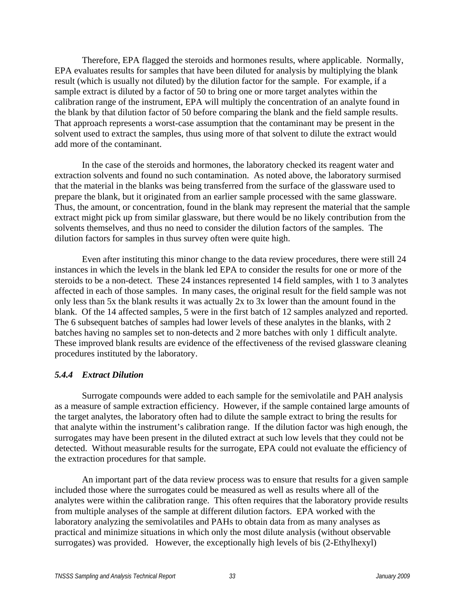Therefore, EPA flagged the steroids and hormones results, where applicable. Normally, EPA evaluates results for samples that have been diluted for analysis by multiplying the blank result (which is usually not diluted) by the dilution factor for the sample. For example, if a sample extract is diluted by a factor of 50 to bring one or more target analytes within the calibration range of the instrument, EPA will multiply the concentration of an analyte found in the blank by that dilution factor of 50 before comparing the blank and the field sample results. That approach represents a worst-case assumption that the contaminant may be present in the solvent used to extract the samples, thus using more of that solvent to dilute the extract would add more of the contaminant.

 In the case of the steroids and hormones, the laboratory checked its reagent water and extraction solvents and found no such contamination. As noted above, the laboratory surmised that the material in the blanks was being transferred from the surface of the glassware used to prepare the blank, but it originated from an earlier sample processed with the same glassware. Thus, the amount, or concentration, found in the blank may represent the material that the sample extract might pick up from similar glassware, but there would be no likely contribution from the solvents themselves, and thus no need to consider the dilution factors of the samples. The dilution factors for samples in thus survey often were quite high.

 Even after instituting this minor change to the data review procedures, there were still 24 instances in which the levels in the blank led EPA to consider the results for one or more of the steroids to be a non-detect. These 24 instances represented 14 field samples, with 1 to 3 analytes affected in each of those samples. In many cases, the original result for the field sample was not only less than 5x the blank results it was actually 2x to 3x lower than the amount found in the blank. Of the 14 affected samples, 5 were in the first batch of 12 samples analyzed and reported. The 6 subsequent batches of samples had lower levels of these analytes in the blanks, with 2 batches having no samples set to non-detects and 2 more batches with only 1 difficult analyte. These improved blank results are evidence of the effectiveness of the revised glassware cleaning procedures instituted by the laboratory.

# *5.4.4 Extract Dilution*

 Surrogate compounds were added to each sample for the semivolatile and PAH analysis as a measure of sample extraction efficiency. However, if the sample contained large amounts of the target analytes, the laboratory often had to dilute the sample extract to bring the results for that analyte within the instrument's calibration range. If the dilution factor was high enough, the surrogates may have been present in the diluted extract at such low levels that they could not be detected. Without measurable results for the surrogate, EPA could not evaluate the efficiency of the extraction procedures for that sample.

 An important part of the data review process was to ensure that results for a given sample included those where the surrogates could be measured as well as results where all of the analytes were within the calibration range. This often requires that the laboratory provide results from multiple analyses of the sample at different dilution factors. EPA worked with the laboratory analyzing the semivolatiles and PAHs to obtain data from as many analyses as practical and minimize situations in which only the most dilute analysis (without observable surrogates) was provided. However, the exceptionally high levels of bis (2-Ethylhexyl)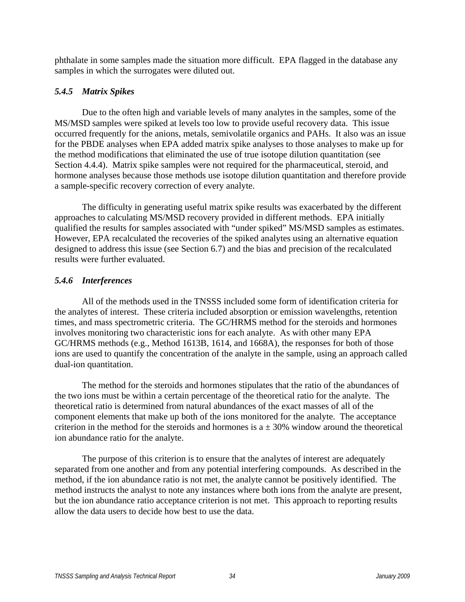phthalate in some samples made the situation more difficult. EPA flagged in the database any samples in which the surrogates were diluted out.

# *5.4.5 Matrix Spikes*

 Due to the often high and variable levels of many analytes in the samples, some of the MS/MSD samples were spiked at levels too low to provide useful recovery data. This issue occurred frequently for the anions, metals, semivolatile organics and PAHs. It also was an issue for the PBDE analyses when EPA added matrix spike analyses to those analyses to make up for the method modifications that eliminated the use of true isotope dilution quantitation (see Section 4.4.4). Matrix spike samples were not required for the pharmaceutical, steroid, and hormone analyses because those methods use isotope dilution quantitation and therefore provide a sample-specific recovery correction of every analyte.

 The difficulty in generating useful matrix spike results was exacerbated by the different approaches to calculating MS/MSD recovery provided in different methods. EPA initially qualified the results for samples associated with "under spiked" MS/MSD samples as estimates. However, EPA recalculated the recoveries of the spiked analytes using an alternative equation designed to address this issue (see Section 6.7) and the bias and precision of the recalculated results were further evaluated.

# *5.4.6 Interferences*

 All of the methods used in the TNSSS included some form of identification criteria for the analytes of interest. These criteria included absorption or emission wavelengths, retention times, and mass spectrometric criteria. The GC/HRMS method for the steroids and hormones involves monitoring two characteristic ions for each analyte. As with other many EPA GC/HRMS methods (e.g., Method 1613B, 1614, and 1668A), the responses for both of those ions are used to quantify the concentration of the analyte in the sample, using an approach called dual-ion quantitation.

 The method for the steroids and hormones stipulates that the ratio of the abundances of the two ions must be within a certain percentage of the theoretical ratio for the analyte. The theoretical ratio is determined from natural abundances of the exact masses of all of the component elements that make up both of the ions monitored for the analyte. The acceptance criterion in the method for the steroids and hormones is  $a \pm 30\%$  window around the theoretical ion abundance ratio for the analyte.

 The purpose of this criterion is to ensure that the analytes of interest are adequately separated from one another and from any potential interfering compounds. As described in the method, if the ion abundance ratio is not met, the analyte cannot be positively identified. The method instructs the analyst to note any instances where both ions from the analyte are present, but the ion abundance ratio acceptance criterion is not met. This approach to reporting results allow the data users to decide how best to use the data.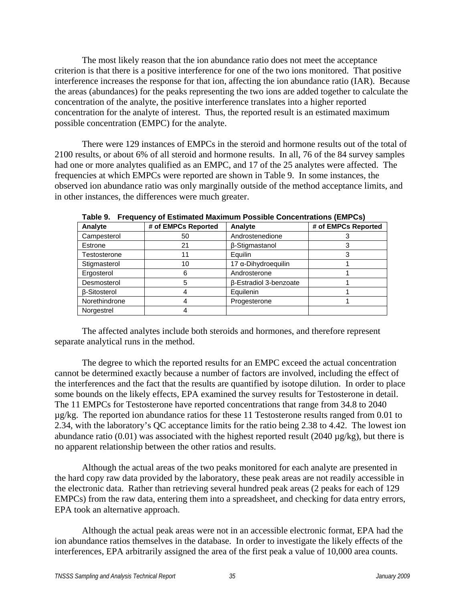The most likely reason that the ion abundance ratio does not meet the acceptance criterion is that there is a positive interference for one of the two ions monitored. That positive interference increases the response for that ion, affecting the ion abundance ratio (IAR). Because the areas (abundances) for the peaks representing the two ions are added together to calculate the concentration of the analyte, the positive interference translates into a higher reported concentration for the analyte of interest. Thus, the reported result is an estimated maximum possible concentration (EMPC) for the analyte.

 There were 129 instances of EMPCs in the steroid and hormone results out of the total of 2100 results, or about 6% of all steroid and hormone results. In all, 76 of the 84 survey samples had one or more analytes qualified as an EMPC, and 17 of the 25 analytes were affected. The frequencies at which EMPCs were reported are shown in Table 9. In some instances, the observed ion abundance ratio was only marginally outside of the method acceptance limits, and in other instances, the differences were much greater.

| Analyte             | # of EMPCs Reported | Analyte                | # of EMPCs Reported |
|---------------------|---------------------|------------------------|---------------------|
| Campesterol         | 50                  | Androstenedione        |                     |
| Estrone             | 21                  | β-Stigmastanol         |                     |
| Testosterone        |                     | Equilin                |                     |
| Stigmasterol        | 10                  | 17 a-Dihydroequilin    |                     |
| Ergosterol          | 6                   | Androsterone           |                     |
| Desmosterol         |                     | β-Estradiol 3-benzoate |                     |
| <b>B-Sitosterol</b> |                     | Equilenin              |                     |
| Norethindrone       |                     | Progesterone           |                     |
| Norgestrel          |                     |                        |                     |

**Table 9. Frequency of Estimated Maximum Possible Concentrations (EMPCs)** 

 The affected analytes include both steroids and hormones, and therefore represent separate analytical runs in the method.

 The degree to which the reported results for an EMPC exceed the actual concentration cannot be determined exactly because a number of factors are involved, including the effect of the interferences and the fact that the results are quantified by isotope dilution. In order to place some bounds on the likely effects, EPA examined the survey results for Testosterone in detail. The 11 EMPCs for Testosterone have reported concentrations that range from 34.8 to 2040 µg/kg. The reported ion abundance ratios for these 11 Testosterone results ranged from 0.01 to 2.34, with the laboratory's QC acceptance limits for the ratio being 2.38 to 4.42. The lowest ion abundance ratio (0.01) was associated with the highest reported result (2040  $\mu$ g/kg), but there is no apparent relationship between the other ratios and results.

 Although the actual areas of the two peaks monitored for each analyte are presented in the hard copy raw data provided by the laboratory, these peak areas are not readily accessible in the electronic data. Rather than retrieving several hundred peak areas (2 peaks for each of 129 EMPCs) from the raw data, entering them into a spreadsheet, and checking for data entry errors, EPA took an alternative approach.

 Although the actual peak areas were not in an accessible electronic format, EPA had the ion abundance ratios themselves in the database. In order to investigate the likely effects of the interferences, EPA arbitrarily assigned the area of the first peak a value of 10,000 area counts.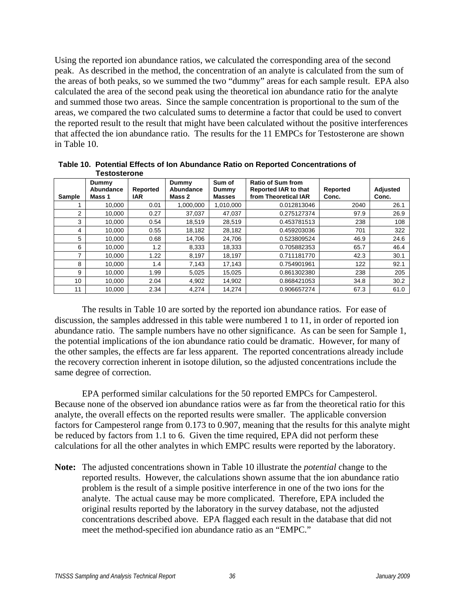Using the reported ion abundance ratios, we calculated the corresponding area of the second peak. As described in the method, the concentration of an analyte is calculated from the sum of the areas of both peaks, so we summed the two "dummy" areas for each sample result. EPA also calculated the area of the second peak using the theoretical ion abundance ratio for the analyte and summed those two areas. Since the sample concentration is proportional to the sum of the areas, we compared the two calculated sums to determine a factor that could be used to convert the reported result to the result that might have been calculated without the positive interferences that affected the ion abundance ratio. The results for the 11 EMPCs for Testosterone are shown in Table 10.

| <b>Sample</b>  | Dummy<br>Abundance<br>Mass 1 | Reported<br><b>IAR</b> | Dummy<br>Abundance<br>Mass 2 | Sum of<br>Dummy<br><b>Masses</b> | <b>Ratio of Sum from</b><br>Reported IAR to that<br>from Theoretical IAR | Reported<br>Conc. | Adjusted<br>Conc. |
|----------------|------------------------------|------------------------|------------------------------|----------------------------------|--------------------------------------------------------------------------|-------------------|-------------------|
|                | 10,000                       | 0.01                   | 1,000,000                    | 1,010,000                        | 0.012813046                                                              | 2040              | 26.1              |
| $\overline{2}$ | 10.000                       | 0.27                   | 37.037                       | 47.037                           | 0.275127374                                                              | 97.9              | 26.9              |
| 3              | 10.000                       | 0.54                   | 18,519                       | 28,519                           | 0.453781513                                                              | 238               | 108               |
| 4              | 10.000                       | 0.55                   | 18,182                       | 28,182                           | 0.459203036                                                              | 701               | 322               |
| 5              | 10.000                       | 0.68                   | 14.706                       | 24.706                           | 0.523809524                                                              | 46.9              | 24.6              |
| 6              | 10.000                       | 1.2                    | 8,333                        | 18,333                           | 0.705882353                                                              | 65.7              | 46.4              |
| ⇁              | 10,000                       | 1.22                   | 8.197                        | 18.197                           | 0.711181770                                                              | 42.3              | 30.1              |
| 8              | 10.000                       | 1.4                    | 7,143                        | 17,143                           | 0.754901961                                                              | 122               | 92.1              |
| 9              | 10.000                       | 1.99                   | 5,025                        | 15,025                           | 0.861302380                                                              | 238               | 205               |
| 10             | 10.000                       | 2.04                   | 4,902                        | 14,902                           | 0.868421053                                                              | 34.8              | 30.2              |
| 11             | 10,000                       | 2.34                   | 4,274                        | 14,274                           | 0.906657274                                                              | 67.3              | 61.0              |

**Table 10. Potential Effects of Ion Abundance Ratio on Reported Concentrations of Testosterone** 

 The results in Table 10 are sorted by the reported ion abundance ratios. For ease of discussion, the samples addressed in this table were numbered 1 to 11, in order of reported ion abundance ratio. The sample numbers have no other significance. As can be seen for Sample 1, the potential implications of the ion abundance ratio could be dramatic. However, for many of the other samples, the effects are far less apparent. The reported concentrations already include the recovery correction inherent in isotope dilution, so the adjusted concentrations include the same degree of correction.

 EPA performed similar calculations for the 50 reported EMPCs for Campesterol. Because none of the observed ion abundance ratios were as far from the theoretical ratio for this analyte, the overall effects on the reported results were smaller. The applicable conversion factors for Campesterol range from 0.173 to 0.907, meaning that the results for this analyte might be reduced by factors from 1.1 to 6. Given the time required, EPA did not perform these calculations for all the other analytes in which EMPC results were reported by the laboratory.

**Note:** The adjusted concentrations shown in Table 10 illustrate the *potential* change to the reported results. However, the calculations shown assume that the ion abundance ratio problem is the result of a simple positive interference in one of the two ions for the analyte. The actual cause may be more complicated. Therefore, EPA included the original results reported by the laboratory in the survey database, not the adjusted concentrations described above. EPA flagged each result in the database that did not meet the method-specified ion abundance ratio as an "EMPC."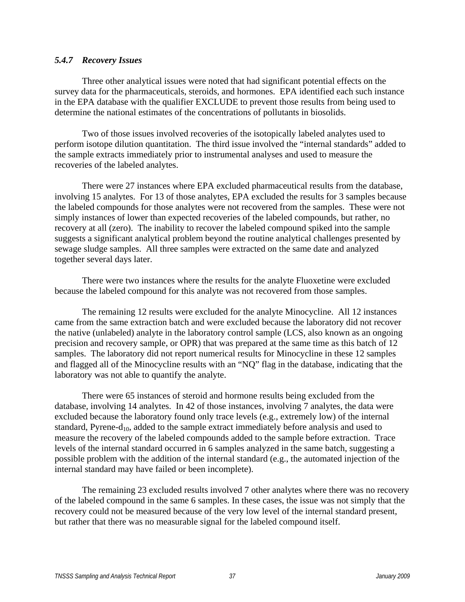# *5.4.7 Recovery Issues*

 Three other analytical issues were noted that had significant potential effects on the survey data for the pharmaceuticals, steroids, and hormones. EPA identified each such instance in the EPA database with the qualifier EXCLUDE to prevent those results from being used to determine the national estimates of the concentrations of pollutants in biosolids.

 Two of those issues involved recoveries of the isotopically labeled analytes used to perform isotope dilution quantitation. The third issue involved the "internal standards" added to the sample extracts immediately prior to instrumental analyses and used to measure the recoveries of the labeled analytes.

 There were 27 instances where EPA excluded pharmaceutical results from the database, involving 15 analytes. For 13 of those analytes, EPA excluded the results for 3 samples because the labeled compounds for those analytes were not recovered from the samples. These were not simply instances of lower than expected recoveries of the labeled compounds, but rather, no recovery at all (zero). The inability to recover the labeled compound spiked into the sample suggests a significant analytical problem beyond the routine analytical challenges presented by sewage sludge samples. All three samples were extracted on the same date and analyzed together several days later.

 There were two instances where the results for the analyte Fluoxetine were excluded because the labeled compound for this analyte was not recovered from those samples.

 The remaining 12 results were excluded for the analyte Minocycline. All 12 instances came from the same extraction batch and were excluded because the laboratory did not recover the native (unlabeled) analyte in the laboratory control sample (LCS, also known as an ongoing precision and recovery sample, or OPR) that was prepared at the same time as this batch of 12 samples. The laboratory did not report numerical results for Minocycline in these 12 samples and flagged all of the Minocycline results with an "NQ" flag in the database, indicating that the laboratory was not able to quantify the analyte.

 There were 65 instances of steroid and hormone results being excluded from the database, involving 14 analytes. In 42 of those instances, involving 7 analytes, the data were excluded because the laboratory found only trace levels (e.g., extremely low) of the internal standard, Pyrene- $d_{10}$ , added to the sample extract immediately before analysis and used to measure the recovery of the labeled compounds added to the sample before extraction. Trace levels of the internal standard occurred in 6 samples analyzed in the same batch, suggesting a possible problem with the addition of the internal standard (e.g., the automated injection of the internal standard may have failed or been incomplete).

 The remaining 23 excluded results involved 7 other analytes where there was no recovery of the labeled compound in the same 6 samples. In these cases, the issue was not simply that the recovery could not be measured because of the very low level of the internal standard present, but rather that there was no measurable signal for the labeled compound itself.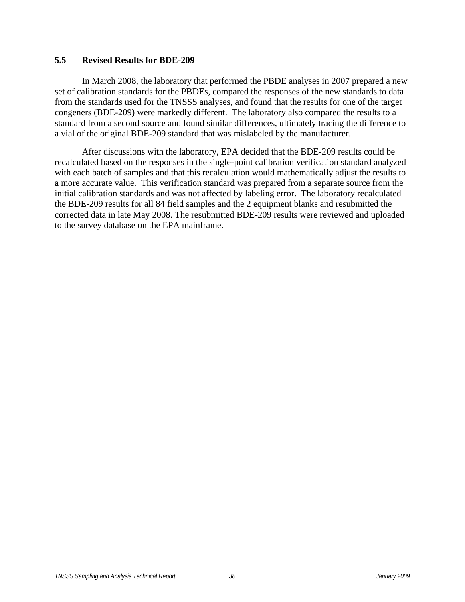#### **5.5 Revised Results for BDE-209**

 In March 2008, the laboratory that performed the PBDE analyses in 2007 prepared a new set of calibration standards for the PBDEs, compared the responses of the new standards to data from the standards used for the TNSSS analyses, and found that the results for one of the target congeners (BDE-209) were markedly different. The laboratory also compared the results to a standard from a second source and found similar differences, ultimately tracing the difference to a vial of the original BDE-209 standard that was mislabeled by the manufacturer.

 After discussions with the laboratory, EPA decided that the BDE-209 results could be recalculated based on the responses in the single-point calibration verification standard analyzed with each batch of samples and that this recalculation would mathematically adjust the results to a more accurate value. This verification standard was prepared from a separate source from the initial calibration standards and was not affected by labeling error. The laboratory recalculated the BDE-209 results for all 84 field samples and the 2 equipment blanks and resubmitted the corrected data in late May 2008. The resubmitted BDE-209 results were reviewed and uploaded to the survey database on the EPA mainframe.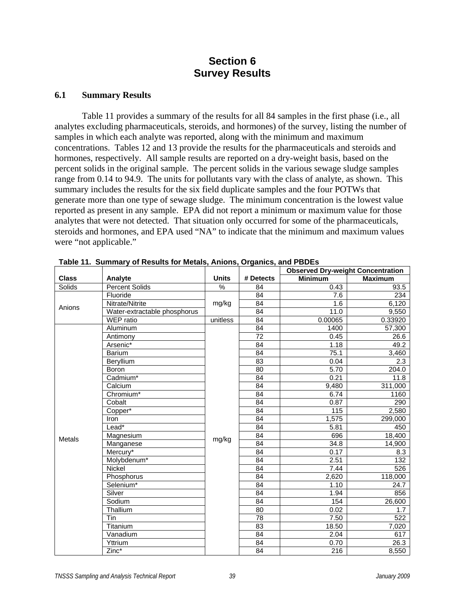# **Section 6 Survey Results**

#### **6.1 Summary Results**

 Table 11 provides a summary of the results for all 84 samples in the first phase (i.e., all analytes excluding pharmaceuticals, steroids, and hormones) of the survey, listing the number of samples in which each analyte was reported, along with the minimum and maximum concentrations. Tables 12 and 13 provide the results for the pharmaceuticals and steroids and hormones, respectively. All sample results are reported on a dry-weight basis, based on the percent solids in the original sample. The percent solids in the various sewage sludge samples range from 0.14 to 94.9. The units for pollutants vary with the class of analyte, as shown. This summary includes the results for the six field duplicate samples and the four POTWs that generate more than one type of sewage sludge. The minimum concentration is the lowest value reported as present in any sample. EPA did not report a minimum or maximum value for those analytes that were not detected. That situation only occurred for some of the pharmaceuticals, steroids and hormones, and EPA used "NA" to indicate that the minimum and maximum values were "not applicable."

|               |                              |              |                 | <b>Observed Dry-weight Concentration</b> |                |
|---------------|------------------------------|--------------|-----------------|------------------------------------------|----------------|
| <b>Class</b>  | Analyte                      | <b>Units</b> | # Detects       | <b>Minimum</b>                           | <b>Maximum</b> |
| Solids        | <b>Percent Solids</b>        | %            | 84              | 0.43                                     | 93.5           |
|               | Fluoride                     |              | 84              | 7.6                                      | 234            |
| Anions        | Nitrate/Nitrite              | mg/kg        | 84              | 1.6                                      | 6,120          |
|               | Water-extractable phosphorus |              | 84              | 11.0                                     | 9,550          |
|               | WEP ratio                    | unitless     | $\overline{84}$ | 0.00065                                  | 0.33920        |
|               | Aluminum                     |              | 84              | 1400                                     | 57,300         |
|               | Antimony                     |              | $\overline{72}$ | 0.45                                     | 26.6           |
|               | Arsenic*                     |              | 84              | 1.18                                     | 49.2           |
|               | Barium                       |              | $\overline{84}$ | 75.1                                     | 3,460          |
|               | Beryllium                    |              | 83              | 0.04                                     | 2.3            |
|               | Boron                        |              | 80              | 5.70                                     | 204.0          |
|               | Cadmium <sup>*</sup>         |              | 84              | 0.21                                     | 11.8           |
|               | Calcium                      |              | $\overline{84}$ | 9,480                                    | 311,000        |
|               | Chromium*                    |              | $\overline{84}$ | 6.74                                     | 1160           |
|               | Cobalt                       |              | $\overline{84}$ | 0.87                                     | 290            |
|               | Copper*                      |              | 84              | 115                                      | 2,580          |
|               | Iron                         |              | 84              | 1,575                                    | 299,000        |
|               | Lead <sup>*</sup>            |              | 84              | 5.81                                     | 450            |
| <b>Metals</b> | Magnesium                    | mg/kg        | 84              | 696                                      | 18,400         |
|               | Manganese                    |              | 84              | 34.8                                     | 14,900         |
|               | Mercury*                     |              | 84              | 0.17                                     | 8.3            |
|               | Molybdenum*                  |              | 84              | 2.51                                     | 132            |
|               | Nickel                       |              | 84              | 7.44                                     | 526            |
|               | Phosphorus                   |              | 84              | 2,620                                    | 118,000        |
|               | Selenium*                    |              | 84              | 1.10                                     | 24.7           |
|               | Silver                       |              | 84              | 1.94                                     | 856            |
|               | Sodium                       |              | 84              | 154                                      | 26,600         |
|               | Thallium                     |              | 80              | 0.02                                     | 1.7            |
|               | Tin                          |              | 78              | 7.50                                     | 522            |
|               | <b>Titanium</b>              |              | 83              | 18.50                                    | 7,020          |
|               | Vanadium                     |              | 84              | 2.04                                     | 617            |
|               | Yttrium                      |              | 84              | 0.70                                     | 26.3           |
|               | Zinc*                        |              | 84              | 216                                      | 8,550          |

**Table 11. Summary of Results for Metals, Anions, Organics, and PBDEs**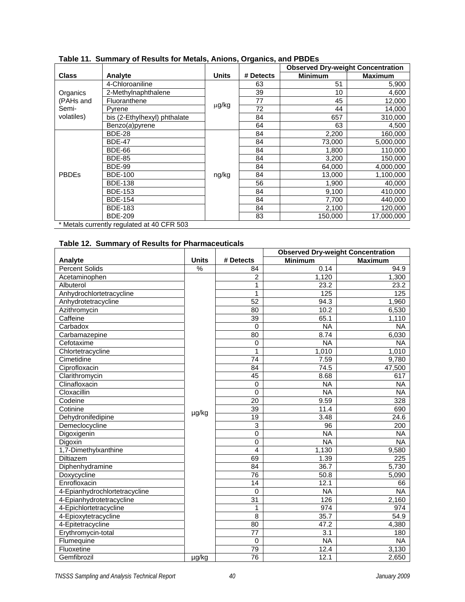|              |                                            |              |           | <b>Observed Dry-weight Concentration</b> |                |
|--------------|--------------------------------------------|--------------|-----------|------------------------------------------|----------------|
| <b>Class</b> | Analyte                                    | <b>Units</b> | # Detects | <b>Minimum</b>                           | <b>Maximum</b> |
|              | 4-Chloroaniline                            |              | 63        | 51                                       | 5,900          |
| Organics     | 2-Methylnaphthalene                        |              | 39        | 10                                       | 4,600          |
| (PAHs and    | Fluoranthene                               |              | 77        | 45                                       | 12,000         |
| Semi-        | Pyrene                                     | µg/kg        | 72        | 44                                       | 14,000         |
| volatiles)   | bis (2-Ethylhexyl) phthalate               |              | 84        | 657                                      | 310,000        |
|              | Benzo(a)pyrene                             |              | 64        | 63                                       | 4,500          |
|              | <b>BDE-28</b>                              |              | 84        | 2,200                                    | 160,000        |
|              | <b>BDE-47</b>                              |              | 84        | 73,000                                   | 5,000,000      |
|              | <b>BDE-66</b>                              |              | 84        | 1.800                                    | 110.000        |
|              | <b>BDE-85</b>                              |              | 84        | 3,200                                    | 150,000        |
|              | <b>BDE-99</b>                              |              | 84        | 64,000                                   | 4,000,000      |
| <b>PBDEs</b> | <b>BDE-100</b>                             | ng/kg        | 84        | 13,000                                   | 1,100,000      |
|              | <b>BDE-138</b>                             |              | 56        | 1,900                                    | 40,000         |
|              | <b>BDE-153</b>                             |              | 84        | 9,100                                    | 410,000        |
|              | <b>BDE-154</b>                             |              | 84        | 7,700                                    | 440,000        |
|              | <b>BDE-183</b>                             |              | 84        | 2,100                                    | 120,000        |
|              | <b>BDE-209</b>                             |              | 83        | 150,000                                  | 17,000,000     |
|              | * Metals currently regulated at 40 CFR 503 |              |           |                                          |                |

**Table 11. Summary of Results for Metals, Anions, Organics, and PBDEs** 

| Table 12. Summary of Results for Pharmaceuticals |
|--------------------------------------------------|
|--------------------------------------------------|

|                               |               |                 | <b>Observed Dry-weight Concentration</b> |                  |
|-------------------------------|---------------|-----------------|------------------------------------------|------------------|
| Analyte                       | <b>Units</b>  | # Detects       | <b>Minimum</b>                           | <b>Maximum</b>   |
| <b>Percent Solids</b>         | $\frac{9}{6}$ | 84              | 0.14                                     | 94.9             |
| Acetaminophen                 |               | $\overline{c}$  | 1,120                                    | 1,300            |
| Albuterol                     |               | 1               | 23.2                                     | 23.2             |
| Anhydrochlortetracycline      |               | 1               | 125                                      | 125              |
| Anhydrotetracycline           |               | 52              | 94.3                                     | 1,960            |
| Azithromycin                  |               | 80              | 10.2                                     | 6,530            |
| Caffeine                      |               | 39              | 65.1                                     | 1,110            |
| Carbadox                      |               | $\Omega$        | <b>NA</b>                                | <b>NA</b>        |
| Carbamazepine                 |               | 80              | 8.74                                     | 6,030            |
| Cefotaxime                    |               | $\pmb{0}$       | <b>NA</b>                                | <b>NA</b>        |
| Chlortetracycline             |               | 1               | 1,010                                    | 1,010            |
| Cimetidine                    |               | 74              | 7.59                                     | 9,780            |
| Ciprofloxacin                 |               | 84              | 74.5                                     | 47,500           |
| Clarithromycin                |               | 45              | 8.68                                     | 617              |
| Clinafloxacin                 |               | $\Omega$        | <b>NA</b>                                | <b>NA</b>        |
| Cloxacillin                   |               | $\mathbf{0}$    | <b>NA</b>                                | <b>NA</b>        |
| Codeine                       |               | 20              | 9.59                                     | $\overline{328}$ |
| Cotinine                      |               | 39              | 11.4                                     | 690              |
| Dehydronifedipine             | µg/kg         | 19              | 3.48                                     | 24.6             |
| Demeclocycline                |               | $\overline{3}$  | 96                                       | 200              |
| Digoxigenin                   |               | $\mathbf 0$     | <b>NA</b>                                | <b>NA</b>        |
| Digoxin                       |               | $\mathbf 0$     | <b>NA</b>                                | <b>NA</b>        |
| 1,7-Dimethylxanthine          |               | $\overline{4}$  | 1,130                                    | 9,580            |
| <b>Diltiazem</b>              |               | 69              | 1.39                                     | 225              |
| Diphenhydramine               |               | 84              | 36.7                                     | 5,730            |
| Doxycycline                   |               | 76              | 50.8                                     | 5,090            |
| Enrofloxacin                  |               | 14              | 12.1                                     | 66               |
| 4-Epianhydrochlortetracycline |               | $\Omega$        | <b>NA</b>                                | <b>NA</b>        |
| 4-Epianhydrotetracycline      |               | $\overline{31}$ | 126                                      | 2,160            |
| 4-Epichlortetracycline        |               | 1               | 974                                      | 974              |
| 4-Epioxytetracycline          |               | $\overline{8}$  | 35.7                                     | 54.9             |
| 4-Epitetracycline             |               | 80              | 47.2                                     | 4,380            |
| Erythromycin-total            |               | 77              | 3.1                                      | 180              |
| Flumequine                    |               | $\mathbf 0$     | <b>NA</b>                                | <b>NA</b>        |
| Fluoxetine                    |               | 79              | 12.4                                     | 3,130            |
| Gemfibrozil                   | µg/kg         | $\overline{76}$ | 12.1                                     | 2,650            |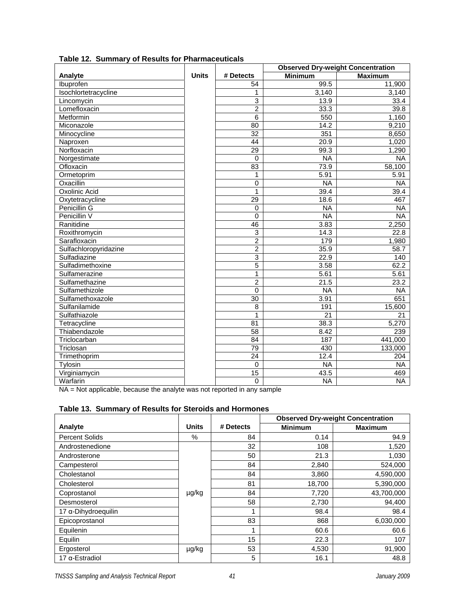|                       |              |                           |                 | <b>Observed Dry-weight Concentration</b> |
|-----------------------|--------------|---------------------------|-----------------|------------------------------------------|
| Analyte               | <b>Units</b> | # Detects                 | <b>Minimum</b>  | <b>Maximum</b>                           |
| Ibuprofen             |              | 54                        | 99.5            | 11,900                                   |
| Isochlortetracycline  |              | 1                         | 3,140           | 3,140                                    |
| Lincomycin            |              | 3                         | 13.9            | 33.4                                     |
| Lomefloxacin          |              | $\overline{2}$            | 33.3            | 39.8                                     |
| Metformin             |              | 6                         | 550             | 1,160                                    |
| Miconazole            |              | 80                        | 14.2            | 9,210                                    |
| Minocycline           |              | 32                        | 351             | 8,650                                    |
| Naproxen              |              | 44                        | 20.9            | 1,020                                    |
| Norfloxacin           |              | 29                        | 99.3            | 1,290                                    |
| Norgestimate          |              | $\mathbf 0$               | <b>NA</b>       | $N_A$                                    |
| Ofloxacin             |              | 83                        | 73.9            | 58,100                                   |
| Ormetoprim            |              | 1                         | 5.91            | 5.91                                     |
| Oxacillin             |              | 0                         | <b>NA</b>       | <b>NA</b>                                |
| <b>Oxolinic Acid</b>  |              | 1                         | 39.4            | 39.4                                     |
| Oxytetracycline       |              | 29                        | 18.6            | 467                                      |
| Penicillin G          |              | 0                         | <b>NA</b>       | <b>NA</b>                                |
| Penicillin V          |              | $\Omega$                  | <b>NA</b>       | $N_A$                                    |
| Ranitidine            |              | 46                        | 3.83            | 2,250                                    |
| Roxithromycin         |              | $\ensuremath{\mathsf{3}}$ | 14.3            | 22.8                                     |
| Sarafloxacin          |              | $\overline{2}$            | 179             | 1,980                                    |
| Sulfachloropyridazine |              | $\overline{2}$            | 35.9            | 58.7                                     |
| Sulfadiazine          |              | $\overline{3}$            | 22.9            | 140                                      |
| Sulfadimethoxine      |              | $\overline{5}$            | 3.58            | 62.2                                     |
| Sulfamerazine         |              | $\overline{1}$            | 5.61            | 5.61                                     |
| Sulfamethazine        |              | $\overline{2}$            | 21.5            | 23.2                                     |
| Sulfamethizole        |              | $\mathbf 0$               | <b>NA</b>       | $N_A$                                    |
| Sulfamethoxazole      |              | 30                        | 3.91            | 651                                      |
| Sulfanilamide         |              | 8                         | 191             | 15,600                                   |
| Sulfathiazole         |              | 1                         | $\overline{21}$ | 21                                       |
| Tetracycline          |              | 81                        | 38.3            | 5,270                                    |
| Thiabendazole         |              | 58                        | 8.42            | 239                                      |
| Triclocarban          |              | 84                        | 187             | 441,000                                  |
| Triclosan             |              | 79                        | 430             | 133,000                                  |
| Trimethoprim          |              | $\overline{24}$           | 12.4            | 204                                      |
| Tylosin               |              | $\mathbf 0$               | <b>NA</b>       | <b>NA</b>                                |
| Virginiamycin         |              | $\overline{15}$           | 43.5            | 469                                      |
| Warfarin              |              | $\overline{0}$            | $\overline{NA}$ | N <sub>A</sub>                           |

#### **Table 12. Summary of Results for Pharmaceuticals**

NA = Not applicable, because the analyte was not reported in any sample

# **Table 13. Summary of Results for Steroids and Hormones**

|                               |              |           |                | <b>Observed Dry-weight Concentration</b> |
|-------------------------------|--------------|-----------|----------------|------------------------------------------|
| Analyte                       | <b>Units</b> | # Detects | <b>Minimum</b> | <b>Maximum</b>                           |
| <b>Percent Solids</b>         | %            | 84        | 0.14           | 94.9                                     |
| Androstenedione               |              | 32        | 108            | 1,520                                    |
| Androsterone                  |              | 50        | 21.3           | 1,030                                    |
| Campesterol                   |              | 84        | 2,840          | 524,000                                  |
| Cholestanol                   |              | 84        | 3,860          | 4,590,000                                |
| Cholesterol                   |              | 81        | 18,700         | 5,390,000                                |
| Coprostanol                   | µg/kg        | 84        | 7,720          | 43,700,000                               |
| Desmosterol                   |              | 58        | 2,730          | 94,400                                   |
| $17$ $\alpha$ -Dihydroequilin |              |           | 98.4           | 98.4                                     |
| Epicoprostanol                |              | 83        | 868            | 6,030,000                                |
| Equilenin                     |              |           | 60.6           | 60.6                                     |
| Equilin                       |              | 15        | 22.3           | 107                                      |
| Ergosterol                    | µg/kg        | 53        | 4,530          | 91,900                                   |
| $17 \alpha$ -Estradiol        |              | 5         | 16.1           | 48.8                                     |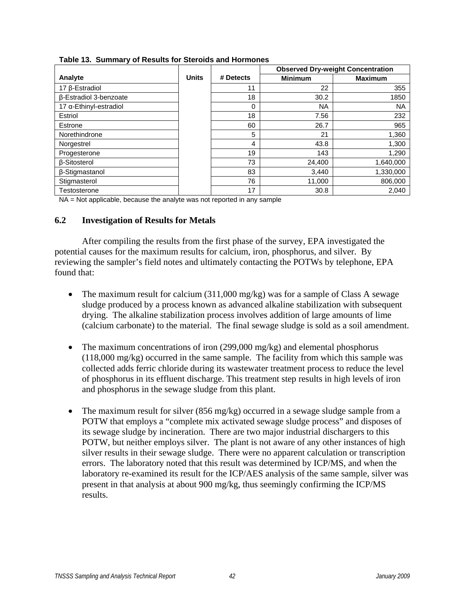|                                  |              |           |                | <b>Observed Dry-weight Concentration</b> |
|----------------------------------|--------------|-----------|----------------|------------------------------------------|
| Analyte                          | <b>Units</b> | # Detects | <b>Minimum</b> | <b>Maximum</b>                           |
| 17 β-Estradiol                   |              | 11        | 22             | 355                                      |
| β-Estradiol 3-benzoate           |              | 18        | 30.2           | 1850                                     |
| $17$ $\alpha$ -Ethinyl-estradiol |              | 0         | <b>NA</b>      | <b>NA</b>                                |
| Estriol                          |              | 18        | 7.56           | 232                                      |
| Estrone                          |              | 60        | 26.7           | 965                                      |
| Norethindrone                    |              | 5         | 21             | 1,360                                    |
| Norgestrel                       |              | 4         | 43.8           | 1,300                                    |
| Progesterone                     |              | 19        | 143            | 1,290                                    |
| <b>B-Sitosterol</b>              |              | 73        | 24,400         | 1,640,000                                |
| β-Stigmastanol                   |              | 83        | 3,440          | 1,330,000                                |
| Stigmasterol                     |              | 76        | 11,000         | 806,000                                  |
| Testosterone                     |              | 17        | 30.8           | 2.040                                    |

**Table 13. Summary of Results for Steroids and Hormones** 

NA = Not applicable, because the analyte was not reported in any sample

# **6.2 Investigation of Results for Metals**

 After compiling the results from the first phase of the survey, EPA investigated the potential causes for the maximum results for calcium, iron, phosphorus, and silver. By reviewing the sampler's field notes and ultimately contacting the POTWs by telephone, EPA found that:

- The maximum result for calcium  $(311,000 \text{ mg/kg})$  was for a sample of Class A sewage sludge produced by a process known as advanced alkaline stabilization with subsequent drying. The alkaline stabilization process involves addition of large amounts of lime (calcium carbonate) to the material. The final sewage sludge is sold as a soil amendment.
- The maximum concentrations of iron (299,000 mg/kg) and elemental phosphorus (118,000 mg/kg) occurred in the same sample. The facility from which this sample was collected adds ferric chloride during its wastewater treatment process to reduce the level of phosphorus in its effluent discharge. This treatment step results in high levels of iron and phosphorus in the sewage sludge from this plant.
- The maximum result for silver  $(856 \text{ mg/kg})$  occurred in a sewage sludge sample from a POTW that employs a "complete mix activated sewage sludge process" and disposes of its sewage sludge by incineration. There are two major industrial dischargers to this POTW, but neither employs silver. The plant is not aware of any other instances of high silver results in their sewage sludge. There were no apparent calculation or transcription errors. The laboratory noted that this result was determined by ICP/MS, and when the laboratory re-examined its result for the ICP/AES analysis of the same sample, silver was present in that analysis at about 900 mg/kg, thus seemingly confirming the ICP/MS results.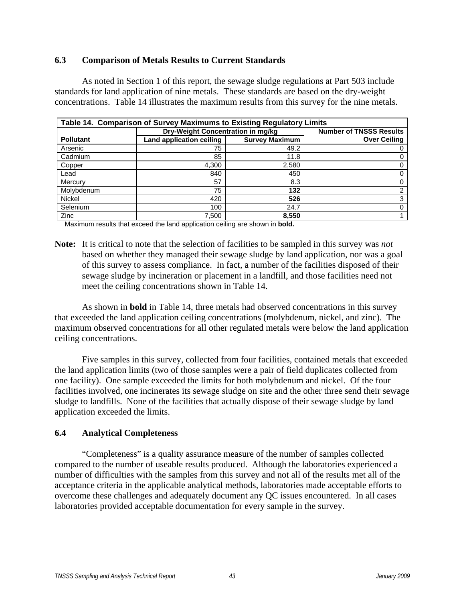# **6.3 Comparison of Metals Results to Current Standards**

 As noted in Section 1 of this report, the sewage sludge regulations at Part 503 include standards for land application of nine metals. These standards are based on the dry-weight concentrations. Table 14 illustrates the maximum results from this survey for the nine metals.

|                  | Table 14. Comparison of Survey Maximums to Existing Regulatory Limits |                       |                                |
|------------------|-----------------------------------------------------------------------|-----------------------|--------------------------------|
|                  | Dry-Weight Concentration in mg/kg                                     |                       | <b>Number of TNSSS Results</b> |
| <b>Pollutant</b> | Land application ceiling                                              | <b>Survey Maximum</b> | <b>Over Ceiling</b>            |
| Arsenic          | 75                                                                    | 49.2                  |                                |
| Cadmium          | 85                                                                    | 11.8                  | 0                              |
| Copper           | 4.300                                                                 | 2,580                 | 0                              |
| Lead             | 840                                                                   | 450                   | 0                              |
| Mercury          | 57                                                                    | 8.3                   |                                |
| Molybdenum       | 75                                                                    | 132                   | 2                              |
| <b>Nickel</b>    | 420                                                                   | 526                   | 3                              |
| Selenium         | 100                                                                   | 24.7                  | 0                              |
| Zinc             | 7.500                                                                 | 8,550                 |                                |

Maximum results that exceed the land application ceiling are shown in **bold.**

**Note:** It is critical to note that the selection of facilities to be sampled in this survey was *not* based on whether they managed their sewage sludge by land application, nor was a goal of this survey to assess compliance. In fact, a number of the facilities disposed of their sewage sludge by incineration or placement in a landfill, and those facilities need not meet the ceiling concentrations shown in Table 14.

 As shown in **bold** in Table 14, three metals had observed concentrations in this survey that exceeded the land application ceiling concentrations (molybdenum, nickel, and zinc). The maximum observed concentrations for all other regulated metals were below the land application ceiling concentrations.

 Five samples in this survey, collected from four facilities, contained metals that exceeded the land application limits (two of those samples were a pair of field duplicates collected from one facility). One sample exceeded the limits for both molybdenum and nickel. Of the four facilities involved, one incinerates its sewage sludge on site and the other three send their sewage sludge to landfills. None of the facilities that actually dispose of their sewage sludge by land application exceeded the limits.

# **6.4 Analytical Completeness**

 "Completeness" is a quality assurance measure of the number of samples collected compared to the number of useable results produced. Although the laboratories experienced a number of difficulties with the samples from this survey and not all of the results met all of the acceptance criteria in the applicable analytical methods, laboratories made acceptable efforts to overcome these challenges and adequately document any QC issues encountered. In all cases laboratories provided acceptable documentation for every sample in the survey.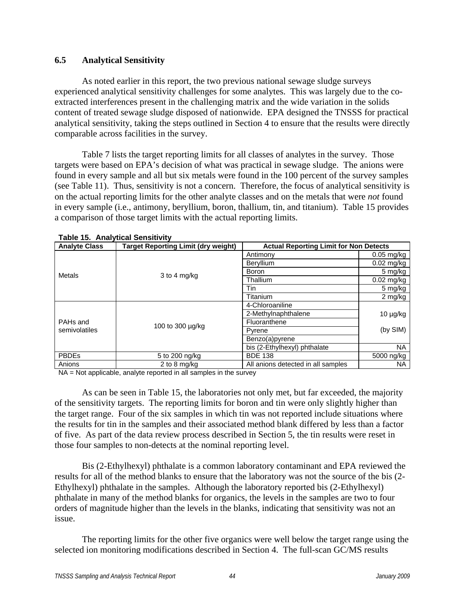# **6.5 Analytical Sensitivity**

 As noted earlier in this report, the two previous national sewage sludge surveys experienced analytical sensitivity challenges for some analytes. This was largely due to the coextracted interferences present in the challenging matrix and the wide variation in the solids content of treated sewage sludge disposed of nationwide. EPA designed the TNSSS for practical analytical sensitivity, taking the steps outlined in Section 4 to ensure that the results were directly comparable across facilities in the survey.

 Table 7 lists the target reporting limits for all classes of analytes in the survey. Those targets were based on EPA's decision of what was practical in sewage sludge. The anions were found in every sample and all but six metals were found in the 100 percent of the survey samples (see Table 11). Thus, sensitivity is not a concern. Therefore, the focus of analytical sensitivity is on the actual reporting limits for the other analyte classes and on the metals that were *not* found in every sample (i.e., antimony, beryllium, boron, thallium, tin, and titanium). Table 15 provides a comparison of those target limits with the actual reporting limits.

| <b>Analyte Class</b> | <b>Target Reporting Limit (dry weight)</b> | <b>Actual Reporting Limit for Non Detects</b> |               |
|----------------------|--------------------------------------------|-----------------------------------------------|---------------|
|                      |                                            | Antimony                                      | $0.05$ mg/kg  |
|                      |                                            | Beryllium                                     | $0.02$ mg/kg  |
| Metals               | 3 to 4 mg/kg                               | <b>Boron</b>                                  | 5 mg/kg       |
|                      |                                            | Thallium                                      | $0.02$ mg/kg  |
|                      |                                            | Tin                                           | 5 mg/kg       |
|                      |                                            | Titanium                                      | 2 mg/kg       |
|                      |                                            | 4-Chloroaniline                               |               |
|                      |                                            | 2-Methylnaphthalene                           | $10 \mu g/kg$ |
| PAH <sub>s</sub> and | 100 to 300 µg/kg                           | Fluoranthene                                  |               |
| semivolatiles        |                                            | Pyrene                                        | (by SIM)      |
|                      |                                            | Benzo(a)pyrene                                |               |
|                      |                                            | bis (2-Ethylhexyl) phthalate                  | <b>NA</b>     |
| <b>PBDEs</b>         | 5 to 200 ng/kg                             | <b>BDE 138</b>                                | 5000 ng/kg    |
| Anions               | 2 to 8 $mq/ka$                             | All anions detected in all samples            | NA.           |

| <b>Table 15. Analytical Sensitivity</b> |
|-----------------------------------------|
|-----------------------------------------|

NA = Not applicable, analyte reported in all samples in the survey

 As can be seen in Table 15, the laboratories not only met, but far exceeded, the majority of the sensitivity targets. The reporting limits for boron and tin were only slightly higher than the target range. Four of the six samples in which tin was not reported include situations where the results for tin in the samples and their associated method blank differed by less than a factor of five. As part of the data review process described in Section 5, the tin results were reset in those four samples to non-detects at the nominal reporting level.

 Bis (2-Ethylhexyl) phthalate is a common laboratory contaminant and EPA reviewed the results for all of the method blanks to ensure that the laboratory was not the source of the bis (2- Ethylhexyl) phthalate in the samples. Although the laboratory reported bis (2-Ethylhexyl) phthalate in many of the method blanks for organics, the levels in the samples are two to four orders of magnitude higher than the levels in the blanks, indicating that sensitivity was not an issue.

 The reporting limits for the other five organics were well below the target range using the selected ion monitoring modifications described in Section 4. The full-scan GC/MS results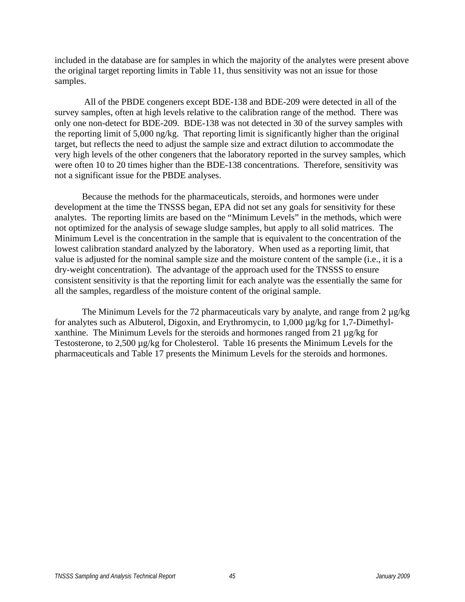included in the database are for samples in which the majority of the analytes were present above the original target reporting limits in Table 11, thus sensitivity was not an issue for those samples.

 All of the PBDE congeners except BDE-138 and BDE-209 were detected in all of the survey samples, often at high levels relative to the calibration range of the method. There was only one non-detect for BDE-209. BDE-138 was not detected in 30 of the survey samples with the reporting limit of 5,000 ng/kg. That reporting limit is significantly higher than the original target, but reflects the need to adjust the sample size and extract dilution to accommodate the very high levels of the other congeners that the laboratory reported in the survey samples, which were often 10 to 20 times higher than the BDE-138 concentrations. Therefore, sensitivity was not a significant issue for the PBDE analyses.

 Because the methods for the pharmaceuticals, steroids, and hormones were under development at the time the TNSSS began, EPA did not set any goals for sensitivity for these analytes. The reporting limits are based on the "Minimum Levels" in the methods, which were not optimized for the analysis of sewage sludge samples, but apply to all solid matrices. The Minimum Level is the concentration in the sample that is equivalent to the concentration of the lowest calibration standard analyzed by the laboratory. When used as a reporting limit, that value is adjusted for the nominal sample size and the moisture content of the sample (i.e., it is a dry-weight concentration). The advantage of the approach used for the TNSSS to ensure consistent sensitivity is that the reporting limit for each analyte was the essentially the same for all the samples, regardless of the moisture content of the original sample.

The Minimum Levels for the 72 pharmaceuticals vary by analyte, and range from  $2 \mu g/kg$ for analytes such as Albuterol, Digoxin, and Erythromycin, to 1,000 µg/kg for 1,7-Dimethylxanthine. The Minimum Levels for the steroids and hormones ranged from 21 µg/kg for Testosterone, to 2,500 µg/kg for Cholesterol. Table 16 presents the Minimum Levels for the pharmaceuticals and Table 17 presents the Minimum Levels for the steroids and hormones.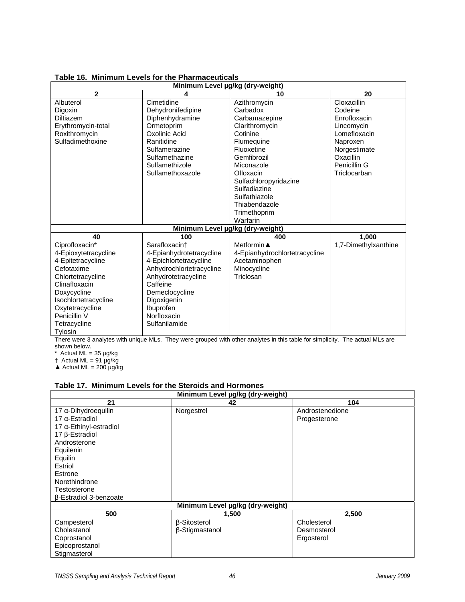|                      | Minimum Level µg/kg (dry-weight) |                               |                      |
|----------------------|----------------------------------|-------------------------------|----------------------|
| $\overline{2}$       | 4                                | 10                            | 20                   |
| Albuterol            | Cimetidine                       | Azithromycin                  | Cloxacillin          |
| Digoxin              | Dehydronifedipine                | Carbadox                      | Codeine              |
| <b>Diltiazem</b>     | Diphenhydramine                  | Carbamazepine                 | Enrofloxacin         |
| Erythromycin-total   | Ormetoprim                       | Clarithromycin                | Lincomycin           |
| Roxithromycin        | Oxolinic Acid                    | Cotinine                      | Lomefloxacin         |
| Sulfadimethoxine     | Ranitidine                       | Flumequine                    | Naproxen             |
|                      | Sulfamerazine                    | Fluoxetine                    | Norgestimate         |
|                      | Sulfamethazine                   | Gemfibrozil                   | Oxacillin            |
|                      | Sulfamethizole                   | Miconazole                    | Penicillin G         |
|                      | Sulfamethoxazole                 | Ofloxacin                     | Triclocarban         |
|                      |                                  | Sulfachloropyridazine         |                      |
|                      |                                  | Sulfadiazine                  |                      |
|                      |                                  | Sulfathiazole                 |                      |
|                      |                                  | Thiabendazole                 |                      |
|                      |                                  | Trimethoprim                  |                      |
|                      |                                  | Warfarin                      |                      |
|                      | Minimum Level µg/kg (dry-weight) |                               |                      |
| 40                   | 100                              | 400                           | 1,000                |
| Ciprofloxacin*       | Sarafloxacin†                    | Metformin $\blacktriangle$    | 1,7-Dimethylxanthine |
| 4-Epioxytetracycline | 4-Epianhydrotetracycline         | 4-Epianhydrochlortetracycline |                      |
| 4-Epitetracycline    | 4-Epichlortetracycline           | Acetaminophen                 |                      |
| Cefotaxime           | Anhydrochlortetracycline         | Minocycline                   |                      |
| Chlortetracycline    | Anhydrotetracycline              | Triclosan                     |                      |
| Clinafloxacin        | Caffeine                         |                               |                      |
| Doxycycline          | Demeclocycline                   |                               |                      |
| Isochlortetracycline | Digoxigenin                      |                               |                      |
| Oxytetracycline      | Ibuprofen                        |                               |                      |
| Penicillin V         | Norfloxacin                      |                               |                      |
| Tetracycline         | Sulfanilamide                    |                               |                      |
| Tylosin              |                                  |                               |                      |

# **Table 16. Minimum Levels for the Pharmaceuticals**

There were 3 analytes with unique MLs. They were grouped with other analytes in this table for simplicity. The actual MLs are shown below.

 $*$  Actual ML = 35  $\mu$ g/kg

 $\dagger$  Actual ML = 91  $\mu$ g/kg

 $\triangle$  Actual ML = 200 µg/kg

#### **Table 17. Minimum Levels for the Steroids and Hormones**

| Minimum Level µg/kg (dry-weight) |                                  |                 |  |  |  |  |
|----------------------------------|----------------------------------|-----------------|--|--|--|--|
| 21                               | 42                               | 104             |  |  |  |  |
| 17 a-Dihydroequilin              | Norgestrel                       | Androstenedione |  |  |  |  |
| 17 $α$ -Estradiol                |                                  | Progesterone    |  |  |  |  |
| $17 \alpha$ -Ethinyl-estradiol   |                                  |                 |  |  |  |  |
| 17 $β$ -Estradiol                |                                  |                 |  |  |  |  |
| Androsterone                     |                                  |                 |  |  |  |  |
| Equilenin                        |                                  |                 |  |  |  |  |
| Equilin                          |                                  |                 |  |  |  |  |
| Estriol                          |                                  |                 |  |  |  |  |
| Estrone                          |                                  |                 |  |  |  |  |
| Norethindrone                    |                                  |                 |  |  |  |  |
| Testosterone                     |                                  |                 |  |  |  |  |
| <b>B-Estradiol 3-benzoate</b>    |                                  |                 |  |  |  |  |
|                                  | Minimum Level µg/kg (dry-weight) |                 |  |  |  |  |
| 500                              | 1,500                            | 2,500           |  |  |  |  |
| Campesterol                      | β-Sitosterol                     | Cholesterol     |  |  |  |  |
| Cholestanol                      | β-Stigmastanol                   | Desmosterol     |  |  |  |  |
| Coprostanol                      |                                  | Ergosterol      |  |  |  |  |
| Epicoprostanol                   |                                  |                 |  |  |  |  |
| Stigmasterol                     |                                  |                 |  |  |  |  |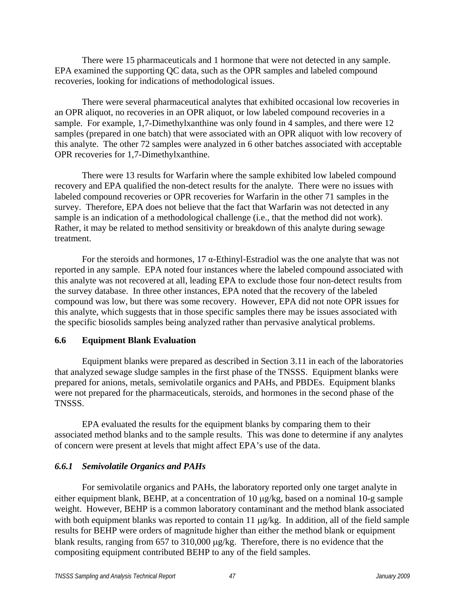There were 15 pharmaceuticals and 1 hormone that were not detected in any sample. EPA examined the supporting QC data, such as the OPR samples and labeled compound recoveries, looking for indications of methodological issues.

 There were several pharmaceutical analytes that exhibited occasional low recoveries in an OPR aliquot, no recoveries in an OPR aliquot, or low labeled compound recoveries in a sample. For example, 1,7-Dimethylxanthine was only found in 4 samples, and there were 12 samples (prepared in one batch) that were associated with an OPR aliquot with low recovery of this analyte. The other 72 samples were analyzed in 6 other batches associated with acceptable OPR recoveries for 1,7-Dimethylxanthine.

 There were 13 results for Warfarin where the sample exhibited low labeled compound recovery and EPA qualified the non-detect results for the analyte. There were no issues with labeled compound recoveries or OPR recoveries for Warfarin in the other 71 samples in the survey. Therefore, EPA does not believe that the fact that Warfarin was not detected in any sample is an indication of a methodological challenge (i.e., that the method did not work). Rather, it may be related to method sensitivity or breakdown of this analyte during sewage treatment.

For the steroids and hormones, 17  $\alpha$ -Ethinyl-Estradiol was the one analyte that was not reported in any sample. EPA noted four instances where the labeled compound associated with this analyte was not recovered at all, leading EPA to exclude those four non-detect results from the survey database. In three other instances, EPA noted that the recovery of the labeled compound was low, but there was some recovery. However, EPA did not note OPR issues for this analyte, which suggests that in those specific samples there may be issues associated with the specific biosolids samples being analyzed rather than pervasive analytical problems.

# **6.6 Equipment Blank Evaluation**

 Equipment blanks were prepared as described in Section 3.11 in each of the laboratories that analyzed sewage sludge samples in the first phase of the TNSSS. Equipment blanks were prepared for anions, metals, semivolatile organics and PAHs, and PBDEs. Equipment blanks were not prepared for the pharmaceuticals, steroids, and hormones in the second phase of the TNSSS.

 EPA evaluated the results for the equipment blanks by comparing them to their associated method blanks and to the sample results. This was done to determine if any analytes of concern were present at levels that might affect EPA's use of the data.

# *6.6.1 Semivolatile Organics and PAHs*

 For semivolatile organics and PAHs, the laboratory reported only one target analyte in either equipment blank, BEHP, at a concentration of 10  $\mu$ g/kg, based on a nominal 10-g sample weight. However, BEHP is a common laboratory contaminant and the method blank associated with both equipment blanks was reported to contain 11  $\mu$ g/kg. In addition, all of the field sample results for BEHP were orders of magnitude higher than either the method blank or equipment blank results, ranging from  $657$  to  $310,000$   $\mu$ g/kg. Therefore, there is no evidence that the compositing equipment contributed BEHP to any of the field samples.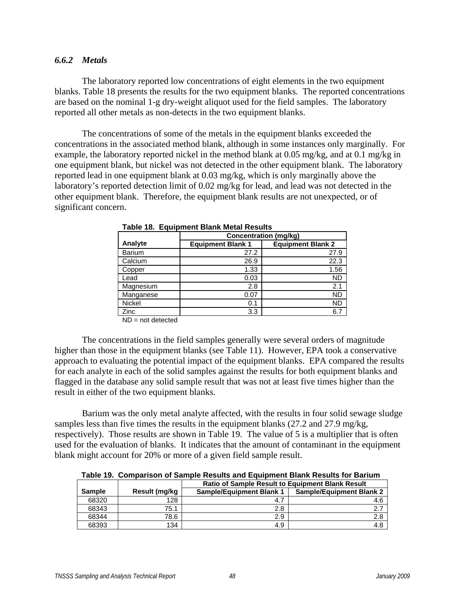# *6.6.2 Metals*

 The laboratory reported low concentrations of eight elements in the two equipment blanks. Table 18 presents the results for the two equipment blanks. The reported concentrations are based on the nominal 1-g dry-weight aliquot used for the field samples. The laboratory reported all other metals as non-detects in the two equipment blanks.

 The concentrations of some of the metals in the equipment blanks exceeded the concentrations in the associated method blank, although in some instances only marginally. For example, the laboratory reported nickel in the method blank at 0.05 mg/kg, and at 0.1 mg/kg in one equipment blank, but nickel was not detected in the other equipment blank. The laboratory reported lead in one equipment blank at 0.03 mg/kg, which is only marginally above the laboratory's reported detection limit of 0.02 mg/kg for lead, and lead was not detected in the other equipment blank. Therefore, the equipment blank results are not unexpected, or of significant concern.

|               | <b>Concentration (mg/kg)</b> |                          |  |  |  |  |  |
|---------------|------------------------------|--------------------------|--|--|--|--|--|
| Analyte       | <b>Equipment Blank 1</b>     | <b>Equipment Blank 2</b> |  |  |  |  |  |
| <b>Barium</b> | 27.2                         | 27.9                     |  |  |  |  |  |
| Calcium       | 26.9                         | 22.3                     |  |  |  |  |  |
| Copper        | 1.33                         | 1.56                     |  |  |  |  |  |
| Lead          | 0.03                         | <b>ND</b>                |  |  |  |  |  |
| Magnesium     | 2.8                          | 2.1                      |  |  |  |  |  |
| Manganese     | 0.07                         | ND                       |  |  |  |  |  |
| <b>Nickel</b> | 0.1                          | ND                       |  |  |  |  |  |
| Zinc          | 3.3                          | 6.7                      |  |  |  |  |  |

**Table 18. Equipment Blank Metal Results** 

 $ND = not$  detected

 The concentrations in the field samples generally were several orders of magnitude higher than those in the equipment blanks (see Table 11). However, EPA took a conservative approach to evaluating the potential impact of the equipment blanks. EPA compared the results for each analyte in each of the solid samples against the results for both equipment blanks and flagged in the database any solid sample result that was not at least five times higher than the result in either of the two equipment blanks.

 Barium was the only metal analyte affected, with the results in four solid sewage sludge samples less than five times the results in the equipment blanks (27.2 and 27.9 mg/kg, respectively). Those results are shown in Table 19. The value of 5 is a multiplier that is often used for the evaluation of blanks. It indicates that the amount of contaminant in the equipment blank might account for 20% or more of a given field sample result.

**Table 19. Comparison of Sample Results and Equipment Blank Results for Barium** 

|               |               | <b>Ratio of Sample Result to Equipment Blank Result</b> |                                 |  |  |  |  |
|---------------|---------------|---------------------------------------------------------|---------------------------------|--|--|--|--|
| <b>Sample</b> | Result (mg/kg | <b>Sample/Equipment Blank 1</b>                         | <b>Sample/Equipment Blank 2</b> |  |  |  |  |
| 68320         | 128           | 4.7                                                     | 4.6                             |  |  |  |  |
| 68343         | 75.1          | 2.8                                                     |                                 |  |  |  |  |
| 68344         | 78.6          | 2.9                                                     | 2.8                             |  |  |  |  |
| 68393         | 134           | 4.9                                                     |                                 |  |  |  |  |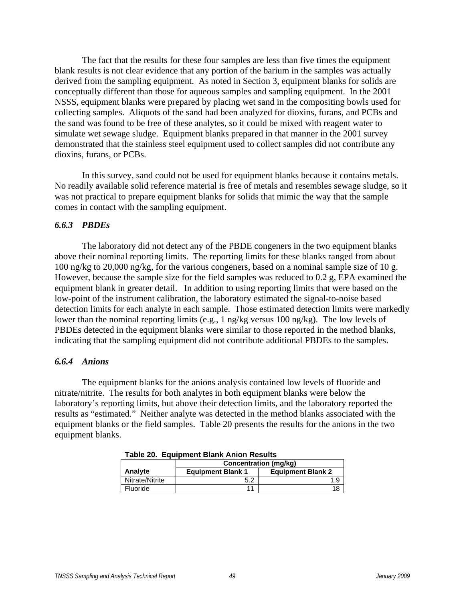The fact that the results for these four samples are less than five times the equipment blank results is not clear evidence that any portion of the barium in the samples was actually derived from the sampling equipment. As noted in Section 3, equipment blanks for solids are conceptually different than those for aqueous samples and sampling equipment. In the 2001 NSSS, equipment blanks were prepared by placing wet sand in the compositing bowls used for collecting samples. Aliquots of the sand had been analyzed for dioxins, furans, and PCBs and the sand was found to be free of these analytes, so it could be mixed with reagent water to simulate wet sewage sludge. Equipment blanks prepared in that manner in the 2001 survey demonstrated that the stainless steel equipment used to collect samples did not contribute any dioxins, furans, or PCBs.

 In this survey, sand could not be used for equipment blanks because it contains metals. No readily available solid reference material is free of metals and resembles sewage sludge, so it was not practical to prepare equipment blanks for solids that mimic the way that the sample comes in contact with the sampling equipment.

#### *6.6.3 PBDEs*

 The laboratory did not detect any of the PBDE congeners in the two equipment blanks above their nominal reporting limits. The reporting limits for these blanks ranged from about 100 ng/kg to 20,000 ng/kg, for the various congeners, based on a nominal sample size of 10 g. However, because the sample size for the field samples was reduced to 0.2 g, EPA examined the equipment blank in greater detail. In addition to using reporting limits that were based on the low-point of the instrument calibration, the laboratory estimated the signal-to-noise based detection limits for each analyte in each sample. Those estimated detection limits were markedly lower than the nominal reporting limits (e.g., 1 ng/kg versus 100 ng/kg). The low levels of PBDEs detected in the equipment blanks were similar to those reported in the method blanks, indicating that the sampling equipment did not contribute additional PBDEs to the samples.

#### *6.6.4 Anions*

 The equipment blanks for the anions analysis contained low levels of fluoride and nitrate/nitrite. The results for both analytes in both equipment blanks were below the laboratory's reporting limits, but above their detection limits, and the laboratory reported the results as "estimated." Neither analyte was detected in the method blanks associated with the equipment blanks or the field samples. Table 20 presents the results for the anions in the two equipment blanks.

| Table ZV. Lyulphlent Diarik Anion Results |                                                      |     |  |  |  |  |  |
|-------------------------------------------|------------------------------------------------------|-----|--|--|--|--|--|
|                                           | Concentration (mg/kg)                                |     |  |  |  |  |  |
| Analyte                                   | <b>Equipment Blank 2</b><br><b>Equipment Blank 1</b> |     |  |  |  |  |  |
| Nitrate/Nitrite                           | 5.2                                                  | 1.9 |  |  |  |  |  |
| Fluoride                                  |                                                      | 18  |  |  |  |  |  |

**Table 20. Equipment Blank Anion Results**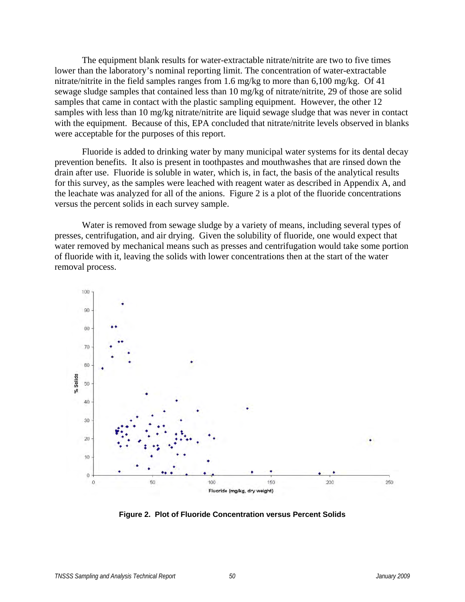The equipment blank results for water-extractable nitrate/nitrite are two to five times lower than the laboratory's nominal reporting limit. The concentration of water-extractable nitrate/nitrite in the field samples ranges from 1.6 mg/kg to more than 6,100 mg/kg. Of 41 sewage sludge samples that contained less than 10 mg/kg of nitrate/nitrite, 29 of those are solid samples that came in contact with the plastic sampling equipment. However, the other 12 samples with less than 10 mg/kg nitrate/nitrite are liquid sewage sludge that was never in contact with the equipment. Because of this, EPA concluded that nitrate/nitrite levels observed in blanks were acceptable for the purposes of this report.

 Fluoride is added to drinking water by many municipal water systems for its dental decay prevention benefits. It also is present in toothpastes and mouthwashes that are rinsed down the drain after use. Fluoride is soluble in water, which is, in fact, the basis of the analytical results for this survey, as the samples were leached with reagent water as described in Appendix A, and the leachate was analyzed for all of the anions. Figure 2 is a plot of the fluoride concentrations versus the percent solids in each survey sample.

 Water is removed from sewage sludge by a variety of means, including several types of presses, centrifugation, and air drying. Given the solubility of fluoride, one would expect that water removed by mechanical means such as presses and centrifugation would take some portion of fluoride with it, leaving the solids with lower concentrations then at the start of the water removal process.



**Figure 2. Plot of Fluoride Concentration versus Percent Solids**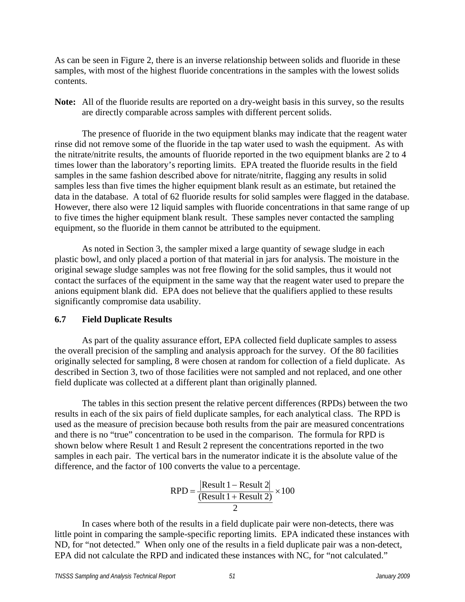As can be seen in Figure 2, there is an inverse relationship between solids and fluoride in these samples, with most of the highest fluoride concentrations in the samples with the lowest solids contents.

**Note:** All of the fluoride results are reported on a dry-weight basis in this survey, so the results are directly comparable across samples with different percent solids.

 The presence of fluoride in the two equipment blanks may indicate that the reagent water rinse did not remove some of the fluoride in the tap water used to wash the equipment. As with the nitrate/nitrite results, the amounts of fluoride reported in the two equipment blanks are 2 to 4 times lower than the laboratory's reporting limits. EPA treated the fluoride results in the field samples in the same fashion described above for nitrate/nitrite, flagging any results in solid samples less than five times the higher equipment blank result as an estimate, but retained the data in the database. A total of 62 fluoride results for solid samples were flagged in the database. However, there also were 12 liquid samples with fluoride concentrations in that same range of up to five times the higher equipment blank result. These samples never contacted the sampling equipment, so the fluoride in them cannot be attributed to the equipment.

 As noted in Section 3, the sampler mixed a large quantity of sewage sludge in each plastic bowl, and only placed a portion of that material in jars for analysis. The moisture in the original sewage sludge samples was not free flowing for the solid samples, thus it would not contact the surfaces of the equipment in the same way that the reagent water used to prepare the anions equipment blank did. EPA does not believe that the qualifiers applied to these results significantly compromise data usability.

# **6.7 Field Duplicate Results**

 As part of the quality assurance effort, EPA collected field duplicate samples to assess the overall precision of the sampling and analysis approach for the survey. Of the 80 facilities originally selected for sampling, 8 were chosen at random for collection of a field duplicate. As described in Section 3, two of those facilities were not sampled and not replaced, and one other field duplicate was collected at a different plant than originally planned.

 The tables in this section present the relative percent differences (RPDs) between the two results in each of the six pairs of field duplicate samples, for each analytical class. The RPD is used as the measure of precision because both results from the pair are measured concentrations and there is no "true" concentration to be used in the comparison. The formula for RPD is shown below where Result 1 and Result 2 represent the concentrations reported in the two samples in each pair. The vertical bars in the numerator indicate it is the absolute value of the difference, and the factor of 100 converts the value to a percentage.

$$
RPD = \frac{[Result 1 - Result 2]}{(Result 1 + Result 2)} \times 100
$$

$$
\frac{2}{2}
$$

 In cases where both of the results in a field duplicate pair were non-detects, there was little point in comparing the sample-specific reporting limits. EPA indicated these instances with ND, for "not detected." When only one of the results in a field duplicate pair was a non-detect, EPA did not calculate the RPD and indicated these instances with NC, for "not calculated."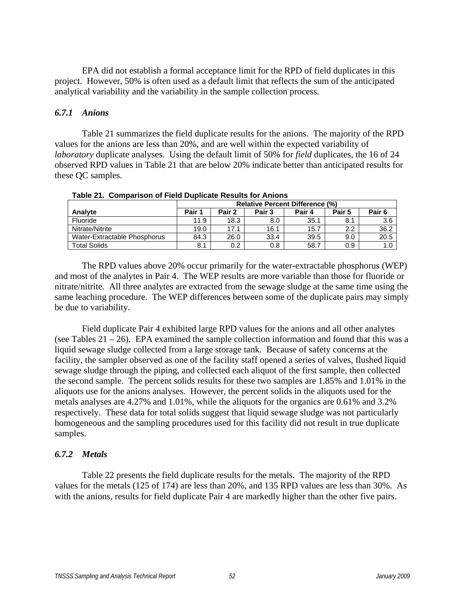EPA did not establish a formal acceptance limit for the RPD of field duplicates in this project. However, 50% is often used as a default limit that reflects the sum of the anticipated analytical variability and the variability in the sample collection process.

## *6.7.1 Anions*

 Table 21 summarizes the field duplicate results for the anions. The majority of the RPD values for the anions are less than 20%, and are well within the expected variability of *laboratory* duplicate analyses. Using the default limit of 50% for *field* duplicates, the 16 of 24 observed RPD values in Table 21 that are below 20% indicate better than anticipated results for these QC samples.

|                              |        | <b>Relative Percent Difference (%)</b> |        |        |        |                   |  |
|------------------------------|--------|----------------------------------------|--------|--------|--------|-------------------|--|
| Analyte                      | Pair 1 | Pair 2                                 | Pair 3 | Pair 4 | Pair 5 | Pair <sub>6</sub> |  |
| Fluoride                     | 11.9   | 18.3                                   | 8.0    | 35.1   | 8.1    | 3.6               |  |
| Nitrate/Nitrite              | 19.0   | 17.1                                   | 16.1   | 15.7   | 2.2    | 36.2              |  |
| Water-Extractable Phosphorus | 84.3   | 26.0                                   | 33.4   | 39.5   | 9.0    | 20.5              |  |
| <b>Total Solids</b>          | 8.1    | 0.2                                    | 0.8    | 58.7   | 0.9    | 1.0               |  |

**Table 21. Comparison of Field Duplicate Results for Anions** 

 The RPD values above 20% occur primarily for the water-extractable phosphorus (WEP) and most of the analytes in Pair 4. The WEP results are more variable than those for fluoride or nitrate/nitrite. All three analytes are extracted from the sewage sludge at the same time using the same leaching procedure. The WEP differences between some of the duplicate pairs may simply be due to variability.

 Field duplicate Pair 4 exhibited large RPD values for the anions and all other analytes (see Tables  $21 - 26$ ). EPA examined the sample collection information and found that this was a liquid sewage sludge collected from a large storage tank. Because of safety concerns at the facility, the sampler observed as one of the facility staff opened a series of valves, flushed liquid sewage sludge through the piping, and collected each aliquot of the first sample, then collected the second sample. The percent solids results for these two samples are 1.85% and 1.01% in the aliquots use for the anions analyses. However, the percent solids in the aliquots used for the metals analyses are 4.27% and 1.01%, while the aliquots for the organics are 0.61% and 3.2% respectively. These data for total solids suggest that liquid sewage sludge was not particularly homogeneous and the sampling procedures used for this facility did not result in true duplicate samples.

# *6.7.2 Metals*

 Table 22 presents the field duplicate results for the metals. The majority of the RPD values for the metals (125 of 174) are less than 20%, and 135 RPD values are less than 30%. As with the anions, results for field duplicate Pair 4 are markedly higher than the other five pairs.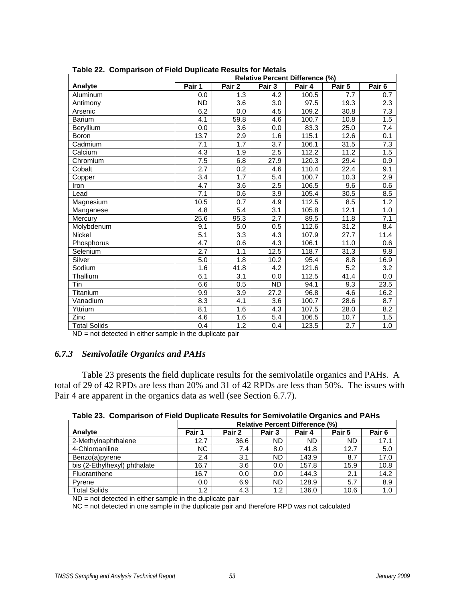| rable 22. Comparison or Field Duplicate Results for Metals | <b>Relative Percent Difference (%)</b> |                  |                  |        |        |                   |
|------------------------------------------------------------|----------------------------------------|------------------|------------------|--------|--------|-------------------|
| Analyte                                                    | Pair 1                                 | Pair 2           | Pair 3           | Pair 4 | Pair 5 | Pair <sub>6</sub> |
| Aluminum                                                   | 0.0                                    | 1.3              | 4.2              | 100.5  | 7.7    | 0.7               |
| Antimony                                                   | <b>ND</b>                              | 3.6              | 3.0              | 97.5   | 19.3   | 2.3               |
| Arsenic                                                    | 6.2                                    | 0.0              | 4.5              | 109.2  | 30.8   | $\overline{7.3}$  |
| Barium                                                     | $\overline{4.1}$                       | 59.8             | $\overline{4.6}$ | 100.7  | 10.8   | 1.5               |
| Beryllium                                                  | 0.0                                    | 3.6              | 0.0              | 83.3   | 25.0   | 7.4               |
| Boron                                                      | 13.7                                   | 2.9              | 1.6              | 115.1  | 12.6   | 0.1               |
| Cadmium                                                    | 7.1                                    | 1.7              | $\overline{3.7}$ | 106.1  | 31.5   | $\overline{7.3}$  |
| Calcium                                                    | 4.3                                    | 1.9              | 2.5              | 112.2  | 11.2   | 1.5               |
| Chromium                                                   | 7.5                                    | 6.8              | 27.9             | 120.3  | 29.4   | 0.9               |
| Cobalt                                                     | 2.7                                    | 0.2              | 4.6              | 110.4  | 22.4   | 9.1               |
| Copper                                                     | 3.4                                    | 1.7              | $\overline{5.4}$ | 100.7  | 10.3   | $\overline{2.9}$  |
| Iron                                                       | 4.7                                    | 3.6              | 2.5              | 106.5  | 9.6    | 0.6               |
| Lead                                                       | 7.1                                    | 0.6              | 3.9              | 105.4  | 30.5   | 8.5               |
| Magnesium                                                  | 10.5                                   | $\overline{0.7}$ | 4.9              | 112.5  | 8.5    | 1.2               |
| Manganese                                                  | 4.8                                    | $\overline{5.4}$ | $\overline{3.1}$ | 105.8  | 12.1   | 1.0               |
| Mercury                                                    | 25.6                                   | 95.3             | 2.7              | 89.5   | 11.8   | 7.1               |
| Molybdenum                                                 | 9.1                                    | 5.0              | 0.5              | 112.6  | 31.2   | 8.4               |
| Nickel                                                     | $\overline{5.1}$                       | 3.3              | 4.3              | 107.9  | 27.7   | 11.4              |
| Phosphorus                                                 | 4.7                                    | 0.6              | 4.3              | 106.1  | 11.0   | 0.6               |
| Selenium                                                   | 2.7                                    | 1.1              | 12.5             | 118.7  | 31.3   | 9.8               |
| Silver                                                     | 5.0                                    | 1.8              | 10.2             | 95.4   | 8.8    | 16.9              |
| Sodium                                                     | 1.6                                    | 41.8             | 4.2              | 121.6  | 5.2    | 3.2               |
| Thallium                                                   | 6.1                                    | 3.1              | 0.0              | 112.5  | 41.4   | 0.0               |
| Tin                                                        | 6.6                                    | 0.5              | ND               | 94.1   | 9.3    | 23.5              |
| Titanium                                                   | 9.9                                    | 3.9              | 27.2             | 96.8   | 4.6    | 16.2              |
| Vanadium                                                   | 8.3                                    | 4.1              | 3.6              | 100.7  | 28.6   | 8.7               |
| Yttrium                                                    | 8.1                                    | 1.6              | 4.3              | 107.5  | 28.0   | 8.2               |
| Zinc                                                       | 4.6                                    | 1.6              | 5.4              | 106.5  | 10.7   | 1.5               |
| <b>Total Solids</b>                                        | 0.4                                    | 1.2              | 0.4              | 123.5  | 2.7    | 1.0               |

**Table 22. Comparison of Field Duplicate Results for Metals** 

ND = not detected in either sample in the duplicate pair

# *6.7.3 Semivolatile Organics and PAHs*

 Table 23 presents the field duplicate results for the semivolatile organics and PAHs. A total of 29 of 42 RPDs are less than 20% and 31 of 42 RPDs are less than 50%. The issues with Pair 4 are apparent in the organics data as well (see Section 6.7.7).

|  |  | Table 23. Comparison of Field Duplicate Results for Semivolatile Organics and PAHs |
|--|--|------------------------------------------------------------------------------------|
|--|--|------------------------------------------------------------------------------------|

|                              | <b>Relative Percent Difference (%)</b> |        |                   |        |        |                   |
|------------------------------|----------------------------------------|--------|-------------------|--------|--------|-------------------|
| Analyte                      | Pair 1                                 | Pair 2 | Pair <sub>3</sub> | Pair 4 | Pair 5 | Pair <sub>6</sub> |
| 2-Methylnaphthalene          | 12.7                                   | 36.6   | ND.               | ND     | ND     | 17.1              |
| 4-Chloroaniline              | ΝC                                     | 7.4    | 8.0               | 41.8   | 12.7   | 5.0               |
| Benzo(a)pyrene               | 2.4                                    | 3.1    | ND.               | 143.9  | 8.7    | 17.0              |
| bis (2-Ethylhexyl) phthalate | 16.7                                   | 3.6    | 0.0               | 157.8  | 15.9   | 10.8              |
| Fluoranthene                 | 16.7                                   | 0.0    | 0.0               | 144.3  | 2.1    | 14.2              |
| Pyrene                       | 0.0                                    | 6.9    | <b>ND</b>         | 128.9  | 5.7    | 8.9               |
| <b>Total Solids</b>          | 1.2                                    | 4.3    | 1.2               | 136.0  | 10.6   | 1.0               |

ND = not detected in either sample in the duplicate pair

NC = not detected in one sample in the duplicate pair and therefore RPD was not calculated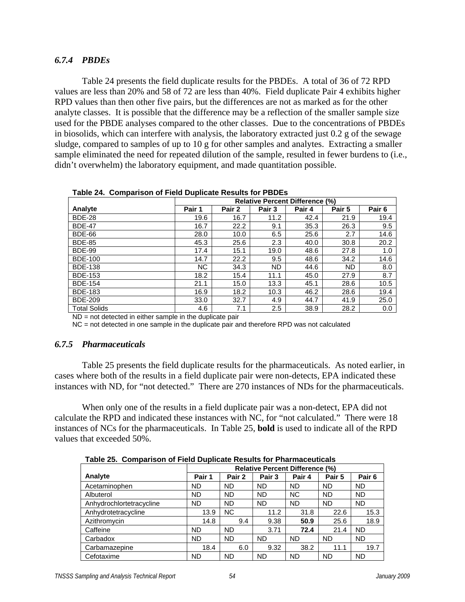# *6.7.4 PBDEs*

 Table 24 presents the field duplicate results for the PBDEs. A total of 36 of 72 RPD values are less than 20% and 58 of 72 are less than 40%. Field duplicate Pair 4 exhibits higher RPD values than then other five pairs, but the differences are not as marked as for the other analyte classes. It is possible that the difference may be a reflection of the smaller sample size used for the PBDE analyses compared to the other classes. Due to the concentrations of PBDEs in biosolids, which can interfere with analysis, the laboratory extracted just 0.2 g of the sewage sludge, compared to samples of up to 10 g for other samples and analytes. Extracting a smaller sample eliminated the need for repeated dilution of the sample, resulted in fewer burdens to (i.e., didn't overwhelm) the laboratory equipment, and made quantitation possible.

|                     | <b>Relative Percent Difference (%)</b> |        |           |        |        |                   |
|---------------------|----------------------------------------|--------|-----------|--------|--------|-------------------|
| Analyte             | Pair 1                                 | Pair 2 | Pair 3    | Pair 4 | Pair 5 | Pair <sub>6</sub> |
| <b>BDE-28</b>       | 19.6                                   | 16.7   | 11.2      | 42.4   | 21.9   | 19.4              |
| <b>BDE-47</b>       | 16.7                                   | 22.2   | 9.1       | 35.3   | 26.3   | 9.5               |
| <b>BDE-66</b>       | 28.0                                   | 10.0   | 6.5       | 25.6   | 2.7    | 14.6              |
| <b>BDE-85</b>       | 45.3                                   | 25.6   | 2.3       | 40.0   | 30.8   | 20.2              |
| <b>BDE-99</b>       | 17.4                                   | 15.1   | 19.0      | 48.6   | 27.8   | 1.0               |
| <b>BDE-100</b>      | 14.7                                   | 22.2   | 9.5       | 48.6   | 34.2   | 14.6              |
| <b>BDE-138</b>      | <b>NC</b>                              | 34.3   | <b>ND</b> | 44.6   | ND.    | 8.0               |
| <b>BDE-153</b>      | 18.2                                   | 15.4   | 11.1      | 45.0   | 27.9   | 8.7               |
| <b>BDE-154</b>      | 21.1                                   | 15.0   | 13.3      | 45.1   | 28.6   | 10.5              |
| <b>BDE-183</b>      | 16.9                                   | 18.2   | 10.3      | 46.2   | 28.6   | 19.4              |
| <b>BDE-209</b>      | 33.0                                   | 32.7   | 4.9       | 44.7   | 41.9   | 25.0              |
| <b>Total Solids</b> | 4.6                                    | 7.1    | 2.5       | 38.9   | 28.2   | 0.0               |

**Table 24. Comparison of Field Duplicate Results for PBDEs** 

 $ND = not detected in either sample in the duplicate pair$ 

NC = not detected in one sample in the duplicate pair and therefore RPD was not calculated

# *6.7.5 Pharmaceuticals*

 Table 25 presents the field duplicate results for the pharmaceuticals. As noted earlier, in cases where both of the results in a field duplicate pair were non-detects, EPA indicated these instances with ND, for "not detected." There are 270 instances of NDs for the pharmaceuticals.

 When only one of the results in a field duplicate pair was a non-detect, EPA did not calculate the RPD and indicated these instances with NC, for "not calculated." There were 18 instances of NCs for the pharmaceuticals. In Table 25, **bold** is used to indicate all of the RPD values that exceeded 50%.

**Table 25. Comparison of Field Duplicate Results for Pharmaceuticals** 

| Table Lo. Companion of Fight Daphoate Results for Filamiaocutions |                                        |           |           |           |           |                   |  |  |
|-------------------------------------------------------------------|----------------------------------------|-----------|-----------|-----------|-----------|-------------------|--|--|
|                                                                   | <b>Relative Percent Difference (%)</b> |           |           |           |           |                   |  |  |
| Analyte                                                           | Pair 1                                 | Pair 2    | Pair 3    | Pair 4    | Pair 5    | Pair <sub>6</sub> |  |  |
| Acetaminophen                                                     | <b>ND</b>                              | <b>ND</b> | <b>ND</b> | <b>ND</b> | <b>ND</b> | <b>ND</b>         |  |  |
| Albuterol                                                         | <b>ND</b>                              | <b>ND</b> | <b>ND</b> | <b>NC</b> | <b>ND</b> | <b>ND</b>         |  |  |
| Anhydrochlortetracycline                                          | <b>ND</b>                              | <b>ND</b> | <b>ND</b> | <b>ND</b> | <b>ND</b> | <b>ND</b>         |  |  |
| Anhydrotetracycline                                               | 13.9                                   | <b>NC</b> | 11.2      | 31.8      | 22.6      | 15.3              |  |  |
| Azithromycin                                                      | 14.8                                   | 9.4       | 9.38      | 50.9      | 25.6      | 18.9              |  |  |
| Caffeine                                                          | <b>ND</b>                              | <b>ND</b> | 3.71      | 72.4      | 21.4      | <b>ND</b>         |  |  |
| Carbadox                                                          | <b>ND</b>                              | <b>ND</b> | <b>ND</b> | <b>ND</b> | <b>ND</b> | <b>ND</b>         |  |  |
| Carbamazepine                                                     | 18.4                                   | 6.0       | 9.32      | 38.2      | 11.1      | 19.7              |  |  |
| Cefotaxime                                                        | <b>ND</b>                              | <b>ND</b> | <b>ND</b> | <b>ND</b> | <b>ND</b> | <b>ND</b>         |  |  |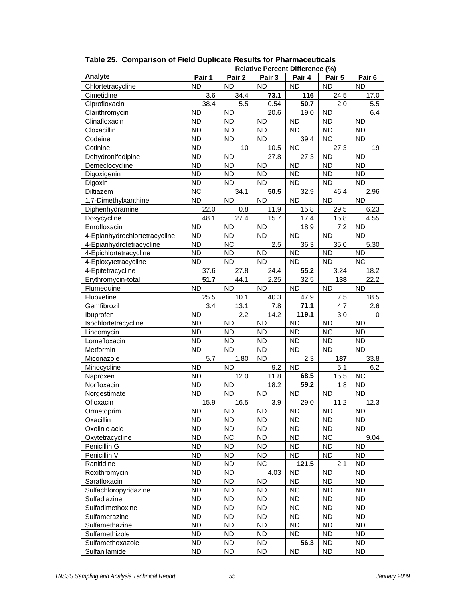|                               | <b>Relative Percent Difference (%)</b> |           |           |           |           |                   |
|-------------------------------|----------------------------------------|-----------|-----------|-----------|-----------|-------------------|
| Analyte                       | Pair 1                                 | Pair 2    | Pair 3    | Pair 4    | Pair 5    | Pair <sub>6</sub> |
| Chlortetracycline             | <b>ND</b>                              | <b>ND</b> | <b>ND</b> | <b>ND</b> | <b>ND</b> | <b>ND</b>         |
| Cimetidine                    | 3.6                                    | 34.4      | 73.1      | 116       | 24.5      | 17.0              |
| Ciprofloxacin                 | 38.4                                   | 5.5       | 0.54      | 50.7      | 2.0       | 5.5               |
| Clarithromycin                | <b>ND</b>                              | <b>ND</b> | 20.6      | 19.0      | <b>ND</b> | 6.4               |
| Clinafloxacin                 | <b>ND</b>                              | <b>ND</b> | <b>ND</b> | <b>ND</b> | <b>ND</b> | <b>ND</b>         |
| Cloxacillin                   | <b>ND</b>                              | <b>ND</b> | <b>ND</b> | <b>ND</b> | <b>ND</b> | <b>ND</b>         |
| Codeine                       | <b>ND</b>                              | <b>ND</b> | <b>ND</b> | 39.4      | <b>NC</b> | <b>ND</b>         |
| Cotinine                      | <b>ND</b>                              | 10        | 10.5      | <b>NC</b> | 27.3      | 19                |
| Dehydronifedipine             | <b>ND</b>                              | <b>ND</b> | 27.8      | 27.3      | <b>ND</b> | <b>ND</b>         |
| Demeclocycline                | <b>ND</b>                              | <b>ND</b> | <b>ND</b> | <b>ND</b> | <b>ND</b> | <b>ND</b>         |
| Digoxigenin                   | <b>ND</b>                              | <b>ND</b> | <b>ND</b> | <b>ND</b> | <b>ND</b> | <b>ND</b>         |
| Digoxin                       | <b>ND</b>                              | <b>ND</b> | <b>ND</b> | <b>ND</b> | <b>ND</b> | <b>ND</b>         |
| Diltiazem                     | NC                                     | 34.1      | 50.5      | 32.9      | 46.4      | 2.96              |
| 1,7-Dimethylxanthine          | <b>ND</b>                              | <b>ND</b> | <b>ND</b> | <b>ND</b> | <b>ND</b> | <b>ND</b>         |
| Diphenhydramine               | 22.0                                   | 0.8       | 11.9      | 15.8      | 29.5      | 6.23              |
| Doxycycline                   | 48.1                                   | 27.4      | 15.7      | 17.4      | 15.8      | 4.55              |
| Enrofloxacin                  | <b>ND</b>                              | <b>ND</b> | <b>ND</b> | 18.9      | 7.2       | <b>ND</b>         |
| 4-Epianhydrochlortetracycline | <b>ND</b>                              | <b>ND</b> | <b>ND</b> | <b>ND</b> | <b>ND</b> | <b>ND</b>         |
| 4-Epianhydrotetracycline      | <b>ND</b>                              | NC        | 2.5       | 36.3      | 35.0      | 5.30              |
| 4-Epichlortetracycline        | <b>ND</b>                              | <b>ND</b> | <b>ND</b> | <b>ND</b> | <b>ND</b> | <b>ND</b>         |
| 4-Epioxytetracycline          | <b>ND</b>                              | <b>ND</b> | <b>ND</b> | <b>ND</b> | <b>ND</b> | <b>NC</b>         |
| 4-Epitetracycline             | 37.6                                   | 27.8      | 24.4      | 55.2      | 3.24      | 18.2              |
| Erythromycin-total            | 51.7                                   | 44.1      | 2.25      | 32.5      | 138       | 22.2              |
| Flumequine                    | <b>ND</b>                              | <b>ND</b> | <b>ND</b> | <b>ND</b> | <b>ND</b> | <b>ND</b>         |
| Fluoxetine                    | 25.5                                   | 10.1      | 40.3      | 47.9      | 7.5       | 18.5              |
| Gemfibrozil                   | 3.4                                    | 13.1      | 7.8       | 71.1      | 4.7       | 2.6               |
| Ibuprofen                     | <b>ND</b>                              | 2.2       | 14.2      | 119.1     | 3.0       | 0                 |
| Isochlortetracycline          | <b>ND</b>                              | <b>ND</b> | <b>ND</b> | <b>ND</b> | <b>ND</b> | <b>ND</b>         |
| Lincomycin                    | <b>ND</b>                              | <b>ND</b> | <b>ND</b> | <b>ND</b> | <b>NC</b> | <b>ND</b>         |
| Lomefloxacin                  | <b>ND</b>                              | <b>ND</b> | <b>ND</b> | <b>ND</b> | <b>ND</b> | <b>ND</b>         |
| Metformin                     | <b>ND</b>                              | <b>ND</b> | <b>ND</b> | <b>ND</b> | <b>ND</b> | <b>ND</b>         |
| Miconazole                    | 5.7                                    | 1.80      | <b>ND</b> | 2.3       | 187       | 33.8              |
| Minocycline                   | <b>ND</b>                              | <b>ND</b> | 9.2       | <b>ND</b> | 5.1       | 6.2               |
| Naproxen                      | <b>ND</b>                              | 12.0      | 11.8      | 68.5      | 15.5      | <b>NC</b>         |
| Norfloxacin                   | <b>ND</b>                              | <b>ND</b> | 18.2      | 59.2      | 1.8       | <b>ND</b>         |
| Norgestimate                  | <b>ND</b>                              | <b>ND</b> | <b>ND</b> | <b>ND</b> | <b>ND</b> | <b>ND</b>         |
| Ofloxacin                     | 15.9                                   | 16.5      | 3.9       | 29.0      | 11.2      | 12.3              |
| Ormetoprim                    | ND                                     | <b>ND</b> | <b>ND</b> | <b>ND</b> | <b>ND</b> | <b>ND</b>         |
| Oxacillin                     | <b>ND</b>                              | <b>ND</b> | <b>ND</b> | <b>ND</b> | <b>ND</b> | <b>ND</b>         |
| Oxolinic acid                 | <b>ND</b>                              | <b>ND</b> | <b>ND</b> | <b>ND</b> | <b>ND</b> | <b>ND</b>         |
| Oxytetracycline               | <b>ND</b>                              | <b>NC</b> | <b>ND</b> | <b>ND</b> | <b>NC</b> | 9.04              |
| Penicillin G                  | <b>ND</b>                              | <b>ND</b> | <b>ND</b> | <b>ND</b> | <b>ND</b> | <b>ND</b>         |
| Penicillin V                  | <b>ND</b>                              | <b>ND</b> | <b>ND</b> | <b>ND</b> | <b>ND</b> | <b>ND</b>         |
| Ranitidine                    | <b>ND</b>                              | <b>ND</b> | <b>NC</b> | 121.5     | 2.1       | <b>ND</b>         |
| Roxithromycin                 | <b>ND</b>                              | <b>ND</b> | 4.03      | <b>ND</b> | <b>ND</b> | <b>ND</b>         |
| Sarafloxacin                  | <b>ND</b>                              | <b>ND</b> | <b>ND</b> | <b>ND</b> | <b>ND</b> | <b>ND</b>         |
| Sulfachloropyridazine         | <b>ND</b>                              | <b>ND</b> | <b>ND</b> | <b>NC</b> | <b>ND</b> | <b>ND</b>         |
| Sulfadiazine                  | <b>ND</b>                              | <b>ND</b> | <b>ND</b> | <b>ND</b> | <b>ND</b> | <b>ND</b>         |
| Sulfadimethoxine              | <b>ND</b>                              | <b>ND</b> | <b>ND</b> | <b>NC</b> | <b>ND</b> | <b>ND</b>         |
| Sulfamerazine                 | ND.                                    | <b>ND</b> | <b>ND</b> | ND.       | <b>ND</b> | <b>ND</b>         |
| Sulfamethazine                | ND.                                    | ND        | ND        | ND.       | ND.       | ND.               |
| Sulfamethizole                | ND.                                    | ND        | ND        | ND.       | ND        | ND.               |
| Sulfamethoxazole              | ND.                                    | <b>ND</b> | <b>ND</b> | 56.3      | <b>ND</b> | ND.               |
| Sulfanilamide                 | ND.                                    | ND.       | ND.       | <b>ND</b> | <b>ND</b> | <b>ND</b>         |

**Table 25. Comparison of Field Duplicate Results for Pharmaceuticals**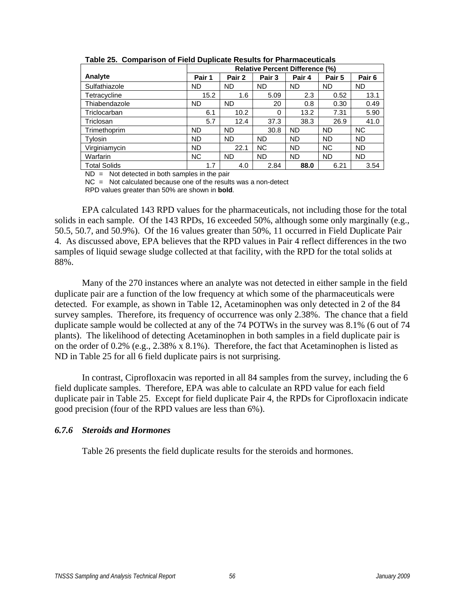|                     | <b>Relative Percent Difference (%)</b> |           |           |           |           |                   |  |  |
|---------------------|----------------------------------------|-----------|-----------|-----------|-----------|-------------------|--|--|
| Analyte             | Pair 1                                 | Pair 2    | Pair 3    | Pair 4    | Pair 5    | Pair <sub>6</sub> |  |  |
| Sulfathiazole       | <b>ND</b>                              | <b>ND</b> | <b>ND</b> | <b>ND</b> | <b>ND</b> | <b>ND</b>         |  |  |
| Tetracycline        | 15.2                                   | 1.6       | 5.09      | 2.3       | 0.52      | 13.1              |  |  |
| Thiabendazole       | ND.                                    | <b>ND</b> | 20        | 0.8       | 0.30      | 0.49              |  |  |
| Triclocarban        | 6.1                                    | 10.2      | $\Omega$  | 13.2      | 7.31      | 5.90              |  |  |
| Triclosan           | 5.7                                    | 12.4      | 37.3      | 38.3      | 26.9      | 41.0              |  |  |
| Trimethoprim        | <b>ND</b>                              | <b>ND</b> | 30.8      | <b>ND</b> | <b>ND</b> | NC.               |  |  |
| Tylosin             | <b>ND</b>                              | <b>ND</b> | <b>ND</b> | <b>ND</b> | <b>ND</b> | <b>ND</b>         |  |  |
| Virginiamycin       | ND.                                    | 22.1      | <b>NC</b> | <b>ND</b> | <b>NC</b> | <b>ND</b>         |  |  |
| Warfarin            | <b>NC</b>                              | <b>ND</b> | <b>ND</b> | <b>ND</b> | <b>ND</b> | ND.               |  |  |
| <b>Total Solids</b> | 1.7                                    | 4.0       | 2.84      | 88.0      | 6.21      | 3.54              |  |  |

**Table 25. Comparison of Field Duplicate Results for Pharmaceuticals** 

 $ND = Not detected in both samples in the pair$ 

 $NC =$  Not calculated because one of the results was a non-detect

RPD values greater than 50% are shown in **bold**.

 EPA calculated 143 RPD values for the pharmaceuticals, not including those for the total solids in each sample. Of the 143 RPDs, 16 exceeded 50%, although some only marginally (e.g., 50.5, 50.7, and 50.9%). Of the 16 values greater than 50%, 11 occurred in Field Duplicate Pair 4. As discussed above, EPA believes that the RPD values in Pair 4 reflect differences in the two samples of liquid sewage sludge collected at that facility, with the RPD for the total solids at 88%.

 Many of the 270 instances where an analyte was not detected in either sample in the field duplicate pair are a function of the low frequency at which some of the pharmaceuticals were detected. For example, as shown in Table 12, Acetaminophen was only detected in 2 of the 84 survey samples. Therefore, its frequency of occurrence was only 2.38%. The chance that a field duplicate sample would be collected at any of the 74 POTWs in the survey was 8.1% (6 out of 74 plants). The likelihood of detecting Acetaminophen in both samples in a field duplicate pair is on the order of 0.2% (e.g., 2.38% x 8.1%). Therefore, the fact that Acetaminophen is listed as ND in Table 25 for all 6 field duplicate pairs is not surprising.

 In contrast, Ciprofloxacin was reported in all 84 samples from the survey, including the 6 field duplicate samples. Therefore, EPA was able to calculate an RPD value for each field duplicate pair in Table 25. Except for field duplicate Pair 4, the RPDs for Ciprofloxacin indicate good precision (four of the RPD values are less than 6%).

# *6.7.6 Steroids and Hormones*

Table 26 presents the field duplicate results for the steroids and hormones.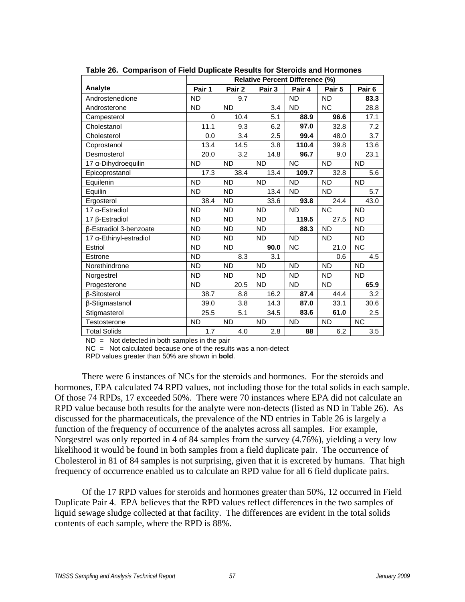|                        |           |           |                   | <b>Relative Percent Difference (%)</b> |           |                   |  |
|------------------------|-----------|-----------|-------------------|----------------------------------------|-----------|-------------------|--|
| Analyte                | Pair 1    | Pair 2    | Pair <sub>3</sub> | Pair 4                                 | Pair 5    | Pair <sub>6</sub> |  |
| Androstenedione        | <b>ND</b> | 9.7       |                   | <b>ND</b>                              | <b>ND</b> | 83.3              |  |
| Androsterone           | <b>ND</b> | <b>ND</b> | 3.4               | <b>ND</b>                              | <b>NC</b> | 28.8              |  |
| Campesterol            | $\Omega$  | 10.4      | 5.1               | 88.9                                   | 96.6      | 17.1              |  |
| Cholestanol            | 11.1      | 9.3       | 6.2               | 97.0                                   | 32.8      | 7.2               |  |
| Cholesterol            | 0.0       | 3.4       | 2.5               | 99.4                                   | 48.0      | 3.7               |  |
| Coprostanol            | 13.4      | 14.5      | 3.8               | 110.4                                  | 39.8      | 13.6              |  |
| Desmosterol            | 20.0      | 3.2       | 14.8              | 96.7                                   | 9.0       | 23.1              |  |
| 17 a-Dihydroequilin    | <b>ND</b> | <b>ND</b> | <b>ND</b>         | <b>NC</b>                              | <b>ND</b> | <b>ND</b>         |  |
| Epicoprostanol         | 17.3      | 38.4      | 13.4              | 109.7                                  | 32.8      | 5.6               |  |
| Equilenin              | <b>ND</b> | <b>ND</b> | <b>ND</b>         | <b>ND</b>                              | <b>ND</b> | <b>ND</b>         |  |
| Equilin                | <b>ND</b> | <b>ND</b> | 13.4              | <b>ND</b>                              | <b>ND</b> | 5.7               |  |
| Ergosterol             | 38.4      | <b>ND</b> | 33.6              | 93.8                                   | 24.4      | 43.0              |  |
| 17 a-Estradiol         | <b>ND</b> | <b>ND</b> | <b>ND</b>         | <b>ND</b>                              | <b>NC</b> | <b>ND</b>         |  |
| 17 β-Estradiol         | <b>ND</b> | <b>ND</b> | <b>ND</b>         | 119.5                                  | 27.5      | <b>ND</b>         |  |
| β-Estradiol 3-benzoate | <b>ND</b> | <b>ND</b> | <b>ND</b>         | 88.3                                   | <b>ND</b> | ND                |  |
| 17 α-Ethinyl-estradiol | <b>ND</b> | <b>ND</b> | <b>ND</b>         | <b>ND</b>                              | <b>ND</b> | ND                |  |
| Estriol                | <b>ND</b> | <b>ND</b> | 90.0              | <b>NC</b>                              | 21.0      | <b>NC</b>         |  |
| Estrone                | <b>ND</b> | 8.3       | 3.1               |                                        | 0.6       | 4.5               |  |
| Norethindrone          | <b>ND</b> | <b>ND</b> | <b>ND</b>         | <b>ND</b>                              | <b>ND</b> | N <sub>D</sub>    |  |
| Norgestrel             | <b>ND</b> | <b>ND</b> | <b>ND</b>         | <b>ND</b>                              | <b>ND</b> | ND.               |  |
| Progesterone           | <b>ND</b> | 20.5      | <b>ND</b>         | <b>ND</b>                              | <b>ND</b> | 65.9              |  |
| <b>ß-Sitosterol</b>    | 38.7      | 8.8       | 16.2              | 87.4                                   | 44.4      | 3.2               |  |
| β-Stigmastanol         | 39.0      | 3.8       | 14.3              | 87.0                                   | 33.1      | 30.6              |  |
| Stigmasterol           | 25.5      | 5.1       | 34.5              | 83.6                                   | 61.0      | 2.5               |  |
| Testosterone           | <b>ND</b> | <b>ND</b> | <b>ND</b>         | <b>ND</b>                              | <b>ND</b> | <b>NC</b>         |  |
| <b>Total Solids</b>    | 1.7       | 4.0       | 2.8               | 88                                     | 6.2       | 3.5               |  |

**Table 26. Comparison of Field Duplicate Results for Steroids and Hormones** 

 $ND = Not detected in both samples in the pair$ 

NC = Not calculated because one of the results was a non-detect

RPD values greater than 50% are shown in **bold**.

 There were 6 instances of NCs for the steroids and hormones. For the steroids and hormones, EPA calculated 74 RPD values, not including those for the total solids in each sample. Of those 74 RPDs, 17 exceeded 50%. There were 70 instances where EPA did not calculate an RPD value because both results for the analyte were non-detects (listed as ND in Table 26). As discussed for the pharmaceuticals, the prevalence of the ND entries in Table 26 is largely a function of the frequency of occurrence of the analytes across all samples. For example, Norgestrel was only reported in 4 of 84 samples from the survey (4.76%), yielding a very low likelihood it would be found in both samples from a field duplicate pair. The occurrence of Cholesterol in 81 of 84 samples is not surprising, given that it is excreted by humans. That high frequency of occurrence enabled us to calculate an RPD value for all 6 field duplicate pairs.

 Of the 17 RPD values for steroids and hormones greater than 50%, 12 occurred in Field Duplicate Pair 4. EPA believes that the RPD values reflect differences in the two samples of liquid sewage sludge collected at that facility. The differences are evident in the total solids contents of each sample, where the RPD is 88%.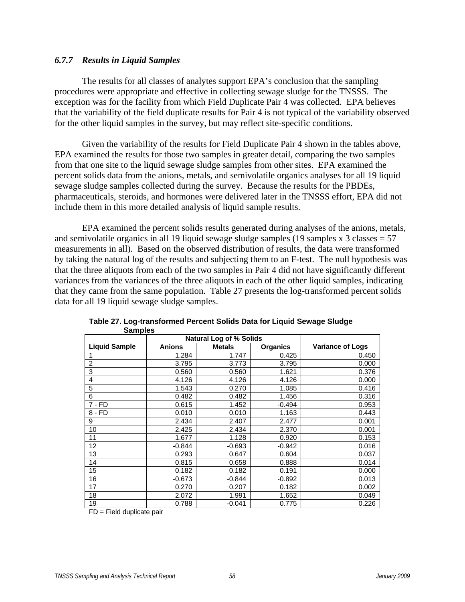## *6.7.7 Results in Liquid Samples*

 The results for all classes of analytes support EPA's conclusion that the sampling procedures were appropriate and effective in collecting sewage sludge for the TNSSS. The exception was for the facility from which Field Duplicate Pair 4 was collected. EPA believes that the variability of the field duplicate results for Pair 4 is not typical of the variability observed for the other liquid samples in the survey, but may reflect site-specific conditions.

 Given the variability of the results for Field Duplicate Pair 4 shown in the tables above, EPA examined the results for those two samples in greater detail, comparing the two samples from that one site to the liquid sewage sludge samples from other sites. EPA examined the percent solids data from the anions, metals, and semivolatile organics analyses for all 19 liquid sewage sludge samples collected during the survey. Because the results for the PBDEs, pharmaceuticals, steroids, and hormones were delivered later in the TNSSS effort, EPA did not include them in this more detailed analysis of liquid sample results.

 EPA examined the percent solids results generated during analyses of the anions, metals, and semivolatile organics in all 19 liquid sewage sludge samples (19 samples x  $3$  classes  $= 57$ ) measurements in all). Based on the observed distribution of results, the data were transformed by taking the natural log of the results and subjecting them to an F-test. The null hypothesis was that the three aliquots from each of the two samples in Pair 4 did not have significantly different variances from the variances of the three aliquots in each of the other liquid samples, indicating that they came from the same population. Table 27 presents the log-transformed percent solids data for all 19 liquid sewage sludge samples.

| ----------           |               |                                |                 |                         |  |  |  |  |  |
|----------------------|---------------|--------------------------------|-----------------|-------------------------|--|--|--|--|--|
|                      |               | <b>Natural Log of % Solids</b> |                 |                         |  |  |  |  |  |
| <b>Liquid Sample</b> | <b>Anions</b> | <b>Metals</b>                  | <b>Organics</b> | <b>Variance of Logs</b> |  |  |  |  |  |
|                      | 1.284         | 1.747                          | 0.425           | 0.450                   |  |  |  |  |  |
| 2                    | 3.795         | 3.773                          | 3.795           | 0.000                   |  |  |  |  |  |
| 3                    | 0.560         | 0.560                          | 1.621           | 0.376                   |  |  |  |  |  |
| 4                    | 4.126         | 4.126                          | 4.126           | 0.000                   |  |  |  |  |  |
| 5                    | 1.543         | 0.270                          | 1.085           | 0.416                   |  |  |  |  |  |
| 6                    | 0.482         | 0.482                          | 1.456           | 0.316                   |  |  |  |  |  |
| $7 - FD$             | 0.615         | 1.452                          | $-0.494$        | 0.953                   |  |  |  |  |  |
| 8 - FD               | 0.010         | 0.010                          | 1.163           | 0.443                   |  |  |  |  |  |
| 9                    | 2.434         | 2.407                          | 2.477           | 0.001                   |  |  |  |  |  |
| 10                   | 2.425         | 2.434                          | 2.370           | 0.001                   |  |  |  |  |  |
| 11                   | 1.677         | 1.128                          | 0.920           | 0.153                   |  |  |  |  |  |
| 12                   | $-0.844$      | $-0.693$                       | $-0.942$        | 0.016                   |  |  |  |  |  |
| 13                   | 0.293         | 0.647                          | 0.604           | 0.037                   |  |  |  |  |  |
| 14                   | 0.815         | 0.658                          | 0.888           | 0.014                   |  |  |  |  |  |
| 15                   | 0.182         | 0.182                          | 0.191           | 0.000                   |  |  |  |  |  |
| 16                   | $-0.673$      | -0.844                         | $-0.892$        | 0.013                   |  |  |  |  |  |
| 17                   | 0.270         | 0.207                          | 0.182           | 0.002                   |  |  |  |  |  |
| 18                   | 2.072         | 1.991                          | 1.652           | 0.049                   |  |  |  |  |  |
| 19                   | 0.788         | $-0.041$                       | 0.775           | 0.226                   |  |  |  |  |  |

**Table 27. Log-transformed Percent Solids Data for Liquid Sewage Sludge Samples** 

FD = Field duplicate pair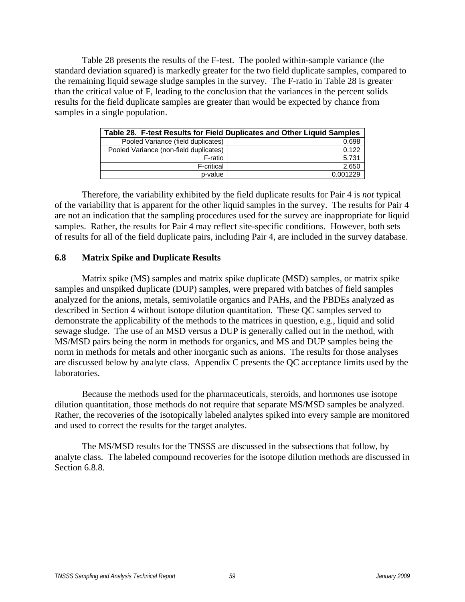Table 28 presents the results of the F-test. The pooled within-sample variance (the standard deviation squared) is markedly greater for the two field duplicate samples, compared to the remaining liquid sewage sludge samples in the survey. The F-ratio in Table 28 is greater than the critical value of F, leading to the conclusion that the variances in the percent solids results for the field duplicate samples are greater than would be expected by chance from samples in a single population.

|                                        | Table 28. F-test Results for Field Duplicates and Other Liquid Samples |
|----------------------------------------|------------------------------------------------------------------------|
| Pooled Variance (field duplicates)     | 0.698                                                                  |
| Pooled Variance (non-field duplicates) | 0.122                                                                  |
| F-ratio                                | 5.731                                                                  |
| F-critical                             | 2.650                                                                  |
| p-value                                | 0.001229                                                               |

 Therefore, the variability exhibited by the field duplicate results for Pair 4 is *not* typical of the variability that is apparent for the other liquid samples in the survey. The results for Pair 4 are not an indication that the sampling procedures used for the survey are inappropriate for liquid samples. Rather, the results for Pair 4 may reflect site-specific conditions. However, both sets of results for all of the field duplicate pairs, including Pair 4, are included in the survey database.

# **6.8 Matrix Spike and Duplicate Results**

 Matrix spike (MS) samples and matrix spike duplicate (MSD) samples, or matrix spike samples and unspiked duplicate (DUP) samples, were prepared with batches of field samples analyzed for the anions, metals, semivolatile organics and PAHs, and the PBDEs analyzed as described in Section 4 without isotope dilution quantitation. These QC samples served to demonstrate the applicability of the methods to the matrices in question, e.g., liquid and solid sewage sludge. The use of an MSD versus a DUP is generally called out in the method, with MS/MSD pairs being the norm in methods for organics, and MS and DUP samples being the norm in methods for metals and other inorganic such as anions. The results for those analyses are discussed below by analyte class. Appendix C presents the QC acceptance limits used by the laboratories.

 Because the methods used for the pharmaceuticals, steroids, and hormones use isotope dilution quantitation, those methods do not require that separate MS/MSD samples be analyzed. Rather, the recoveries of the isotopically labeled analytes spiked into every sample are monitored and used to correct the results for the target analytes.

 The MS/MSD results for the TNSSS are discussed in the subsections that follow, by analyte class. The labeled compound recoveries for the isotope dilution methods are discussed in Section 6.8.8.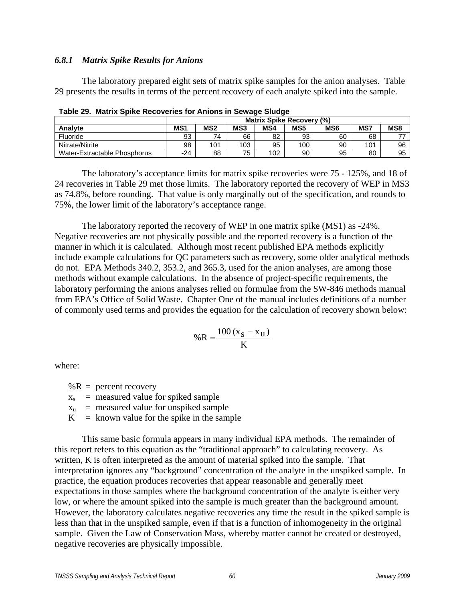#### *6.8.1 Matrix Spike Results for Anions*

 The laboratory prepared eight sets of matrix spike samples for the anion analyses. Table 29 presents the results in terms of the percent recovery of each analyte spiked into the sample.

|                              | <b>Matrix Spike Recovery (%)</b> |                 |     |     |                 |                 |     |     |
|------------------------------|----------------------------------|-----------------|-----|-----|-----------------|-----------------|-----|-----|
| Analyte                      | MS <sub>1</sub>                  | MS <sub>2</sub> | MS3 | MS4 | MS <sub>5</sub> | MS <sub>6</sub> | MS7 | MS8 |
| Fluoride                     | 93                               | 74              | 66  | 82  | 93              | 60              | 68  | 77  |
| Nitrate/Nitrite              | 98                               | 101             | 103 | 95  | 100             | 90              | 101 | 96  |
| Water-Extractable Phosphorus | -24                              | 88              | 75  | 102 | 90              | 95              | 80  | 95  |

 The laboratory's acceptance limits for matrix spike recoveries were 75 - 125%, and 18 of 24 recoveries in Table 29 met those limits. The laboratory reported the recovery of WEP in MS3 as 74.8%, before rounding. That value is only marginally out of the specification, and rounds to 75%, the lower limit of the laboratory's acceptance range.

 The laboratory reported the recovery of WEP in one matrix spike (MS1) as -24%. Negative recoveries are not physically possible and the reported recovery is a function of the manner in which it is calculated. Although most recent published EPA methods explicitly include example calculations for QC parameters such as recovery, some older analytical methods do not. EPA Methods 340.2, 353.2, and 365.3, used for the anion analyses, are among those methods without example calculations. In the absence of project-specific requirements, the laboratory performing the anions analyses relied on formulae from the SW-846 methods manual from EPA's Office of Solid Waste. Chapter One of the manual includes definitions of a number of commonly used terms and provides the equation for the calculation of recovery shown below:

$$
\%R = \frac{100(x_S - x_u)}{K}
$$

where:

 $%R =$  percent recovery

 $x_s$  = measured value for spiked sample

- $x<sub>u</sub>$  = measured value for unspiked sample
- $K$  = known value for the spike in the sample

 This same basic formula appears in many individual EPA methods. The remainder of this report refers to this equation as the "traditional approach" to calculating recovery. As written, K is often interpreted as the amount of material spiked into the sample. That interpretation ignores any "background" concentration of the analyte in the unspiked sample. In practice, the equation produces recoveries that appear reasonable and generally meet expectations in those samples where the background concentration of the analyte is either very low, or where the amount spiked into the sample is much greater than the background amount. However, the laboratory calculates negative recoveries any time the result in the spiked sample is less than that in the unspiked sample, even if that is a function of inhomogeneity in the original sample. Given the Law of Conservation Mass, whereby matter cannot be created or destroyed, negative recoveries are physically impossible.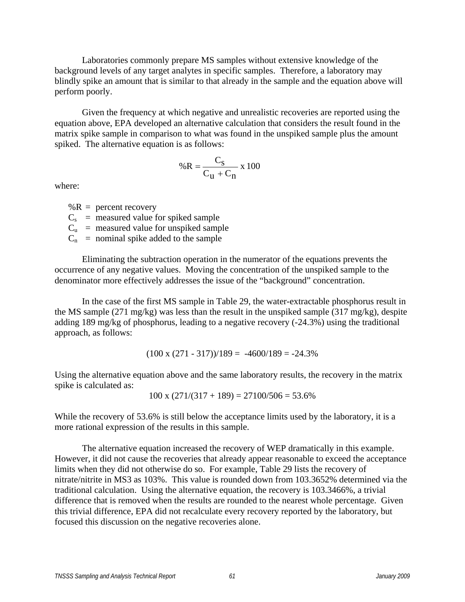Laboratories commonly prepare MS samples without extensive knowledge of the background levels of any target analytes in specific samples. Therefore, a laboratory may blindly spike an amount that is similar to that already in the sample and the equation above will perform poorly.

 Given the frequency at which negative and unrealistic recoveries are reported using the equation above, EPA developed an alternative calculation that considers the result found in the matrix spike sample in comparison to what was found in the unspiked sample plus the amount spiked. The alternative equation is as follows:

$$
\% \mathbf{R} = \frac{\mathbf{C_S}}{\mathbf{C_U} + \mathbf{C_n}} \times 100
$$

where:

 $%R =$  percent recovery  $C_s$  = measured value for spiked sample  $C_u$  = measured value for unspiked sample  $C_n$  = nominal spike added to the sample

 Eliminating the subtraction operation in the numerator of the equations prevents the occurrence of any negative values. Moving the concentration of the unspiked sample to the denominator more effectively addresses the issue of the "background" concentration.

 In the case of the first MS sample in Table 29, the water-extractable phosphorus result in the MS sample (271 mg/kg) was less than the result in the unspiked sample (317 mg/kg), despite adding 189 mg/kg of phosphorus, leading to a negative recovery (-24.3%) using the traditional approach, as follows:

$$
(100 \times (271 - 317))/189 = -4600/189 = -24.3\%
$$

Using the alternative equation above and the same laboratory results, the recovery in the matrix spike is calculated as:

$$
100 \times (271/(317 + 189)) = 27100/506 = 53.6\%
$$

While the recovery of 53.6% is still below the acceptance limits used by the laboratory, it is a more rational expression of the results in this sample.

 The alternative equation increased the recovery of WEP dramatically in this example. However, it did not cause the recoveries that already appear reasonable to exceed the acceptance limits when they did not otherwise do so. For example, Table 29 lists the recovery of nitrate/nitrite in MS3 as 103%. This value is rounded down from 103.3652% determined via the traditional calculation. Using the alternative equation, the recovery is 103.3466%, a trivial difference that is removed when the results are rounded to the nearest whole percentage. Given this trivial difference, EPA did not recalculate every recovery reported by the laboratory, but focused this discussion on the negative recoveries alone.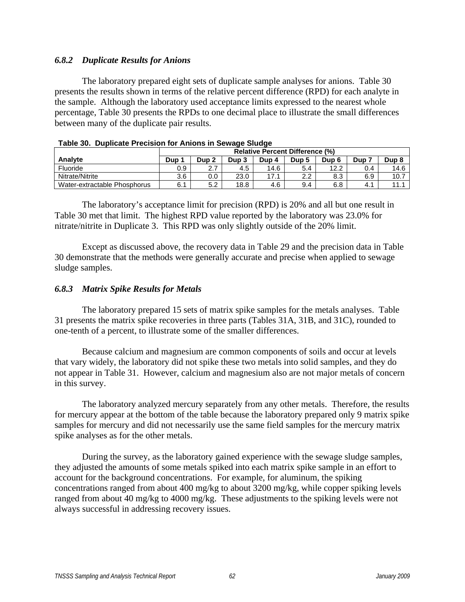# *6.8.2 Duplicate Results for Anions*

 The laboratory prepared eight sets of duplicate sample analyses for anions. Table 30 presents the results shown in terms of the relative percent difference (RPD) for each analyte in the sample. Although the laboratory used acceptance limits expressed to the nearest whole percentage, Table 30 presents the RPDs to one decimal place to illustrate the small differences between many of the duplicate pair results.

|                              | <b>Relative Percent Difference (%)</b> |                  |       |       |       |       |     |                  |
|------------------------------|----------------------------------------|------------------|-------|-------|-------|-------|-----|------------------|
| Analyte                      | Dup                                    | Dup <sub>2</sub> | Dup 3 | Dup 4 | Dup 5 | Dup 6 | Dup | Dup <sub>8</sub> |
| Fluoride                     | 0.9                                    | n 7<br><u>.</u>  | 4.5   | 14.6  | 5.4   | 12.2  | 0.4 | 14.6             |
| Nitrate/Nitrite              | 3.6                                    | 0.0              | 23.0  | 17.1  | າາ    | 8.3   | 6.9 | 10.7             |
| Water-extractable Phosphorus | 6.1                                    | 5.2              | 18.8  | 4.6   | 9.4   | 6.8   | 4.1 | 11               |

| Table 30. Duplicate Precision for Anions in Sewage Sludge |  |
|-----------------------------------------------------------|--|
|-----------------------------------------------------------|--|

 The laboratory's acceptance limit for precision (RPD) is 20% and all but one result in Table 30 met that limit. The highest RPD value reported by the laboratory was 23.0% for nitrate/nitrite in Duplicate 3. This RPD was only slightly outside of the 20% limit.

 Except as discussed above, the recovery data in Table 29 and the precision data in Table 30 demonstrate that the methods were generally accurate and precise when applied to sewage sludge samples.

# *6.8.3 Matrix Spike Results for Metals*

 The laboratory prepared 15 sets of matrix spike samples for the metals analyses. Table 31 presents the matrix spike recoveries in three parts (Tables 31A, 31B, and 31C), rounded to one-tenth of a percent, to illustrate some of the smaller differences.

 Because calcium and magnesium are common components of soils and occur at levels that vary widely, the laboratory did not spike these two metals into solid samples, and they do not appear in Table 31. However, calcium and magnesium also are not major metals of concern in this survey.

 The laboratory analyzed mercury separately from any other metals. Therefore, the results for mercury appear at the bottom of the table because the laboratory prepared only 9 matrix spike samples for mercury and did not necessarily use the same field samples for the mercury matrix spike analyses as for the other metals.

 During the survey, as the laboratory gained experience with the sewage sludge samples, they adjusted the amounts of some metals spiked into each matrix spike sample in an effort to account for the background concentrations. For example, for aluminum, the spiking concentrations ranged from about 400 mg/kg to about 3200 mg/kg, while copper spiking levels ranged from about 40 mg/kg to 4000 mg/kg. These adjustments to the spiking levels were not always successful in addressing recovery issues.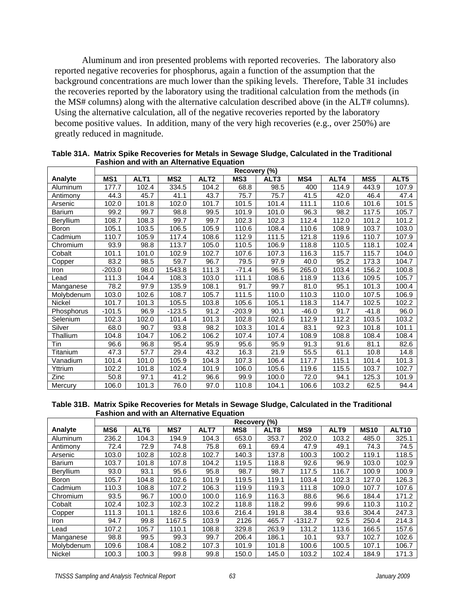Aluminum and iron presented problems with reported recoveries. The laboratory also reported negative recoveries for phosphorus, again a function of the assumption that the background concentrations are much lower than the spiking levels. Therefore, Table 31 includes the recoveries reported by the laboratory using the traditional calculation from the methods (in the MS# columns) along with the alternative calculation described above (in the ALT# columns). Using the alternative calculation, all of the negative recoveries reported by the laboratory become positive values. In addition, many of the very high recoveries (e.g., over 250%) are greatly reduced in magnitude.

|               | Recovery<br>(%) |                  |                 |                  |                   |                  |         |       |       |       |  |
|---------------|-----------------|------------------|-----------------|------------------|-------------------|------------------|---------|-------|-------|-------|--|
| Analyte       | MS1             | ALT <sub>1</sub> | MS <sub>2</sub> | ALT <sub>2</sub> | MS3               | ALT <sub>3</sub> | MS4     | ALT4  | MS5   | ALT5  |  |
| Aluminum      | 177.7           | 102.4            | 334.5           | 104.2            | 68.8              | 98.5             | 400     | 114.9 | 443.9 | 107.9 |  |
| Antimony      | 44.3            | 45.7             | 41.1            | 43.7             | $\overline{7}5.7$ | 75.7             | 41.5    | 42.0  | 46.4  | 47.4  |  |
| Arsenic       | 102.0           | 101.8            | 102.0           | 101.7            | 101.5             | 101.4            | 111.1   | 110.6 | 101.6 | 101.5 |  |
| <b>Barium</b> | 99.2            | 99.7             | 98.8            | 99.5             | 101.9             | 101.0            | 96.3    | 98.2  | 117.5 | 105.7 |  |
| Beryllium     | 108.7           | 108.3            | 99.7            | 99.7             | 102.3             | 102.3            | 112.4   | 112.0 | 101.2 | 101.2 |  |
| Boron         | 105.1           | 103.5            | 106.5           | 105.9            | 110.6             | 108.4            | 110.6   | 108.9 | 103.7 | 103.0 |  |
| Cadmium       | 110.7           | 105.9            | 117.4           | 108.6            | 112.9             | 111.5            | 121.8   | 119.6 | 110.7 | 107.9 |  |
| Chromium      | 93.9            | 98.8             | 113.7           | 105.0            | 110.5             | 106.9            | 118.8   | 110.5 | 118.1 | 102.4 |  |
| Cobalt        | 101.1           | 101.0            | 102.9           | 102.7            | 107.6             | 107.3            | 116.3   | 115.7 | 115.7 | 104.0 |  |
| Copper        | 83.2            | 98.5             | 59.7            | 96.7             | 79.5              | 97.9             | 40.0    | 95.2  | 173.3 | 104.7 |  |
| Iron          | $-203.0$        | 98.0             | 1543.8          | 111.3            | $-71.4$           | 96.5             | 265.0   | 103.4 | 156.2 | 100.8 |  |
| Lead          | 111.3           | 104.4            | 108.3           | 103.0            | 111.1             | 108.6            | 118.9   | 113.6 | 109.5 | 105.7 |  |
| Manganese     | 78.2            | 97.9             | 135.9           | 108.1            | 91.7              | 99.7             | 81.0    | 95.1  | 101.3 | 100.4 |  |
| Molybdenum    | 103.0           | 102.6            | 108.7           | 105.7            | 111.5             | 110.0            | 110.3   | 110.0 | 107.5 | 106.9 |  |
| Nickel        | 101.7           | 101.3            | 105.5           | 103.8            | 105.6             | 105.1            | 118.3   | 114.7 | 102.5 | 102.2 |  |
| Phosphorus    | $-101.5$        | 96.9             | $-123.5$        | 91.2             | $-203.9$          | 90.1             | $-46.0$ | 91.7  | -41.8 | 96.0  |  |
| Selenium      | 102.3           | 102.0            | 101.4           | 101.3            | 102.8             | 102.6            | 112.9   | 112.2 | 103.5 | 103.2 |  |
| Silver        | 68.0            | 90.7             | 93.8            | 98.2             | 103.3             | 101.4            | 83.1    | 92.3  | 101.8 | 101.1 |  |
| Thallium      | 104.8           | 104.7            | 106.2           | 106.2            | 107.4             | 107.4            | 108.9   | 108.8 | 108.4 | 108.4 |  |
| Tin           | 96.6            | 96.8             | 95.4            | 95.9             | 95.6              | 95.9             | 91.3    | 91.6  | 81.1  | 82.6  |  |
| Titanium      | 47.3            | 57.7             | 29.4            | 43.2             | 16.3              | 21.9             | 55.5    | 61.1  | 10.8  | 14.8  |  |
| Vanadium      | 101.4           | 101.0            | 105.9           | 104.3            | 107.3             | 106.4            | 117.7   | 115.1 | 101.4 | 101.3 |  |
| Yttrium       | 102.2           | 101.8            | 102.4           | 101.9            | 106.0             | 105.6            | 119.6   | 115.5 | 103.7 | 102.7 |  |
| Zinc          | 50.8            | 97.1             | 41.2            | 96.6             | 99.9              | 100.0            | 72.0    | 94.1  | 125.3 | 101.9 |  |
| Mercury       | 106.0           | 101.3            | 76.0            | 97.0             | 110.8             | 104.1            | 106.6   | 103.2 | 62.5  | 94.4  |  |

**Table 31A. Matrix Spike Recoveries for Metals in Sewage Sludge, Calculated in the Traditional Fashion and with an Alternative Equation** 

#### **Table 31B. Matrix Spike Recoveries for Metals in Sewage Sludge, Calculated in the Traditional Fashion and with an Alternative Equation**

|                  | Recovery (%)    |                  |        |       |       |                  |                 |                  |             |                   |  |  |
|------------------|-----------------|------------------|--------|-------|-------|------------------|-----------------|------------------|-------------|-------------------|--|--|
| Analyte          | MS <sub>6</sub> | ALT <sub>6</sub> | MS7    | ALT7  | MS8   | ALT <sub>8</sub> | MS <sub>9</sub> | ALT <sub>9</sub> | <b>MS10</b> | ALT <sub>10</sub> |  |  |
| Aluminum         | 236.2           | 104.3            | 194.9  | 104.3 | 653.0 | 353.7            | 202.0           | 103.2            | 485.0       | 325.1             |  |  |
| Antimony         | 72.4            | 72.9             | 74.8   | 75.8  | 69.1  | 69.4             | 47.9            | 49.1             | 74.3        | 74.5              |  |  |
| Arsenic          | 103.0           | 102.8            | 102.8  | 102.7 | 140.3 | 137.8            | 100.3           | 100.2            | 119.1       | 118.5             |  |  |
| <b>Barium</b>    | 103.7           | 101.8            | 107.8  | 104.2 | 119.5 | 118.8            | 92.6            | 96.9             | 103.0       | 102.9             |  |  |
| <b>Beryllium</b> | 93.0            | 93.1             | 95.6   | 95.8  | 98.7  | 98.7             | 117.5           | 116.7            | 100.9       | 100.9             |  |  |
| Boron            | 105.7           | 104.8            | 102.6  | 101.9 | 119.5 | 119.1            | 103.4           | 102.3            | 127.0       | 126.3             |  |  |
| Cadmium          | 110.3           | 108.8            | 107.2  | 106.3 | 119.9 | 119.3            | 111.8           | 109.0            | 107.7       | 107.6             |  |  |
| Chromium         | 93.5            | 96.7             | 100.0  | 100.0 | 116.9 | 116.3            | 88.6            | 96.6             | 184.4       | 171.2             |  |  |
| Cobalt           | 102.4           | 102.3            | 102.3  | 102.2 | 118.8 | 118.2            | 99.6            | 99.6             | 110.3       | 110.2             |  |  |
| Copper           | 111.3           | 101.1            | 182.6  | 103.6 | 216.4 | 191.8            | 38.4            | 93.6             | 304.4       | 247.3             |  |  |
| Iron             | 94.7            | 99.8             | 1167.5 | 103.9 | 2126  | 465.7            | $-1312.7$       | 92.5             | 250.4       | 214.3             |  |  |
| Lead             | 107.2           | 105.7            | 110.1  | 108.8 | 329.8 | 263.9            | 131.2           | 113.6            | 166.5       | 157.6             |  |  |
| Manganese        | 98.8            | 99.5             | 99.3   | 99.7  | 206.4 | 186.1            | 10.1            | 93.7             | 102.7       | 102.6             |  |  |
| Molybdenum       | 109.6           | 108.4            | 108.2  | 107.3 | 101.9 | 101.8            | 100.6           | 100.5            | 107.1       | 106.7             |  |  |
| <b>Nickel</b>    | 100.3           | 100.3            | 99.8   | 99.8  | 150.0 | 145.0            | 103.2           | 102.4            | 184.9       | 171.3             |  |  |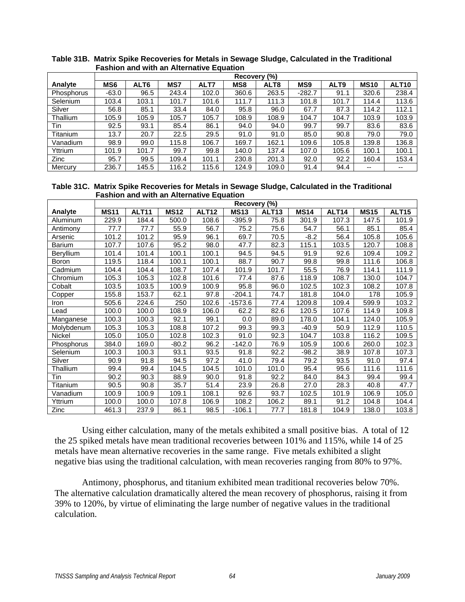|                 |                 |                  |       |       | Recovery (%) |       |                 |                  |             |                   |
|-----------------|-----------------|------------------|-------|-------|--------------|-------|-----------------|------------------|-------------|-------------------|
| Analyte         | MS <sub>6</sub> | ALT <sub>6</sub> | MS7   | ALT7  | MS8          | ALT8  | MS <sub>9</sub> | ALT <sub>9</sub> | <b>MS10</b> | ALT <sub>10</sub> |
| Phosphorus      | $-63.0$         | 96.5             | 243.4 | 102.0 | 360.6        | 263.5 | $-282.7$        | 91.1             | 320.6       | 238.4             |
| Selenium        | 103.4           | 103.1            | 101.7 | 101.6 | 111.7        | 111.3 | 101.8           | 101.7            | 114.4       | 113.6             |
| Silver          | 56.8            | 85.1             | 33.4  | 84.0  | 95.8         | 96.0  | 67.7            | 87.3             | 114.2       | 112.1             |
| Thallium        | 105.9           | 105.9            | 105.7 | 105.7 | 108.9        | 108.9 | 104.7           | 104.7            | 103.9       | 103.9             |
| Tin             | 92.5            | 93.1             | 85.4  | 86.1  | 94.0         | 94.0  | 99.7            | 99.7             | 83.6        | 83.6              |
| <b>Titanium</b> | 13.7            | 20.7             | 22.5  | 29.5  | 91.0         | 91.0  | 85.0            | 90.8             | 79.0        | 79.0              |
| Vanadium        | 98.9            | 99.0             | 115.8 | 106.7 | 169.7        | 162.1 | 109.6           | 105.8            | 139.8       | 136.8             |
| Yttrium         | 101.9           | 101.7            | 99.7  | 99.8  | 140.0        | 137.4 | 107.0           | 105.6            | 100.1       | 100.1             |
| <b>Zinc</b>     | 95.7            | 99.5             | 109.4 | 101.1 | 230.8        | 201.3 | 92.0            | 92.2             | 160.4       | 153.4             |
| Mercury         | 236.7           | 145.5            | 116.2 | 115.6 | 124.9        | 109.0 | 91.4            | 94.4             | --          | $- -$             |

**Table 31B. Matrix Spike Recoveries for Metals in Sewage Sludge, Calculated in the Traditional Fashion and with an Alternative Equation** 

| Table 31C. Matrix Spike Recoveries for Metals in Sewage Sludge, Calculated in the Traditional |
|-----------------------------------------------------------------------------------------------|
| <b>Fashion and with an Alternative Equation</b>                                               |

|                |             |                   |             |              | Recovery (%) |              |             |                   |             |              |
|----------------|-------------|-------------------|-------------|--------------|--------------|--------------|-------------|-------------------|-------------|--------------|
| <b>Analyte</b> | <b>MS11</b> | ALT <sub>11</sub> | <b>MS12</b> | <b>ALT12</b> | <b>MS13</b>  | <b>ALT13</b> | <b>MS14</b> | ALT <sub>14</sub> | <b>MS15</b> | <b>ALT15</b> |
| Aluminum       | 229.9       | 184.4             | 500.0       | 108.6        | $-395.9$     | 75.8         | 301.9       | 107.3             | 147.5       | 101.9        |
| Antimony       | 77.7        | 77.7              | 55.9        | 56.7         | 75.2         | 75.6         | 54.7        | 56.1              | 85.1        | 85.4         |
| Arsenic        | 101.2       | 101.2             | 95.9        | 96.1         | 69.7         | 70.5         | $-8.2$      | 56.4              | 105.8       | 105.6        |
| <b>Barium</b>  | 107.7       | 107.6             | 95.2        | 98.0         | 47.7         | 82.3         | 115.1       | 103.5             | 120.7       | 108.8        |
| Beryllium      | 101.4       | 101.4             | 100.1       | 100.1        | 94.5         | 94.5         | 91.9        | 92.6              | 109.4       | 109.2        |
| Boron          | 119.5       | 118.4             | 100.1       | 100.1        | 88.7         | 90.7         | 99.8        | 99.8              | 111.6       | 106.8        |
| Cadmium        | 104.4       | 104.4             | 108.7       | 107.4        | 101.9        | 101.7        | 55.5        | 76.9              | 114.1       | 111.9        |
| Chromium       | 105.3       | 105.3             | 102.8       | 101.6        | 77.4         | 87.6         | 118.9       | 108.7             | 130.0       | 104.7        |
| Cobalt         | 103.5       | 103.5             | 100.9       | 100.9        | 95.8         | 96.0         | 102.5       | 102.3             | 108.2       | 107.8        |
| Copper         | 155.8       | 153.7             | 62.1        | 97.8         | $-204.1$     | 74.7         | 181.8       | 104.0             | 178         | 105.9        |
| Iron           | 505.6       | 224.6             | 250         | 102.6        | $-1573.6$    | 77.4         | 1209.8      | 109.4             | 599.9       | 103.2        |
| Lead           | 100.0       | 100.0             | 108.9       | 106.0        | 62.2         | 82.6         | 120.5       | 107.6             | 114.9       | 109.8        |
| Manganese      | 100.3       | 100.3             | 92.1        | 99.1         | 0.0          | 89.0         | 178.0       | 104.1             | 124.0       | 105.9        |
| Molybdenum     | 105.3       | 105.3             | 108.8       | 107.2        | 99.3         | 99.3         | $-40.9$     | 50.9              | 112.9       | 110.5        |
| Nickel         | 105.0       | 105.0             | 102.8       | 102.3        | 91.0         | 92.3         | 104.7       | 103.8             | 116.2       | 109.5        |
| Phosphorus     | 384.0       | 169.0             | $-80.2$     | 96.2         | $-142.0$     | 76.9         | 105.9       | 100.6             | 260.0       | 102.3        |
| Selenium       | 100.3       | 100.3             | 93.1        | 93.5         | 91.8         | 92.2         | $-98.2$     | 38.9              | 107.8       | 107.3        |
| Silver         | 90.9        | 91.8              | 94.5        | 97.2         | 41.0         | 79.4         | 79.2        | 93.5              | 91.0        | 97.4         |
| Thallium       | 99.4        | 99.4              | 104.5       | 104.5        | 101.0        | 101.0        | 95.4        | 95.6              | 111.6       | 111.6        |
| Tin            | 90.2        | 90.3              | 88.9        | 90.0         | 91.8         | 92.2         | 84.0        | 84.3              | 99.4        | 99.4         |
| Titanium       | 90.5        | 90.8              | 35.7        | 51.4         | 23.9         | 26.8         | 27.0        | 28.3              | 40.8        | 47.7         |
| Vanadium       | 100.9       | 100.9             | 109.1       | 108.1        | 92.6         | 93.7         | 102.5       | 101.9             | 106.9       | 105.0        |
| Yttrium        | 100.0       | 100.0             | 107.8       | 106.9        | 108.2        | 106.2        | 89.1        | 91.2              | 104.8       | 104.4        |
| Zinc           | 461.3       | 237.9             | 86.1        | 98.5         | $-106.1$     | 77.7         | 181.8       | 104.9             | 138.0       | 103.8        |

 Using either calculation, many of the metals exhibited a small positive bias. A total of 12 the 25 spiked metals have mean traditional recoveries between 101% and 115%, while 14 of 25 metals have mean alternative recoveries in the same range. Five metals exhibited a slight negative bias using the traditional calculation, with mean recoveries ranging from 80% to 97%.

 Antimony, phosphorus, and titanium exhibited mean traditional recoveries below 70%. The alternative calculation dramatically altered the mean recovery of phosphorus, raising it from 39% to 120%, by virtue of eliminating the large number of negative values in the traditional calculation.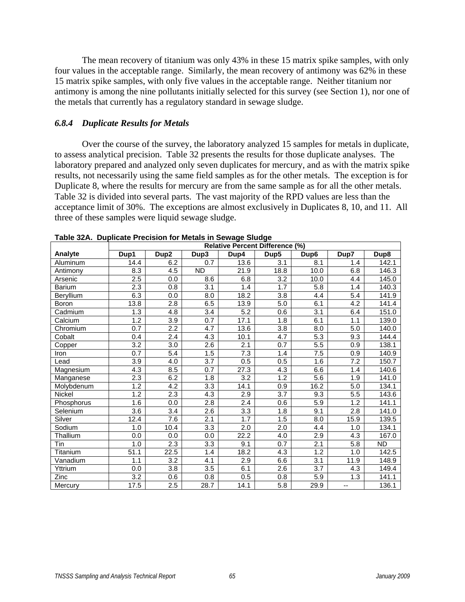The mean recovery of titanium was only 43% in these 15 matrix spike samples, with only four values in the acceptable range. Similarly, the mean recovery of antimony was 62% in these 15 matrix spike samples, with only five values in the acceptable range. Neither titanium nor antimony is among the nine pollutants initially selected for this survey (see Section 1), nor one of the metals that currently has a regulatory standard in sewage sludge.

### *6.8.4 Duplicate Results for Metals*

 Over the course of the survey, the laboratory analyzed 15 samples for metals in duplicate, to assess analytical precision. Table 32 presents the results for those duplicate analyses. The laboratory prepared and analyzed only seven duplicates for mercury, and as with the matrix spike results, not necessarily using the same field samples as for the other metals. The exception is for Duplicate 8, where the results for mercury are from the same sample as for all the other metals. Table 32 is divided into several parts. The vast majority of the RPD values are less than the acceptance limit of 30%. The exceptions are almost exclusively in Duplicates 8, 10, and 11. All three of these samples were liquid sewage sludge.

|            |                  | <b>Relative Percent Difference (%)</b> |                  |                  |                  |                  |                  |                    |  |  |  |
|------------|------------------|----------------------------------------|------------------|------------------|------------------|------------------|------------------|--------------------|--|--|--|
| Analyte    | Dup1             | Dup <sub>2</sub>                       | Dup3             | Dup4             | Dup <sub>5</sub> | Dup6             | Dup7             | Dup8               |  |  |  |
| Aluminum   | 14.4             | 6.2                                    | 0.7              | 13.6             | 3.1              | 8.1              | 1.4              | 142.1              |  |  |  |
| Antimony   | 8.3              | 4.5                                    | <b>ND</b>        | 21.9             | 18.8             | 10.0             | 6.8              | 146.3              |  |  |  |
| Arsenic    | 2.5              | 0.0                                    | 8.6              | 6.8              | 3.2              | 10.0             | 4.4              | 145.0              |  |  |  |
| Barium     | 2.3              | 0.8                                    | $\overline{3.1}$ | 1.4              | 1.7              | 5.8              | 1.4              | 140.3              |  |  |  |
| Beryllium  | 6.3              | 0.0                                    | 8.0              | 18.2             | 3.8              | 4.4              | 5.4              | 141.9              |  |  |  |
| Boron      | 13.8             | 2.8                                    | 6.5              | 13.9             | 5.0              | 6.1              | 4.2              | 141.4              |  |  |  |
| Cadmium    | 1.3              | 4.8                                    | 3.4              | 5.2              | 0.6              | 3.1              | 6.4              | 151.0              |  |  |  |
| Calcium    | 1.2              | 3.9                                    | 0.7              | 17.1             | 1.8              | 6.1              | 1.1              | 139.0              |  |  |  |
| Chromium   | 0.7              | 2.2                                    | 4.7              | 13.6             | 3.8              | 8.0              | 5.0              | 140.0              |  |  |  |
| Cobalt     | 0.4              | 2.4                                    | 4.3              | 10.1             | 4.7              | 5.3              | 9.3              | 144.4              |  |  |  |
| Copper     | 3.2              | 3.0                                    | 2.6              | 2.1              | 0.7              | 5.5              | 0.9              | 138.1              |  |  |  |
| Iron       | 0.7              | 5.4                                    | 1.5              | 7.3              | 1.4              | 7.5              | 0.9              | 140.9              |  |  |  |
| Lead       | 3.9              | 4.0                                    | 3.7              | 0.5              | 0.5              | 1.6              | 7.2              | 150.7              |  |  |  |
| Magnesium  | 4.3              | 8.5                                    | 0.7              | 27.3             | 4.3              | 6.6              | 1.4              | 140.6              |  |  |  |
| Manganese  | 2.3              | 6.2                                    | 1.8              | 3.2              | 1.2              | 5.6              | 1.9              | 141.0              |  |  |  |
| Molybdenum | 1.2              | 4.2                                    | 3.3              | 14.1             | 0.9              | 16.2             | 5.0              | $\overline{1}34.1$ |  |  |  |
| Nickel     | $\overline{1.2}$ | 2.3                                    | 4.3              | 2.9              | $\overline{3.7}$ | 9.3              | 5.5              | 143.6              |  |  |  |
| Phosphorus | 1.6              | 0.0                                    | $\overline{2.8}$ | $\overline{2.4}$ | 0.6              | 5.9              | 1.2              | 141.1              |  |  |  |
| Selenium   | $\overline{3.6}$ | $\overline{3.4}$                       | 2.6              | $\overline{3.3}$ | $\overline{1.8}$ | 9.1              | $\overline{2.8}$ | 141.0              |  |  |  |
| Silver     | 12.4             | 7.6                                    | 2.1              | 1.7              | 1.5              | 8.0              | 15.9             | 139.5              |  |  |  |
| Sodium     | 1.0              | 10.4                                   | 3.3              | 2.0              | 2.0              | 4.4              | 1.0              | 134.1              |  |  |  |
| Thallium   | 0.0              | 0.0                                    | 0.0              | 22.2             | 4.0              | 2.9              | 4.3              | 167.0              |  |  |  |
| Tin        | 1.0              | $\overline{2.3}$                       | $\overline{3.3}$ | 9.1              | 0.7              | $\overline{2.1}$ | 5.8              | <b>ND</b>          |  |  |  |
| Titanium   | 51.1             | 22.5                                   | 1.4              | 18.2             | $\overline{4.3}$ | 1.2              | 1.0              | 142.5              |  |  |  |
| Vanadium   | 1.1              | 3.2                                    | 4.1              | 2.9              | 6.6              | $\overline{3.1}$ | 11.9             | 148.9              |  |  |  |
| Yttrium    | 0.0              | $\overline{3.8}$                       | 3.5              | 6.1              | 2.6              | 3.7              | 4.3              | 149.4              |  |  |  |
| Zinc       | 3.2              | 0.6                                    | 0.8              | 0.5              | 0.8              | 5.9              | 1.3              | 141.1              |  |  |  |
| Mercury    | 17.5             | 2.5                                    | 28.7             | 14.1             | 5.8              | 29.9             | --               | 136.1              |  |  |  |

| Table 32A. Duplicate Precision for Metals in Sewage Sludge |  |  |  |  |  |
|------------------------------------------------------------|--|--|--|--|--|
|------------------------------------------------------------|--|--|--|--|--|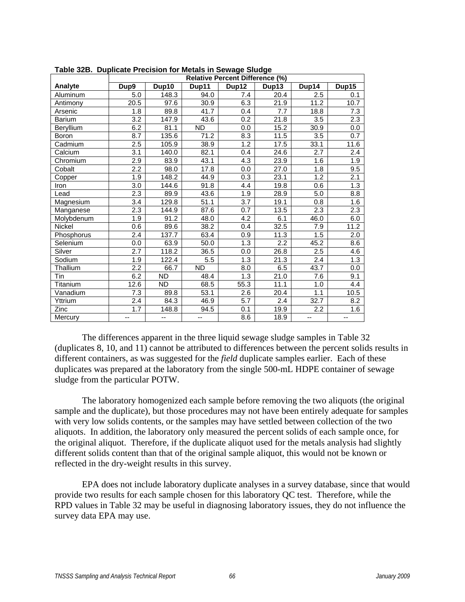| rapic ozb. Daphodic i regioni romacalo in ocwage olduge |                  |           |           | <b>Relative Percent Difference (%)</b> |       |                   |       |
|---------------------------------------------------------|------------------|-----------|-----------|----------------------------------------|-------|-------------------|-------|
| Analyte                                                 | Dup9             | Dup10     | Dup11     | Dup12                                  | Dup13 | Dup14             | Dup15 |
| Aluminum                                                | 5.0              | 148.3     | 94.0      | 7.4                                    | 20.4  | 2.5               | 0.1   |
| Antimony                                                | 20.5             | 97.6      | 30.9      | 6.3                                    | 21.9  | 11.2              | 10.7  |
| Arsenic                                                 | 1.8              | 89.8      | 41.7      | 0.4                                    | 7.7   | 18.8              | 7.3   |
| <b>Barium</b>                                           | 3.2              | 147.9     | 43.6      | 0.2                                    | 21.8  | 3.5               | 2.3   |
| Beryllium                                               | 6.2              | 81.1      | <b>ND</b> | 0.0                                    | 15.2  | $\overline{3}0.9$ | 0.0   |
| <b>Boron</b>                                            | 8.7              | 135.6     | 71.2      | 8.3                                    | 11.5  | $\overline{3.5}$  | 0.7   |
| Cadmium                                                 | 2.5              | 105.9     | 38.9      | 1.2                                    | 17.5  | 33.1              | 11.6  |
| Calcium                                                 | 3.1              | 140.0     | 82.1      | 0.4                                    | 24.6  | 2.7               | 2.4   |
| Chromium                                                | 2.9              | 83.9      | 43.1      | 4.3                                    | 23.9  | 1.6               | 1.9   |
| Cobalt                                                  | 2.2              | 98.0      | 17.8      | 0.0                                    | 27.0  | 1.8               | 9.5   |
| Copper                                                  | 1.9              | 148.2     | 44.9      | 0.3                                    | 23.1  | 1.2               | 2.1   |
| Iron                                                    | 3.0              | 144.6     | 91.8      | 4.4                                    | 19.8  | 0.6               | 1.3   |
| Lead                                                    | 2.3              | 89.9      | 43.6      | 1.9                                    | 28.9  | 5.0               | 8.8   |
| Magnesium                                               | $\overline{3.4}$ | 129.8     | 51.1      | $\overline{3.7}$                       | 19.1  | 0.8               | 1.6   |
| Manganese                                               | 2.3              | 144.9     | 87.6      | 0.7                                    | 13.5  | 2.3               | 2.3   |
| Molybdenum                                              | 1.9              | 91.2      | 48.0      | 4.2                                    | 6.1   | 46.0              | 6.0   |
| <b>Nickel</b>                                           | 0.6              | 89.6      | 38.2      | 0.4                                    | 32.5  | 7.9               | 11.2  |
| Phosphorus                                              | 2.4              | 137.7     | 63.4      | 0.9                                    | 11.3  | 1.5               | 2.0   |
| Selenium                                                | 0.0              | 63.9      | 50.0      | 1.3                                    | 2.2   | 45.2              | 8.6   |
| Silver                                                  | 2.7              | 118.2     | 36.5      | 0.0                                    | 26.8  | 2.5               | 4.6   |
| Sodium                                                  | 1.9              | 122.4     | 5.5       | 1.3                                    | 21.3  | 2.4               | 1.3   |
| Thallium                                                | 2.2              | 66.7      | <b>ND</b> | 8.0                                    | 6.5   | 43.7              | 0.0   |
| Tin                                                     | 6.2              | <b>ND</b> | 48.4      | 1.3                                    | 21.0  | 7.6               | 9.1   |
| Titanium                                                | 12.6             | <b>ND</b> | 68.5      | 55.3                                   | 11.1  | 1.0               | 4.4   |
| Vanadium                                                | 7.3              | 89.8      | 53.1      | 2.6                                    | 20.4  | 1.1               | 10.5  |
| Yttrium                                                 | 2.4              | 84.3      | 46.9      | 5.7                                    | 2.4   | 32.7              | 8.2   |
| Zinc                                                    | 1.7              | 148.8     | 94.5      | 0.1                                    | 19.9  | $\overline{2.2}$  | 1.6   |
| Mercury                                                 | --               | --        | --        | 8.6                                    | 18.9  | --                | --    |

|  |  |  |  | Table 32B. Duplicate Precision for Metals in Sewage Sludge |
|--|--|--|--|------------------------------------------------------------|
|--|--|--|--|------------------------------------------------------------|

 The differences apparent in the three liquid sewage sludge samples in Table 32 (duplicates 8, 10, and 11) cannot be attributed to differences between the percent solids results in different containers, as was suggested for the *field* duplicate samples earlier. Each of these duplicates was prepared at the laboratory from the single 500-mL HDPE container of sewage sludge from the particular POTW.

 The laboratory homogenized each sample before removing the two aliquots (the original sample and the duplicate), but those procedures may not have been entirely adequate for samples with very low solids contents, or the samples may have settled between collection of the two aliquots. In addition, the laboratory only measured the percent solids of each sample once, for the original aliquot. Therefore, if the duplicate aliquot used for the metals analysis had slightly different solids content than that of the original sample aliquot, this would not be known or reflected in the dry-weight results in this survey.

 EPA does not include laboratory duplicate analyses in a survey database, since that would provide two results for each sample chosen for this laboratory QC test. Therefore, while the RPD values in Table 32 may be useful in diagnosing laboratory issues, they do not influence the survey data EPA may use.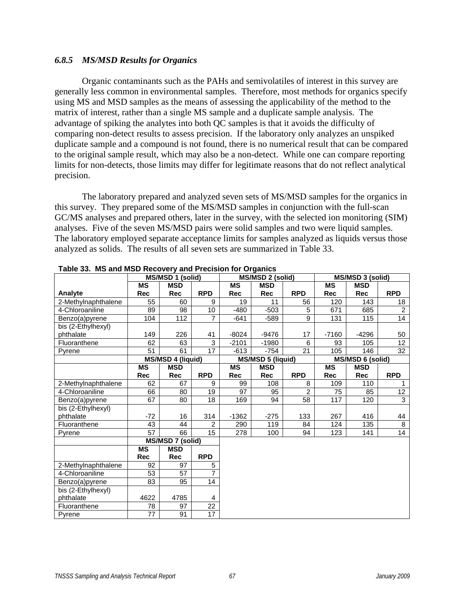### *6.8.5 MS/MSD Results for Organics*

 Organic contaminants such as the PAHs and semivolatiles of interest in this survey are generally less common in environmental samples. Therefore, most methods for organics specify using MS and MSD samples as the means of assessing the applicability of the method to the matrix of interest, rather than a single MS sample and a duplicate sample analysis. The advantage of spiking the analytes into both QC samples is that it avoids the difficulty of comparing non-detect results to assess precision. If the laboratory only analyzes an unspiked duplicate sample and a compound is not found, there is no numerical result that can be compared to the original sample result, which may also be a non-detect. While one can compare reporting limits for non-detects, those limits may differ for legitimate reasons that do not reflect analytical precision.

 The laboratory prepared and analyzed seven sets of MS/MSD samples for the organics in this survey. They prepared some of the MS/MSD samples in conjunction with the full-scan GC/MS analyses and prepared others, later in the survey, with the selected ion monitoring (SIM) analyses. Five of the seven MS/MSD pairs were solid samples and two were liquid samples. The laboratory employed separate acceptance limits for samples analyzed as liquids versus those analyzed as solids. The results of all seven sets are summarized in Table 33.

|                     |                 | MS/MSD 1 (solid)         |                 |           | MS/MSD 2 (solid)         |                |            | MS/MSD 3 (solid)        |                |
|---------------------|-----------------|--------------------------|-----------------|-----------|--------------------------|----------------|------------|-------------------------|----------------|
|                     | <b>MS</b>       | <b>MSD</b>               |                 | <b>MS</b> | <b>MSD</b>               |                | <b>MS</b>  | <b>MSD</b>              |                |
| Analyte             | <b>Rec</b>      | <b>Rec</b>               | <b>RPD</b>      | Rec       | <b>Rec</b>               | <b>RPD</b>     | <b>Rec</b> | <b>Rec</b>              | <b>RPD</b>     |
| 2-Methylnaphthalene | 55              | 60                       | 9               | 19        | 11                       | 56             | 120        | 143                     | 18             |
| 4-Chloroaniline     | 89              | 98                       | 10              | $-480$    | $-503$                   | 5              | 671        | 685                     | $\overline{2}$ |
| Benzo(a)pyrene      | 104             | $\overline{112}$         | $\overline{7}$  | $-641$    | $-589$                   | 9              | 131        | $\overline{11}5$        | 14             |
| bis (2-Ethylhexyl)  |                 |                          |                 |           |                          |                |            |                         |                |
| phthalate           | 149             | 226                      | 41              | -8024     | -9476                    | 17             | $-7160$    | -4296                   | 50             |
| Fluoranthene        | 62              | 63                       | 3               | $-2101$   | $-1980$                  | 6              | 93         | 105                     | 12             |
| Pyrene              | 51              | 61                       | $\overline{17}$ | $-613$    | $-754$                   | 21             | 105        | 146                     | 32             |
|                     |                 | <b>MS/MSD 4 (liquid)</b> |                 |           | <b>MS/MSD 5 (liquid)</b> |                |            | <b>MS/MSD 6 (solid)</b> |                |
|                     | <b>MS</b>       | <b>MSD</b>               |                 | <b>MS</b> | <b>MSD</b>               |                | <b>MS</b>  | <b>MSD</b>              |                |
|                     | Rec             | <b>Rec</b>               | <b>RPD</b>      | Rec       | <b>Rec</b>               | <b>RPD</b>     | <b>Rec</b> | <b>Rec</b>              | <b>RPD</b>     |
| 2-Methylnaphthalene | 62              | 67                       | 9               | 99        | 108                      | 8              | 109        | 110                     | 1              |
| 4-Chloroaniline     | 66              | 80                       | 19              | 97        | 95                       | $\overline{c}$ | 75         | 85                      | 12             |
| Benzo(a)pyrene      | 67              | 80                       | 18              | 169       | 94                       | 58             | 117        | 120                     | $\overline{3}$ |
| bis (2-Ethylhexyl)  |                 |                          |                 |           |                          |                |            |                         |                |
| phthalate           | $-72$           | 16                       | 314             | $-1362$   | $-275$                   | 133            | 267        | 416                     | 44             |
| Fluoranthene        | 43              | 44                       | $\overline{2}$  | 290       | 119                      | 84             | 124        | 135                     | 8              |
| Pyrene              | $\overline{57}$ | 66                       | 15              | 278       | 100                      | 94             | 123        | 141                     | 14             |
|                     |                 | <b>MS/MSD 7 (solid)</b>  |                 |           |                          |                |            |                         |                |
|                     | <b>MS</b>       | <b>MSD</b>               |                 |           |                          |                |            |                         |                |
|                     | <b>Rec</b>      | <b>Rec</b>               | <b>RPD</b>      |           |                          |                |            |                         |                |
| 2-Methylnaphthalene | 92              | 97                       | 5               |           |                          |                |            |                         |                |
| 4-Chloroaniline     | 53              | 57                       | $\overline{7}$  |           |                          |                |            |                         |                |
| Benzo(a)pyrene      | 83              | 95                       | 14              |           |                          |                |            |                         |                |
| bis (2-Ethylhexyl)  |                 |                          |                 |           |                          |                |            |                         |                |
| phthalate           | 4622            | 4785                     | 4               |           |                          |                |            |                         |                |
| Fluoranthene        | 78              | 97                       | 22              |           |                          |                |            |                         |                |
| Pyrene              | 77              | 91                       | $\overline{17}$ |           |                          |                |            |                         |                |

**Table 33. MS and MSD Recovery and Precision for Organics**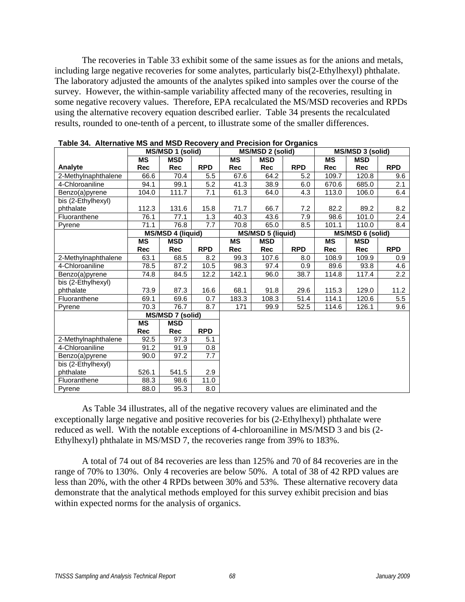The recoveries in Table 33 exhibit some of the same issues as for the anions and metals, including large negative recoveries for some analytes, particularly bis(2-Ethylhexyl) phthalate. The laboratory adjusted the amounts of the analytes spiked into samples over the course of the survey. However, the within-sample variability affected many of the recoveries, resulting in some negative recovery values. Therefore, EPA recalculated the MS/MSD recoveries and RPDs using the alternative recovery equation described earlier. Table 34 presents the recalculated results, rounded to one-tenth of a percent, to illustrate some of the smaller differences.

| <b>ישטעט טייטעט דיס טושטען דיס אויש די דיס אוישטענען די דיס טייט דיס טישט</b> |            | MS/MSD 1 (solid)         |            |           | MS/MSD 2 (solid)         |            |            | MS/MSD 3 (solid) |            |
|-------------------------------------------------------------------------------|------------|--------------------------|------------|-----------|--------------------------|------------|------------|------------------|------------|
|                                                                               | <b>MS</b>  | <b>MSD</b>               |            | <b>MS</b> | <b>MSD</b>               |            | <b>MS</b>  | <b>MSD</b>       |            |
| Analyte                                                                       | Rec        | Rec                      | <b>RPD</b> | Rec       | <b>Rec</b>               | <b>RPD</b> | Rec        | <b>Rec</b>       | <b>RPD</b> |
| 2-Methylnaphthalene                                                           | 66.6       | 70.4                     | 5.5        | 67.6      | 64.2                     | 5.2        | 109.7      | 120.8            | 9.6        |
| 4-Chloroaniline                                                               | 94.1       | 99.1                     | 5.2        | 41.3      | 38.9                     | 6.0        | 670.6      | 685.0            | 2.1        |
| Benzo(a)pyrene                                                                | 104.0      | 111.7                    | 7.1        | 61.3      | 64.0                     | 4.3        | 113.0      | 106.0            | 6.4        |
| bis (2-Ethylhexyl)                                                            |            |                          |            |           |                          |            |            |                  |            |
| phthalate                                                                     | 112.3      | 131.6                    | 15.8       | 71.7      | 66.7                     | 7.2        | 82.2       | 89.2             | 8.2        |
| Fluoranthene                                                                  | 76.1       | 77.1                     | 1.3        | 40.3      | 43.6                     | 7.9        | 98.6       | 101.0            | 2.4        |
| Pyrene                                                                        | 71.1       | 76.8                     | 7.7        | 70.8      | 65.0                     | 8.5        | 101.1      | 110.0            | 8.4        |
|                                                                               |            | <b>MS/MSD 4 (liquid)</b> |            |           | <b>MS/MSD 5 (liquid)</b> |            |            | MS/MSD 6 (solid) |            |
|                                                                               | <b>MS</b>  | <b>MSD</b>               |            | <b>MS</b> | <b>MSD</b>               |            | <b>MS</b>  | <b>MSD</b>       |            |
|                                                                               | <b>Rec</b> | <b>Rec</b>               | <b>RPD</b> | Rec       | <b>Rec</b>               | <b>RPD</b> | <b>Rec</b> | <b>Rec</b>       | <b>RPD</b> |
| 2-Methylnaphthalene                                                           | 63.1       | 68.5                     | 8.2        | 99.3      | 107.6                    | 8.0        | 108.9      | 109.9            | 0.9        |
| 4-Chloroaniline                                                               | 78.5       | 87.2                     | 10.5       | 98.3      | 97.4                     | 0.9        | 89.6       | 93.8             | 4.6        |
| Benzo(a)pyrene                                                                | 74.8       | 84.5                     | 12.2       | 142.1     | 96.0                     | 38.7       | 114.8      | 117.4            | 2.2        |
| bis (2-Ethylhexyl)                                                            |            |                          |            |           |                          |            |            |                  |            |
| phthalate                                                                     | 73.9       | 87.3                     | 16.6       | 68.1      | 91.8                     | 29.6       | 115.3      | 129.0            | 11.2       |
| Fluoranthene                                                                  | 69.1       | 69.6                     | 0.7        | 183.3     | 108.3                    | 51.4       | 114.1      | 120.6            | 5.5        |
| Pyrene                                                                        | 70.3       | 76.7                     | 8.7        | 171       | 99.9                     | 52.5       | 114.6      | 126.1            | 9.6        |
|                                                                               |            | MS/MSD 7 (solid)         |            |           |                          |            |            |                  |            |
|                                                                               | <b>MS</b>  | <b>MSD</b>               |            |           |                          |            |            |                  |            |
|                                                                               | Rec        | <b>Rec</b>               | <b>RPD</b> |           |                          |            |            |                  |            |
| 2-Methylnaphthalene                                                           | 92.5       | 97.3                     | 5.1        |           |                          |            |            |                  |            |
| 4-Chloroaniline                                                               | 91.2       | 91.9                     | 0.8        |           |                          |            |            |                  |            |
| Benzo(a)pyrene                                                                | 90.0       | 97.2                     | 7.7        |           |                          |            |            |                  |            |
| bis (2-Ethylhexyl)                                                            |            |                          |            |           |                          |            |            |                  |            |
| phthalate                                                                     | 526.1      | 541.5                    | 2.9        |           |                          |            |            |                  |            |
| Fluoranthene                                                                  | 88.3       | 98.6                     | 11.0       |           |                          |            |            |                  |            |
| Pyrene                                                                        | 88.0       | 95.3                     | 8.0        |           |                          |            |            |                  |            |

| Table 34. Alternative MS and MSD Recovery and Precision for Organics |  |
|----------------------------------------------------------------------|--|
|----------------------------------------------------------------------|--|

 As Table 34 illustrates, all of the negative recovery values are eliminated and the exceptionally large negative and positive recoveries for bis (2-Ethylhexyl) phthalate were reduced as well. With the notable exceptions of 4-chloroaniline in MS/MSD 3 and bis (2- Ethylhexyl) phthalate in MS/MSD 7, the recoveries range from 39% to 183%.

 A total of 74 out of 84 recoveries are less than 125% and 70 of 84 recoveries are in the range of 70% to 130%. Only 4 recoveries are below 50%. A total of 38 of 42 RPD values are less than 20%, with the other 4 RPDs between 30% and 53%. These alternative recovery data demonstrate that the analytical methods employed for this survey exhibit precision and bias within expected norms for the analysis of organics.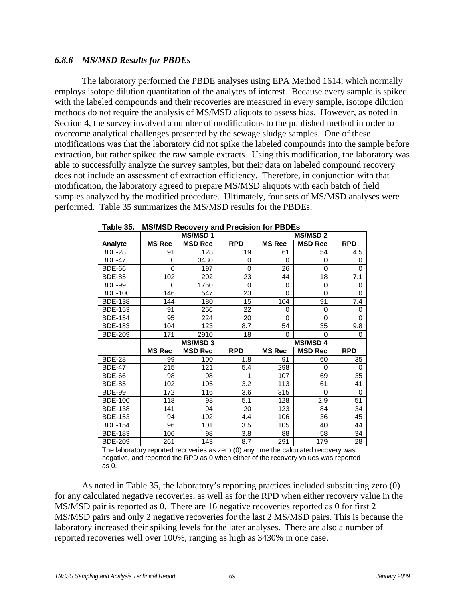### *6.8.6 MS/MSD Results for PBDEs*

 The laboratory performed the PBDE analyses using EPA Method 1614, which normally employs isotope dilution quantitation of the analytes of interest. Because every sample is spiked with the labeled compounds and their recoveries are measured in every sample, isotope dilution methods do not require the analysis of MS/MSD aliquots to assess bias. However, as noted in Section 4, the survey involved a number of modifications to the published method in order to overcome analytical challenges presented by the sewage sludge samples. One of these modifications was that the laboratory did not spike the labeled compounds into the sample before extraction, but rather spiked the raw sample extracts. Using this modification, the laboratory was able to successfully analyze the survey samples, but their data on labeled compound recovery does not include an assessment of extraction efficiency. Therefore, in conjunction with that modification, the laboratory agreed to prepare MS/MSD aliquots with each batch of field samples analyzed by the modified procedure. Ultimately, four sets of MS/MSD analyses were performed. Table 35 summarizes the MS/MSD results for the PBDEs.

|                |               | <b>MS/MSD1</b> |            |               | <b>MS/MSD2</b> |              |
|----------------|---------------|----------------|------------|---------------|----------------|--------------|
| <b>Analyte</b> | <b>MS Rec</b> | <b>MSD Rec</b> | <b>RPD</b> | <b>MS Rec</b> | <b>MSD Rec</b> | <b>RPD</b>   |
| <b>BDE-28</b>  | 91            | 128            | 19         | 61            | 54             | 4.5          |
| <b>BDE-47</b>  | 0             | 3430           | 0          | $\Omega$      | 0              | 0            |
| <b>BDE-66</b>  | $\Omega$      | 197            | $\Omega$   | 26            | $\mathbf{0}$   | $\mathbf{0}$ |
| <b>BDE-85</b>  | 102           | 202            | 23         | 44            | 18             | 7.1          |
| <b>BDE-99</b>  | $\Omega$      | 1750           | 0          | 0             | 0              | 0            |
| <b>BDE-100</b> | 146           | 547            | 23         | $\Omega$      | 0              | 0            |
| <b>BDE-138</b> | 144           | 180            | 15         | 104           | 91             | 7.4          |
| <b>BDE-153</b> | 91            | 256            | 22         | $\Omega$      | 0              | 0            |
| <b>BDE-154</b> | 95            | 224            | 20         | $\Omega$      | 0              | 0            |
| <b>BDE-183</b> | 104           | 123            | 8.7        | 54            | 35             | 9.8          |
| <b>BDE-209</b> | 171           | 2910           | 18         | $\Omega$      | 0              | 0            |
|                |               |                |            |               |                |              |
|                |               | <b>MS/MSD3</b> |            |               | <b>MS/MSD4</b> |              |
|                | <b>MS Rec</b> | <b>MSD Rec</b> | <b>RPD</b> | <b>MS Rec</b> | <b>MSD Rec</b> | <b>RPD</b>   |
| <b>BDE-28</b>  | 99            | 100            | 1.8        | 91            | 60             | 35           |
| <b>BDE-47</b>  | 215           | 121            | 5.4        | 298           | 0              | $\Omega$     |
| <b>BDE-66</b>  | 98            | 98             | 1          | 107           | 69             | 35           |
| <b>BDE-85</b>  | 102           | 105            | 3.2        | 113           | 61             | 41           |
| <b>BDE-99</b>  | 172           | 116            | 3.6        | 315           | 0              | $\Omega$     |
| <b>BDE-100</b> | 118           | 98             | 5.1        | 128           | 2.9            | 51           |
| <b>BDE-138</b> | 141           | 94             | 20         | 123           | 84             | 34           |
| <b>BDE-153</b> | 94            | 102            | 4.4        | 106           | 36             | 45           |
| <b>BDE-154</b> | 96            | 101            | 3.5        | 105           | 40             | 44           |
| <b>BDE-183</b> | 106           | 98             | 3.8        | 88            | 58             | 34           |

**Table 35. MS/MSD Recovery and Precision for PBDEs** 

The laboratory reported recoveries as zero (0) any time the calculated recovery was negative, and reported the RPD as 0 when either of the recovery values was reported as 0.

As noted in Table 35, the laboratory's reporting practices included substituting zero (0) for any calculated negative recoveries, as well as for the RPD when either recovery value in the MS/MSD pair is reported as 0. There are 16 negative recoveries reported as 0 for first 2 MS/MSD pairs and only 2 negative recoveries for the last 2 MS/MSD pairs. This is because the laboratory increased their spiking levels for the later analyses. There are also a number of reported recoveries well over 100%, ranging as high as 3430% in one case.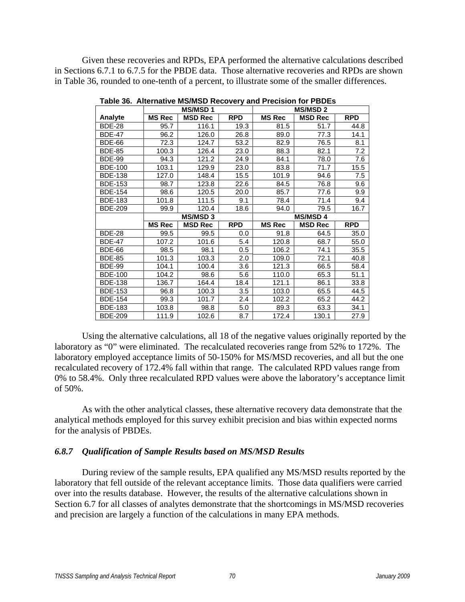Given these recoveries and RPDs, EPA performed the alternative calculations described in Sections 6.7.1 to 6.7.5 for the PBDE data. Those alternative recoveries and RPDs are shown in Table 36, rounded to one-tenth of a percent, to illustrate some of the smaller differences.

|                |               | <b>MS/MSD1</b> |            | <b>MS/MSD2</b> |                |            |  |  |
|----------------|---------------|----------------|------------|----------------|----------------|------------|--|--|
| <b>Analyte</b> | <b>MS Rec</b> | <b>MSD Rec</b> | <b>RPD</b> | <b>MS Rec</b>  | <b>MSD Rec</b> | <b>RPD</b> |  |  |
| <b>BDE-28</b>  | 95.7          | 116.1          | 19.3       | 81.5           | 51.7           | 44.8       |  |  |
| <b>BDE-47</b>  | 96.2          | 126.0          | 26.8       | 89.0           | 77.3           | 14.1       |  |  |
| <b>BDE-66</b>  | 72.3          | 124.7          | 53.2       | 82.9           | 76.5           | 8.1        |  |  |
| <b>BDE-85</b>  | 100.3         | 126.4          | 23.0       | 88.3           | 82.1           | 7.2        |  |  |
| <b>BDE-99</b>  | 94.3          | 121.2          | 24.9       | 84.1           | 78.0           | 7.6        |  |  |
| <b>BDE-100</b> | 103.1         | 129.9          | 23.0       | 83.8           | 71.7           | 15.5       |  |  |
| <b>BDE-138</b> | 127.0         | 148.4          | 15.5       | 101.9          | 94.6           | 7.5        |  |  |
| <b>BDE-153</b> | 98.7          | 123.8          | 22.6       | 84.5           | 76.8           | 9.6        |  |  |
| <b>BDE-154</b> | 98.6          | 120.5          | 20.0       | 85.7           | 77.6           | 9.9        |  |  |
| <b>BDE-183</b> | 101.8         | 111.5          | 9.1        | 78.4           | 71.4           | 9.4        |  |  |
| <b>BDE-209</b> | 99.9          | 120.4          | 18.6       | 94.0           | 79.5           | 16.7       |  |  |
|                |               |                |            |                |                |            |  |  |
|                |               | <b>MS/MSD3</b> |            |                | <b>MS/MSD4</b> |            |  |  |
|                | <b>MS Rec</b> | <b>MSD Rec</b> | <b>RPD</b> | <b>MS Rec</b>  | <b>MSD Rec</b> | <b>RPD</b> |  |  |
| <b>BDE-28</b>  | 99.5          | 99.5           | 0.0        | 91.8           | 64.5           | 35.0       |  |  |
| <b>BDE-47</b>  | 107.2         | 101.6          | 5.4        | 120.8          | 68.7           | 55.0       |  |  |
| <b>BDE-66</b>  | 98.5          | 98.1           | 0.5        | 106.2          | 74.1           | 35.5       |  |  |
| <b>BDE-85</b>  | 101.3         | 103.3          | 2.0        | 109.0          | 72.1           | 40.8       |  |  |
| <b>BDE-99</b>  | 104.1         | 100.4          | 3.6        | 121.3          | 66.5           | 58.4       |  |  |
| <b>BDE-100</b> | 104.2         | 98.6           | 5.6        | 110.0          | 65.3           | 51.1       |  |  |
| <b>BDE-138</b> | 136.7         | 164.4          | 18.4       | 121.1          | 86.1           | 33.8       |  |  |
| <b>BDE-153</b> | 96.8          | 100.3          | 3.5        | 103.0          | 65.5           | 44.5       |  |  |
| <b>BDE-154</b> | 99.3          | 101.7          | 2.4        | 102.2          | 65.2           | 44.2       |  |  |
| <b>BDE-183</b> | 103.8         | 98.8           | 5.0        | 89.3           | 63.3           | 34.1       |  |  |

**Table 36. Alternative MS/MSD Recovery and Precision for PBDEs** 

 Using the alternative calculations, all 18 of the negative values originally reported by the laboratory as "0" were eliminated. The recalculated recoveries range from 52% to 172%. The laboratory employed acceptance limits of 50-150% for MS/MSD recoveries, and all but the one recalculated recovery of 172.4% fall within that range. The calculated RPD values range from 0% to 58.4%. Only three recalculated RPD values were above the laboratory's acceptance limit of 50%.

 As with the other analytical classes, these alternative recovery data demonstrate that the analytical methods employed for this survey exhibit precision and bias within expected norms for the analysis of PBDEs.

#### *6.8.7 Qualification of Sample Results based on MS/MSD Results*

 During review of the sample results, EPA qualified any MS/MSD results reported by the laboratory that fell outside of the relevant acceptance limits. Those data qualifiers were carried over into the results database. However, the results of the alternative calculations shown in Section 6.7 for all classes of analytes demonstrate that the shortcomings in MS/MSD recoveries and precision are largely a function of the calculations in many EPA methods.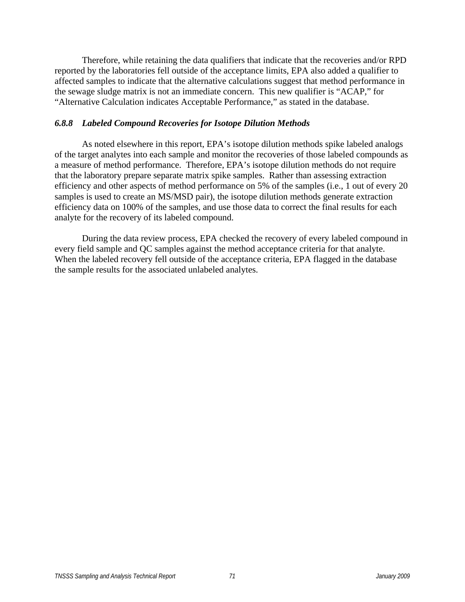Therefore, while retaining the data qualifiers that indicate that the recoveries and/or RPD reported by the laboratories fell outside of the acceptance limits, EPA also added a qualifier to affected samples to indicate that the alternative calculations suggest that method performance in the sewage sludge matrix is not an immediate concern. This new qualifier is "ACAP," for "Alternative Calculation indicates Acceptable Performance," as stated in the database.

#### *6.8.8 Labeled Compound Recoveries for Isotope Dilution Methods*

 As noted elsewhere in this report, EPA's isotope dilution methods spike labeled analogs of the target analytes into each sample and monitor the recoveries of those labeled compounds as a measure of method performance. Therefore, EPA's isotope dilution methods do not require that the laboratory prepare separate matrix spike samples. Rather than assessing extraction efficiency and other aspects of method performance on 5% of the samples (i.e., 1 out of every 20 samples is used to create an MS/MSD pair), the isotope dilution methods generate extraction efficiency data on 100% of the samples, and use those data to correct the final results for each analyte for the recovery of its labeled compound.

 During the data review process, EPA checked the recovery of every labeled compound in every field sample and QC samples against the method acceptance criteria for that analyte. When the labeled recovery fell outside of the acceptance criteria, EPA flagged in the database the sample results for the associated unlabeled analytes.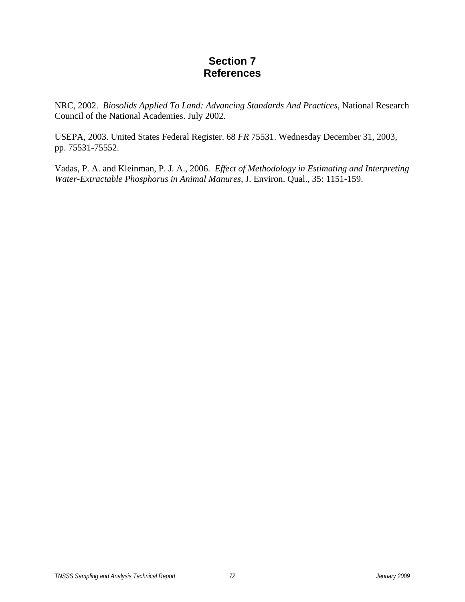### **Section 7 References**

NRC, 2002. *Biosolids Applied To Land: Advancing Standards And Practices*, National Research Council of the National Academies. July 2002.

USEPA, 2003. United States Federal Register. 68 *FR* 75531. Wednesday December 31, 2003, pp. 75531-75552.

Vadas, P. A. and Kleinman, P. J. A., 2006. *Effect of Methodology in Estimating and Interpreting Water-Extractable Phosphorus in Animal Manures*, J. Environ. Qual., 35: 1151-159.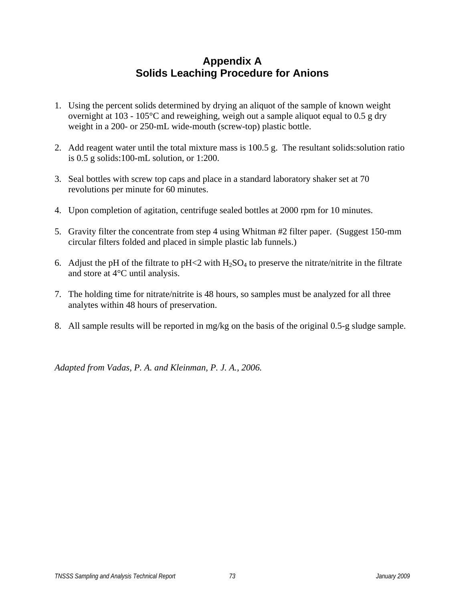## **Appendix A Solids Leaching Procedure for Anions**

- 1. Using the percent solids determined by drying an aliquot of the sample of known weight overnight at 103 - 105°C and reweighing, weigh out a sample aliquot equal to 0.5 g dry weight in a 200- or 250-mL wide-mouth (screw-top) plastic bottle.
- 2. Add reagent water until the total mixture mass is 100.5 g. The resultant solids:solution ratio is 0.5 g solids:100-mL solution, or 1:200.
- 3. Seal bottles with screw top caps and place in a standard laboratory shaker set at 70 revolutions per minute for 60 minutes.
- 4. Upon completion of agitation, centrifuge sealed bottles at 2000 rpm for 10 minutes.
- 5. Gravity filter the concentrate from step 4 using Whitman #2 filter paper. (Suggest 150-mm circular filters folded and placed in simple plastic lab funnels.)
- 6. Adjust the pH of the filtrate to  $pH \le 2$  with  $H_2SO_4$  to preserve the nitrate/nitrite in the filtrate and store at 4°C until analysis.
- 7. The holding time for nitrate/nitrite is 48 hours, so samples must be analyzed for all three analytes within 48 hours of preservation.
- 8. All sample results will be reported in mg/kg on the basis of the original 0.5-g sludge sample.

*Adapted from Vadas, P. A. and Kleinman, P. J. A., 2006.*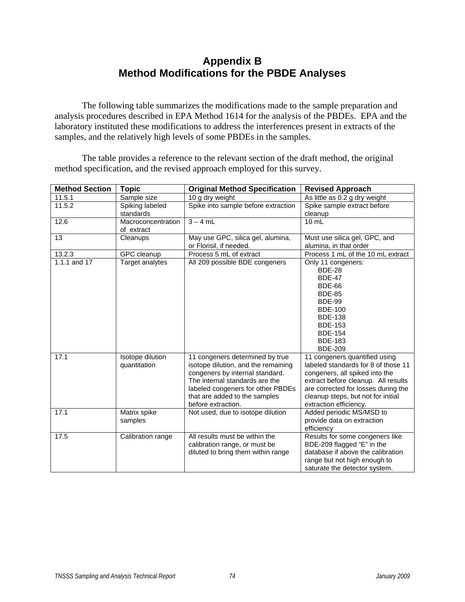## **Appendix B Method Modifications for the PBDE Analyses**

 The following table summarizes the modifications made to the sample preparation and analysis procedures described in EPA Method 1614 for the analysis of the PBDEs. EPA and the laboratory instituted these modifications to address the interferences present in extracts of the samples, and the relatively high levels of some PBDEs in the samples.

 The table provides a reference to the relevant section of the draft method, the original method specification, and the revised approach employed for this survey.

| <b>Method Section</b> | <b>Topic</b>                     | <b>Original Method Specification</b>                                                                                                                                                                                                    | <b>Revised Approach</b>                                                                                                                                                                                                                              |
|-----------------------|----------------------------------|-----------------------------------------------------------------------------------------------------------------------------------------------------------------------------------------------------------------------------------------|------------------------------------------------------------------------------------------------------------------------------------------------------------------------------------------------------------------------------------------------------|
| 11.5.1                | Sample size                      | 10 g dry weight                                                                                                                                                                                                                         | As little as 0.2 g dry weight                                                                                                                                                                                                                        |
| 11.5.2                | Spiking labeled                  | Spike into sample before extraction                                                                                                                                                                                                     | Spike sample extract before                                                                                                                                                                                                                          |
|                       | standards                        |                                                                                                                                                                                                                                         | cleanup                                                                                                                                                                                                                                              |
| 12.6                  | Macroconcentration<br>of extract | $3 - 4$ mL                                                                                                                                                                                                                              | $10 \text{ mL}$                                                                                                                                                                                                                                      |
| 13                    | Cleanups                         | May use GPC, silica gel, alumina,<br>or Florisil, if needed.                                                                                                                                                                            | Must use silica gel, GPC, and<br>alumina, in that order                                                                                                                                                                                              |
| 13.2.3                | GPC cleanup                      | Process 5 mL of extract                                                                                                                                                                                                                 | Process 1 mL of the 10 mL extract                                                                                                                                                                                                                    |
| 1.1.1 and 17          | Target analytes                  | All 209 possible BDE congeners                                                                                                                                                                                                          | Only 11 congeners:<br><b>BDE-28</b><br><b>BDE-47</b><br><b>BDE-66</b><br><b>BDE-85</b><br><b>BDE-99</b><br><b>BDE-100</b><br><b>BDE-138</b><br><b>BDE-153</b><br><b>BDE-154</b><br><b>BDE-183</b><br><b>BDE-209</b>                                  |
| 17.1                  | Isotope dilution<br>quantitation | 11 congeners determined by true<br>isotope dilution, and the remaining<br>congeners by internal standard.<br>The internal standards are the<br>labeled congeners for other PBDEs<br>that are added to the samples<br>before extraction. | 11 congeners quantified using<br>labeled standards for 8 of those 11<br>congeners, all spiked into the<br>extract before cleanup. All results<br>are corrected for losses during the<br>cleanup steps, but not for initial<br>extraction efficiency. |
| 17.1                  | Matrix spike<br>samples          | Not used, due to isotope dilution                                                                                                                                                                                                       | Added periodic MS/MSD to<br>provide data on extraction<br>efficiency                                                                                                                                                                                 |
| 17.5                  | Calibration range                | All results must be within the<br>calibration range, or must be<br>diluted to bring them within range                                                                                                                                   | Results for some congeners like<br>BDE-209 flagged "E" in the<br>database if above the calibration<br>range but not high enough to<br>saturate the detector system.                                                                                  |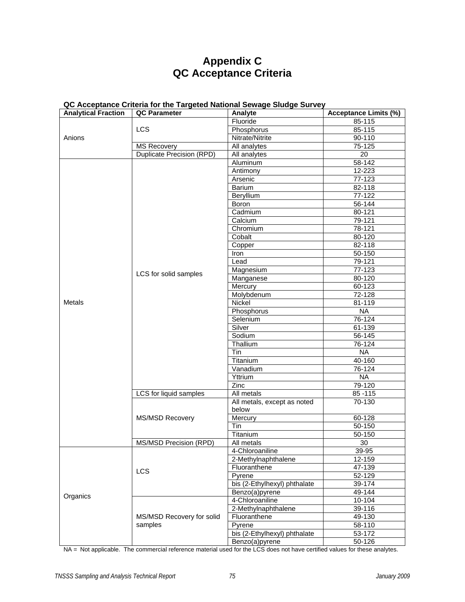# **Appendix C QC Acceptance Criteria**

| <b>Analytical Fraction</b> | <b>QC Parameter</b>       | Analyte                      | <b>Acceptance Limits (%)</b> |
|----------------------------|---------------------------|------------------------------|------------------------------|
|                            |                           | Fluoride                     | 85-115                       |
|                            | LCS                       | Phosphorus                   | 85-115                       |
| Anions                     |                           | Nitrate/Nitrite              | 90-110                       |
|                            | <b>MS Recovery</b>        | All analytes                 | $75-125$                     |
|                            | Duplicate Precision (RPD) | All analytes                 | 20                           |
|                            |                           | Aluminum                     | 58-142                       |
|                            |                           | Antimony                     | 12-223                       |
|                            |                           | Arsenic                      | 77-123                       |
|                            |                           | Barium                       | 82-118                       |
|                            |                           | Beryllium                    | $77-122$                     |
|                            |                           | Boron                        | 56-144                       |
|                            |                           | Cadmium                      | 80-121                       |
|                            |                           | Calcium                      | 79-121                       |
|                            |                           | Chromium                     | 78-121                       |
|                            |                           | Cobalt                       | 80-120                       |
|                            |                           | Copper                       | 82-118                       |
|                            |                           | Iron                         | 50-150                       |
|                            |                           | Lead                         | 79-121                       |
|                            |                           | Magnesium                    | 77-123                       |
|                            | LCS for solid samples     | Manganese                    | 80-120                       |
|                            |                           | Mercury                      | 60-123                       |
|                            |                           | Molybdenum                   | 72-128                       |
| <b>Metals</b>              |                           | Nickel                       | 81-119                       |
|                            |                           | Phosphorus                   | <b>NA</b>                    |
|                            |                           | Selenium                     | 76-124                       |
|                            |                           | Silver                       | 61-139                       |
|                            |                           | Sodium                       | 56-145                       |
|                            |                           | Thallium                     | 76-124                       |
|                            |                           | Tin                          | <b>NA</b>                    |
|                            |                           | Titanium                     | 40-160                       |
|                            |                           | Vanadium                     | 76-124                       |
|                            |                           | Yttrium                      | <b>NA</b>                    |
|                            |                           | Zinc                         | 79-120                       |
|                            | LCS for liquid samples    | All metals                   | 85 - 115                     |
|                            |                           | All metals, except as noted  | 70-130                       |
|                            |                           | below                        |                              |
|                            | <b>MS/MSD Recovery</b>    | Mercury                      | 60-128                       |
|                            |                           | Tin                          | 50-150                       |
|                            |                           | Titanium                     | 50-150                       |
|                            | MS/MSD Precision (RPD)    | All metals                   | 30                           |
|                            |                           | 4-Chloroaniline              | 39-95                        |
|                            |                           | 2-Methylnaphthalene          | 12-159                       |
|                            |                           | Fluoranthene                 | 47-139                       |
|                            | LCS                       | Pyrene                       | 52-129                       |
|                            |                           | bis (2-Ethylhexyl) phthalate | 39-174                       |
|                            |                           | Benzo(a)pyrene               | 49-144                       |
| Organics                   |                           | 4-Chloroaniline              | 10-104                       |
|                            |                           | 2-Methylnaphthalene          | 39-116                       |
|                            | MS/MSD Recovery for solid | Fluoranthene                 | 49-130                       |
|                            | samples                   | Pyrene                       | 58-110                       |
|                            |                           | bis (2-Ethylhexyl) phthalate | 53-172                       |
|                            |                           | Benzo(a)pyrene               | 50-126                       |

### **QC Acceptance Criteria for the Targeted National Sewage Sludge Survey**

NA = Not applicable. The commercial reference material used for the LCS does not have certified values for these analytes.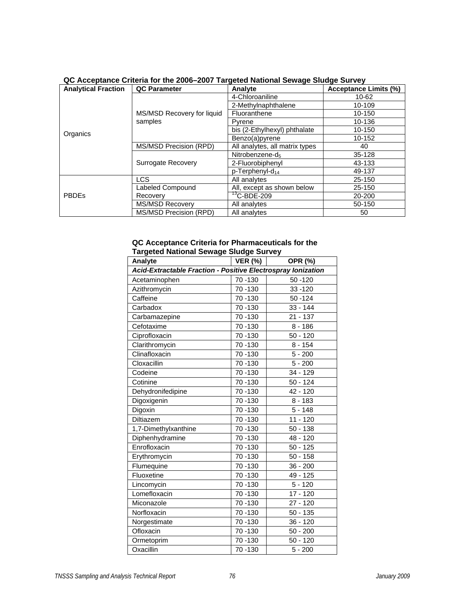| <b>Analytical Fraction</b> | <b>QC Parameter</b>                   | Analyte                        | <b>Acceptance Limits (%)</b> |
|----------------------------|---------------------------------------|--------------------------------|------------------------------|
|                            |                                       | 4-Chloroaniline                | 10-62                        |
|                            | MS/MSD Recovery for liquid<br>samples | 2-Methylnaphthalene            | 10-109                       |
|                            |                                       | Fluoranthene                   | $10 - 150$                   |
|                            |                                       | Pyrene                         | 10-136                       |
| Organics                   |                                       | bis (2-Ethylhexyl) phthalate   | 10-150                       |
|                            |                                       | Benzo(a)pyrene                 | 10-152                       |
|                            | MS/MSD Precision (RPD)                | All analytes, all matrix types | 40                           |
|                            |                                       | Nitrobenzene-d-                | 35-128                       |
|                            | <b>Surrogate Recovery</b>             | 2-Fluorobiphenyl               | 43-133                       |
|                            |                                       | $p$ -Terphenyl-d <sub>14</sub> | 49-137                       |
|                            | <b>LCS</b>                            | All analytes                   | 25-150                       |
|                            | Labeled Compound                      | All, except as shown below     | 25-150                       |
| <b>PBDEs</b>               | Recovery                              | $13$ C-BDE-209                 | 20-200                       |
|                            | <b>MS/MSD Recovery</b>                | All analytes                   | 50-150                       |
|                            | MS/MSD Precision (RPD)                | All analytes                   | 50                           |

### **QC Acceptance Criteria for the 2006–2007 Targeted National Sewage Sludge Survey**

#### **QC Acceptance Criteria for Pharmaceuticals for the Targeted National Sewage Sludge Survey**

| Analyte                                                      | <b>VER (%)</b> | OPR (%)    |  |
|--------------------------------------------------------------|----------------|------------|--|
| Acid-Extractable Fraction - Positive Electrospray Ionization |                |            |  |
| Acetaminophen                                                | 70 - 130       | 50 - 120   |  |
| Azithromycin                                                 | 70 - 130       | 33 - 120   |  |
| Caffeine                                                     | 70 - 130       | $50 - 124$ |  |
| Carbadox                                                     | 70 - 130       | $33 - 144$ |  |
| Carbamazepine                                                | 70 - 130       | $21 - 137$ |  |
| Cefotaxime                                                   | 70 - 130       | $8 - 186$  |  |
| Ciprofloxacin                                                | 70 - 130       | $50 - 120$ |  |
| Clarithromycin                                               | 70 - 130       | $8 - 154$  |  |
| Clinafloxacin                                                | 70 - 130       | $5 - 200$  |  |
| Cloxacillin                                                  | 70 - 130       | $5 - 200$  |  |
| Codeine                                                      | 70 - 130       | 34 - 129   |  |
| Cotinine                                                     | 70 - 130       | $50 - 124$ |  |
| Dehydronifedipine                                            | 70 - 130       | 42 - 120   |  |
| Digoxigenin                                                  | 70 - 130       | $8 - 183$  |  |
| Digoxin                                                      | 70 - 130       | $5 - 148$  |  |
| Diltiazem                                                    | 70 - 130       | $11 - 120$ |  |
| 1,7-Dimethylxanthine                                         | 70 - 130       | $50 - 138$ |  |
| Diphenhydramine                                              | 70 - 130       | 48 - 120   |  |
| Enrofloxacin                                                 | 70 - 130       | $50 - 125$ |  |
| Erythromycin                                                 | 70 - 130       | $50 - 158$ |  |
| Flumequine                                                   | 70 - 130       | $36 - 200$ |  |
| Fluoxetine                                                   | 70 - 130       | 49 - 125   |  |
| Lincomycin                                                   | 70 - 130       | $5 - 120$  |  |
| Lomefloxacin                                                 | 70 - 130       | 17 - 120   |  |
| Miconazole                                                   | 70 - 130       | $27 - 120$ |  |
| Norfloxacin                                                  | 70 - 130       | $50 - 135$ |  |
| Norgestimate                                                 | 70 - 130       | 36 - 120   |  |
| Ofloxacin                                                    | 70 - 130       | $50 - 200$ |  |
| Ormetoprim                                                   | 70 - 130       | $50 - 120$ |  |
| Oxacillin                                                    | 70 - 130       | $5 - 200$  |  |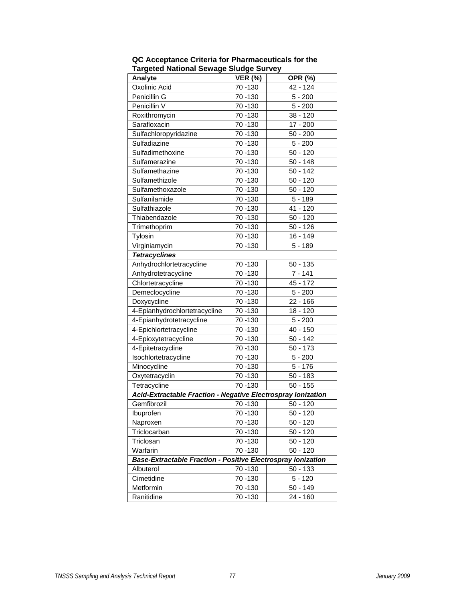| Analyte                                                             | <b>VER (%)</b> | OPR (%)               |  |
|---------------------------------------------------------------------|----------------|-----------------------|--|
| Oxolinic Acid                                                       | 70 - 130       | 42 - 124              |  |
| Penicillin G                                                        | 70 - 130       | $5 - 200$             |  |
| Penicillin V                                                        | 70 - 130       | $5 - 200$             |  |
| Roxithromycin                                                       | 70 - 130       | 38 - 120              |  |
| Sarafloxacin                                                        | 70 - 130       | $17 - 200$            |  |
| Sulfachloropyridazine                                               | 70 - 130       | $50 - 200$            |  |
| Sulfadiazine                                                        | 70 - 130       | $5 - 200$             |  |
| Sulfadimethoxine                                                    | 70 - 130       | $50 - 120$            |  |
| Sulfamerazine                                                       | 70 - 130       | $50 - 148$            |  |
| Sulfamethazine                                                      | 70 - 130       | $50 - 142$            |  |
| Sulfamethizole                                                      | 70 - 130       | $50 - 120$            |  |
| Sulfamethoxazole                                                    | 70 - 130       | $50 - 120$            |  |
| Sulfanilamide                                                       | 70 - 130       | $5 - 189$             |  |
| Sulfathiazole                                                       | 70 - 130       | 41 - 120              |  |
| Thiabendazole                                                       | 70 - 130       | $50 - 120$            |  |
| Trimethoprim                                                        | 70 - 130       | $50 - 126$            |  |
| Tylosin                                                             | 70 - 130       | 16 - 149              |  |
| Virginiamycin                                                       | 70 - 130       | $5 - 189$             |  |
| <b>Tetracyclines</b>                                                |                |                       |  |
| Anhydrochlortetracycline                                            | 70 - 130       | $50 - 135$            |  |
| Anhydrotetracycline                                                 | 70 - 130       | $7 - 141$             |  |
| Chlortetracycline                                                   | 70 - 130       | 45 - 172              |  |
| Demeclocycline                                                      | 70 - 130       | $5 - 200$             |  |
| Doxycycline                                                         | 70 - 130       | $22 - 166$            |  |
| 4-Epianhydrochlortetracycline                                       | 70 - 130       | 18 - 120              |  |
| 4-Epianhydrotetracycline                                            | 70 - 130       | $5 - 200$             |  |
| 4-Epichlortetracycline                                              | 70 - 130       | $\overline{40}$ - 150 |  |
| 4-Epioxytetracycline                                                | 70 - 130       | $50 - 142$            |  |
| 4-Epitetracycline                                                   | 70 - 130       | $50 - 173$            |  |
| Isochlortetracycline                                                | 70 - 130       | $5 - 200$             |  |
| Minocycline                                                         | 70 - 130       | $5 - 176$             |  |
| Oxytetracyclin                                                      | 70 - 130       | $50 - 183$            |  |
| Tetracycline                                                        | $70 - 130$     | $50 - 155$            |  |
| <b>Acid-Extractable Fraction - Negative Electrospray lonization</b> |                |                       |  |
| Gemfibrozil                                                         | 70 - 130       | $50 - 120$            |  |
| Ibuprofen                                                           | 70 - 130       | $50 - 120$            |  |
| Naproxen                                                            | 70 - 130       | $50 - 120$            |  |
| Triclocarban                                                        | 70 - 130       | $50 - 120$            |  |
| Triclosan                                                           | 70 - 130       | $50 - 120$            |  |
| Warfarin                                                            | 70 - 130       | $50 - 120$            |  |
| <b>Base-Extractable Fraction - Positive Electrospray lonization</b> |                |                       |  |
| Albuterol                                                           | 70 - 130       | $50 - 133$            |  |
| Cimetidine                                                          | 70 - 130       | $5 - 120$             |  |
| Metformin                                                           | 70 - 130       | $50 - 149$            |  |
| Ranitidine                                                          | 70 - 130       | 24 - 160              |  |

**QC Acceptance Criteria for Pharmaceuticals for the Targeted National Sewage Sludge Survey**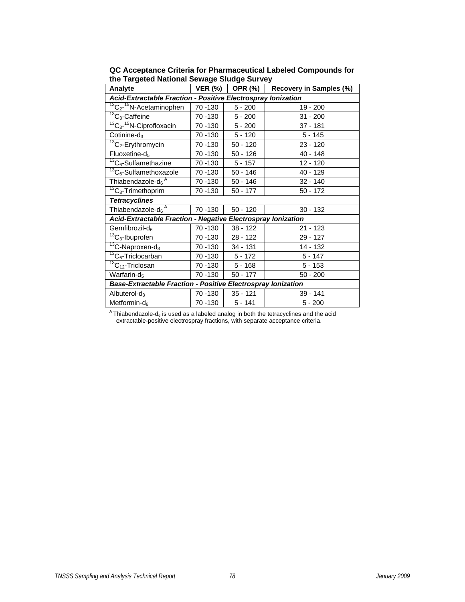| Analyte                                                             | <b>VER (%)</b> | . .<br><b>OPR (%)</b> | Recovery in Samples (%) |  |
|---------------------------------------------------------------------|----------------|-----------------------|-------------------------|--|
| Acid-Extractable Fraction - Positive Electrospray Ionization        |                |                       |                         |  |
| $13C2 - 15N-Acetaminophen$                                          | 70 - 130       | $5 - 200$             | 19 - 200                |  |
| $\frac{13}{13}C_3$ -Caffeine                                        | 70 - 130       | $5 - 200$             | $31 - 200$              |  |
| $13C_3$ - $15N$ -Ciprofloxacin                                      | 70 - 130       | $5 - 200$             | $37 - 181$              |  |
| Cotinine- $d_3$                                                     | 70 - 130       | $5 - 120$             | $5 - 145$               |  |
| $13C2$ -Erythromycin                                                | 70 - 130       | 50 - 120              | $23 - 120$              |  |
| $Fluoxetime-d5$                                                     | 70 - 130       | $50 - 126$            | $40 - 148$              |  |
| $\frac{13}{13}C_6$ -Sulfamethazine                                  | 70 - 130       | $5 - 157$             | $12 - 120$              |  |
| $\sqrt[13]{13}C_6$ -Sulfamethoxazole                                | 70 -130        | $50 - 146$            | 40 - 129                |  |
| Thiabendazole-d <sub>6</sub> <sup>A</sup>                           | 70 - 130       | $50 - 146$            | $32 - 140$              |  |
| $\overline{^{13}C}_3$ -Trimethoprim                                 | 70 - 130       | 50 - 177              | $50 - 172$              |  |
| <b>Tetracyclines</b>                                                |                |                       |                         |  |
| Thiabendazole- $d_6^{\overline{A}}$                                 | 70 - 130       | $50 - 120$            | $30 - 132$              |  |
| <b>Acid-Extractable Fraction - Negative Electrospray lonization</b> |                |                       |                         |  |
| Gemfibrozil-d <sub>6</sub>                                          | 70 - 130       | 38 - 122              | $21 - 123$              |  |
| $\overline{^{13}C}_3$ -Ibuprofen                                    | 70 -130        | $28 - 122$            | 29 - 127                |  |
| $13C-Naproxen-d_3$                                                  | 70 - 130       | 34 - 131              | 14 - 132                |  |
| $13C_6$ -Triclocarban                                               | 70 -130        | $5 - 172$             | $5 - 147$               |  |
| $\overline{^{13}C}_{12}$ -Triclosan                                 | 70 - 130       | $5 - 168$             | $5 - 153$               |  |
| Warfarin-d <sub>5</sub>                                             | 70 - 130       | $50 - 177$            | $50 - 200$              |  |
| Base-Extractable Fraction - Positive Electrospray Ionization        |                |                       |                         |  |
| Albuterol- $d_3$                                                    | 70 - 130       | $35 - 121$            | $39 - 141$              |  |
| Metformin- $d_6$                                                    | 70 - 130       | $5 - 141$             | $5 - 200$               |  |

**QC Acceptance Criteria for Pharmaceutical Labeled Compounds for the Targeted National Sewage Sludge Survey** 

 $^{\text{A}}$ Thiabendazole-d<sub>6</sub> is used as a labeled analog in both the tetracyclines and the acid extractable-positive electrospray fractions, with separate acceptance criteria.